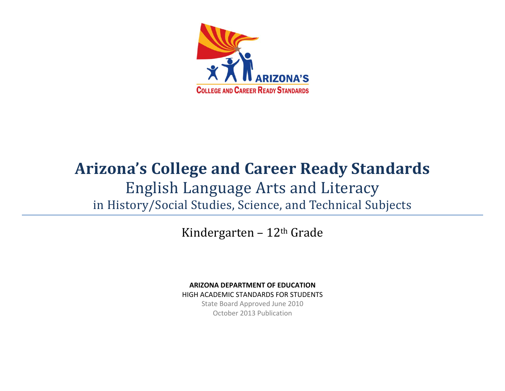

# **Arizona's College and Career Ready Standards**

# English Language Arts and Literacy in History/Social Studies, Science, and Technical Subjects

Kindergarten –  $12<sup>th</sup>$  Grade

### **ARIZONA DEPARTMENT OF EDUCATION**HIGH ACADEMIC STANDARDS FOR STUDENTS

State Board Approved June 2010 October 2013 Publication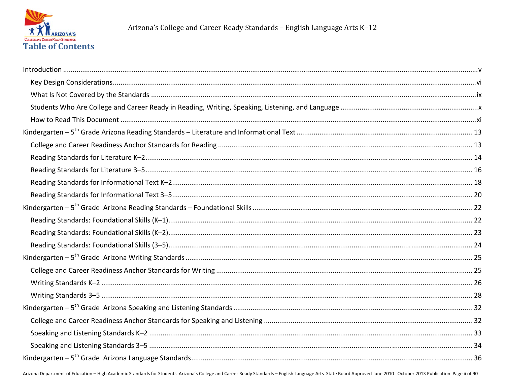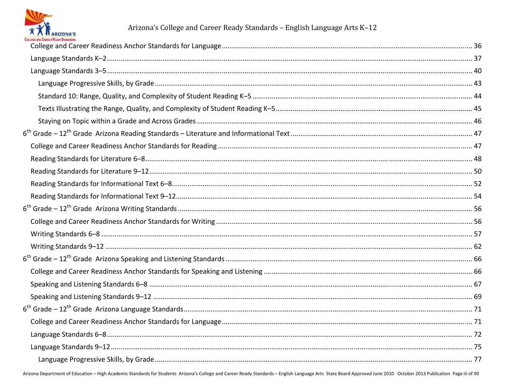

### Arizona's College and Career Ready Standards - English Language Arts K-12

Arizona Department of Education - High Academic Standards for Students Arizona's College and Career Ready Standards - English Language Arts State Board Approved June 2010 October 2013 Publication Page iii of 90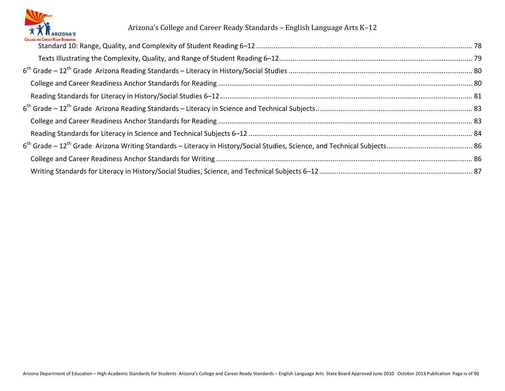

### Arizona's College and Career Ready Standards - English Language Arts K-12

| <b>COLLEGE AND CAREER READT STANDARDS</b> |  |
|-------------------------------------------|--|
|                                           |  |
|                                           |  |
|                                           |  |
|                                           |  |
|                                           |  |
|                                           |  |
|                                           |  |
|                                           |  |
|                                           |  |
|                                           |  |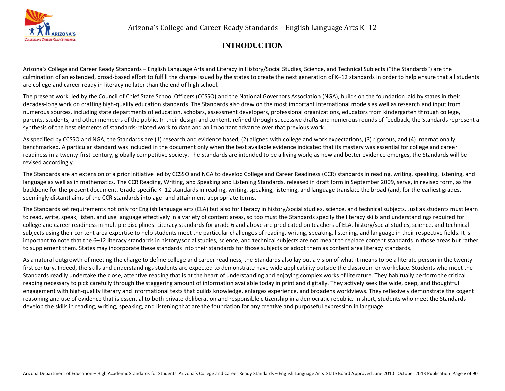

# **INTRODUCTION**

Arizona's College and Career Ready Standards – English Language Arts and Literacy in History/Social Studies, Science, and Technical Subjects ("the Standards") are the culmination of an extended, broad‐based effort to fulfill the charge issued by the states to create the next generation of K–12 standards in order to help ensure that all students are college and career ready in literacy no later than the end of high school.

The present work, led by the Council of Chief State School Officers (CCSSO) and the National Governors Association (NGA), builds on the foundation laid by states in their decades‐long work on crafting high‐quality education standards. The Standards also draw on the most important international models as well as research and input from numerous sources, including state departments of education, scholars, assessment developers, professional organizations, educators from kindergarten through college, parents, students, and other members of the public. In their design and content, refined through successive drafts and numerous rounds of feedback, the Standards represent <sup>a</sup> synthesis of the best elements of standards-related work to date and an important advance over that previous work.

As specified by CCSSO and NGA, the Standards are (1) research and evidence based, (2) aligned with college and work expectations, (3) rigorous, and (4) internationally benchmarked. A particular standard was included in the document only when the best available evidence indicated that its mastery was essential for college and career readiness in <sup>a</sup> twenty‐first‐century, globally competitive society. The Standards are intended to be <sup>a</sup> living work; as new and better evidence emerges, the Standards will be revised accordingly.

The Standards are an extension of <sup>a</sup> prior initiative led by CCSSO and NGA to develop College and Career Readiness (CCR) standards in reading, writing, speaking, listening, and language as well as in mathematics. The CCR Reading, Writing, and Speaking and Listening Standards, released in draft form in September 2009, serve, in revised form, as the backbone for the present document. Grade‐specific K–12 standards in reading, writing, speaking, listening, and language translate the broad (and, for the earliest grades, seemingly distant) aims of the CCR standards into age- and attainment-appropriate terms.

The Standards set requirements not only for English language arts (ELA) but also for literacy in history/social studies, science, and technical subjects. Just as students must learn to read, write, speak, listen, and use language effectively in <sup>a</sup> variety of content areas, so too must the Standards specify the literacy skills and understandings required for college and career readiness in multiple disciplines. Literacy standards for grade 6 and above are predicated on teachers of ELA, history/social studies, science, and technical subjects using their content area expertise to help students meet the particular challenges of reading, writing, speaking, listening, and language in their respective fields. It is important to note that the 6–12 literacy standards in history/social studies, science, and technical subjects are not meant to replace content standards in those areas but rather to supplement them. States may incorporate these standards into their standards for those subjects or adopt them as content area literacy standards.

As a natural outgrowth of meeting the charge to define college and career readiness, the Standards also lay out a vision of what it means to be a literate person in the twentyfirst century. Indeed, the skills and understandings students are expected to demonstrate have wide applicability outside the classroom or workplace. Students who meet the Standards readily undertake the close, attentive reading that is at the heart of understanding and enjoying complex works of literature. They habitually perform the critical reading necessary to pick carefully through the staggering amount of information available today in print and digitally. They actively seek the wide, deep, and thoughtful engagement with high-quality literary and informational texts that builds knowledge, enlarges experience, and broadens worldviews. They reflexively demonstrate the cogent reasoning and use of evidence that is essential to both private deliberation and responsible citizenship in <sup>a</sup> democratic republic. In short, students who meet the Standards develop the skills in reading, writing, speaking, and listening that are the foundation for any creative and purposeful expression in language.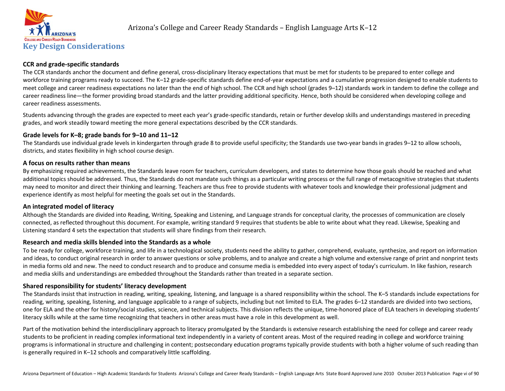

#### **CCR and grade‐specific standards**

The CCR standards anchor the document and define general, cross‐disciplinary literacy expectations that must be met for students to be prepared to enter college and workforce training programs ready to succeed. The K–12 grade-specific standards define end-of-year expectations and a cumulative progression designed to enable students to meet college and career readiness expectations no later than the end of high school. The CCR and high school (grades 9–12) standards work in tandem to define the college and career readiness line—the former providing broad standards and the latter providing additional specificity. Hence, both should be considered when developing college and career readiness assessments.

Students advancing through the grades are expected to meet each year's grade‐specific standards, retain or further develop skills and understandings mastered in preceding grades, and work steadily toward meeting the more general expectations described by the CCR standards.

#### **Grade levels for K–8; grade bands for 9–10 and 11–12**

The Standards use individual grade levels in kindergarten through grade 8 to provide useful specificity; the Standards use two-year bands in grades 9–12 to allow schools, districts, and states flexibility in high school course design.

#### **A focus on results rather than means**

By emphasizing required achievements, the Standards leave room for teachers, curriculum developers, and states to determine how those goals should be reached and what additional topics should be addressed. Thus, the Standards do not mandate such things as <sup>a</sup> particular writing process or the full range of metacognitive strategies that students may need to monitor and direct their thinking and learning. Teachers are thus free to provide students with whatever tools and knowledge their professional judgment and experience identify as most helpful for meeting the goals set out in the Standards.

#### **An integrated model of literacy**

Although the Standards are divided into Reading, Writing, Speaking and Listening, and Language strands for conceptual clarity, the processes of communication are closely connected, as reflected throughout this document. For example, writing standard 9 requires that students be able to write about what they read. Likewise, Speaking and Listening standard 4 sets the expectation that students will share findings from their research.

#### **Research and media skills blended into the Standards as <sup>a</sup> whole**

To be ready for college, workforce training, and life in <sup>a</sup> technological society, students need the ability to gather, comprehend, evaluate, synthesize, and report on information and ideas, to conduct original research in order to answer questions or solve problems, and to analyze and create <sup>a</sup> high volume and extensive range of print and nonprint texts in media forms old and new. The need to conduct research and to produce and consume media is embedded into every aspect of today's curriculum. In like fashion, research and media skills and understandings are embedded throughout the Standards rather than treated in <sup>a</sup> separate section.

#### **Shared responsibility for students' literacy development**

The Standards insist that instruction in reading, writing, speaking, listening, and language is <sup>a</sup> shared responsibility within the school. The K–5 standards include expectations for reading, writing, speaking, listening, and language applicable to a range of subjects, including but not limited to ELA. The grades 6–12 standards are divided into two sections, one for ELA and the other for history/social studies, science, and technical subjects. This division reflects the unique, time‐honored place of ELA teachers in developing students' literacy skills while at the same time recognizing that teachers in other areas must have <sup>a</sup> role in this development as well.

Part of the motivation behind the interdisciplinary approach to literacy promulgated by the Standards is extensive research establishing the need for college and career ready students to be proficient in reading complex informational text independently in <sup>a</sup> variety of content areas. Most of the required reading in college and workforce training programs is informational in structure and challenging in content; postsecondary education programs typically provide students with both <sup>a</sup> higher volume of such reading than is generally required in K–12 schools and comparatively little scaffolding.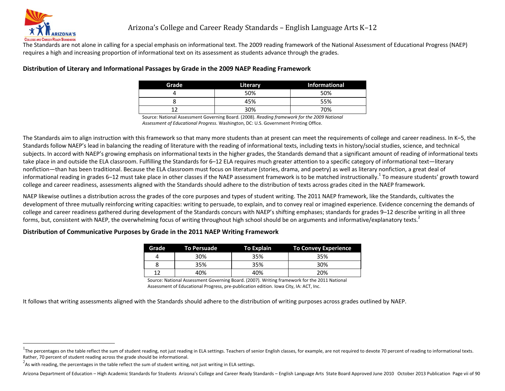

The Standards are not alone in calling for <sup>a</sup> special emphasis on informational text. The 2009 reading framework of the National Assessment of Educational Progress (NAEP) requires <sup>a</sup> high and increasing proportion of informational text on its assessment as students advance through the grades.

#### **Distribution of Literary and Informational Passages by Grade in the 2009 NAEP Reading Framework**

| Grade | Literary | Informational |
|-------|----------|---------------|
|       | 50%      | 50%           |
|       | 45%      | 55%           |
|       | 30%      | 70%           |

Source: National Assessment Governing Board. (2008). *Reading framework for the 2009 National Assessment of Educational Progress.* Washington, DC: U.S. Government Printing Office.

The Standards aim to align instruction with this framework so that many more students than at present can meet the requirements of college and career readiness. In K–5, the Standards follow NAEP's lead in balancing the reading of literature with the reading of informational texts, including texts in history/social studies, science, and technical subjects. In accord with NAEP's growing emphasis on informational texts in the higher grades, the Standards demand that a significant amount of reading of informational texts take place in and outside the ELA classroom. Fulfilling the Standards for 6–12 ELA requires much greater attention to <sup>a</sup> specific category of informational text—literary nonfiction—than has been traditional. Because the ELA classroom must focus on literature (stories, drama, and poetry) as well as literary nonfiction, <sup>a</sup> great deal of informational reading in grades 6–12 must take place in other classes if the NAEP assessment framework is to be matched instructionally.<sup>1</sup> To measure students' growth toward college and career readiness, assessments aligned with the Standards should adhere to the distribution of texts across grades cited in the NAEP framework.

NAEP likewise outlines <sup>a</sup> distribution across the grades of the core purposes and types of student writing. The 2011 NAEP framework, like the Standards, cultivates the development of three mutually reinforcing writing capacities: writing to persuade, to explain, and to convey real or imagined experience. Evidence concerning the demands of college and career readiness gathered during development of the Standards concurs with NAEP's shifting emphases; standards for grades 9–12 describe writing in all three forms, but, consistent with NAEP, the overwhelming focus of writing throughout high school should be on arguments and informative/explanatory texts.<sup>2</sup>

#### **Distribution of Communicative Purposes by Grade in the 2011 NAEP Writing Framework**

| Grade | <b>To Persuade</b> | <b>To Explain</b> | To Convey Experience |
|-------|--------------------|-------------------|----------------------|
|       | 30%                | 35%               | 35%                  |
|       | 35%                | 35%               | 30%                  |
|       | 40%                | 40%               | 20%                  |

Source: National Assessment Governing Board. (2007). Writing framework for the 2011 National Assessment of Educational Progress, pre‐publication edition. Iowa City, IA: ACT, Inc.

It follows that writing assessments aligned with the Standards should adhere to the distribution of writing purposes across grades outlined by NAEP.

<sup>&</sup>lt;sup>1</sup>The percentages on the table reflect the sum of student reading, not just reading in ELA settings. Teachers of senior English classes, for example, are not required to devote 70 percent of reading to informational texts Rather, 70 percent of student reading across the grade should be informational.

 $^2$ As with reading, the percentages in the table reflect the sum of student writing, not just writing in ELA settings.

Arizona Department of Education – High Academic Standards for Students Arizona's College and Career Ready Standards – English Language Arts State Board Approved June 2010 October 2013 Publication Page vii of 90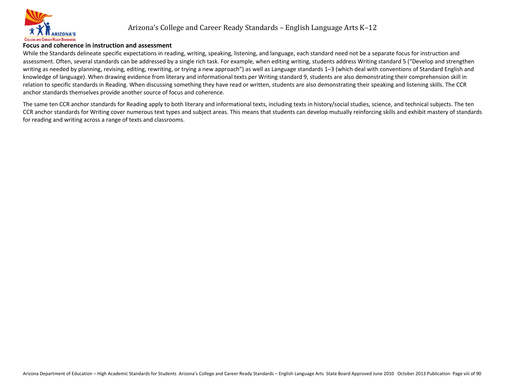

### Arizona's College and Career Ready Standards - English Language Arts K-12

#### **Focus and coherence in instruction and assessment**

While the Standards delineate specific expectations in reading, writing, speaking, listening, and language, each standard need not be <sup>a</sup> separate focus for instruction and assessment. Often, several standards can be addressed by <sup>a</sup> single rich task. For example, when editing writing, students address Writing standard 5 ("Develop and strengthen writing as needed by planning, revising, editing, rewriting, or trying a new approach") as well as Language standards 1–3 (which deal with conventions of Standard English and knowledge of language). When drawing evidence from literary and informational texts per Writing standard 9, students are also demonstrating their comprehension skill in relation to specific standards in Reading. When discussing something they have read or written, students are also demonstrating their speaking and listening skills. The CCR anchor standards themselves provide another source of focus and coherence.

The same ten CCR anchor standards for Reading apply to both literary and informational texts, including texts in history/social studies, science, and technical subjects. The ten CCR anchor standards for Writing cover numerous text types and subject areas. This means that students can develop mutually reinforcing skills and exhibit mastery of standards for reading and writing across <sup>a</sup> range of texts and classrooms.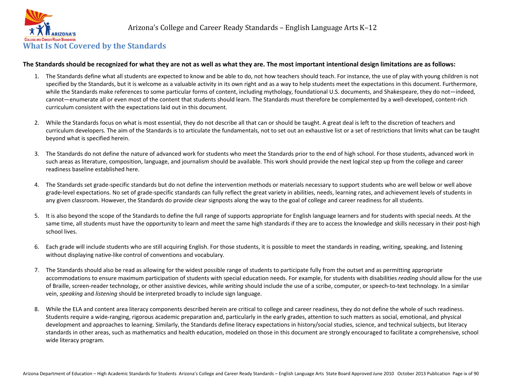

#### The Standards should be recognized for what they are not as well as what they are. The most important intentional design limitations are as follows:

- 1. The Standards define what all students are expected to know and be able to do, not how teachers should teach. For instance, the use of play with young children is not specified by the Standards, but it is welcome as a valuable activity in its own right and as a way to help students meet the expectations in this document. Furthermore, while the Standards make references to some particular forms of content, including mythology, foundational U.S. documents, and Shakespeare, they do not—indeed, cannot—enumerate all or even most of the content that students should learn. The Standards must therefore be complemented by <sup>a</sup> well‐developed, content‐rich curriculum consistent with the expectations laid out in this document.
- 2. While the Standards focus on what is most essential, they do not describe all that can or should be taught. A great deal is left to the discretion of teachers and curriculum developers. The aim of the Standards is to articulate the fundamentals, not to set out an exhaustive list or <sup>a</sup> set of restrictions that limits what can be taught beyond what is specified herein.
- 3. The Standards do not define the nature of advanced work for students who meet the Standards prior to the end of high school. For those students, advanced work in such areas as literature, composition, language, and journalism should be available. This work should provide the next logical step up from the college and career readiness baseline established here.
- 4. The Standards set grade‐specific standards but do not define the intervention methods or materials necessary to support students who are well below or well above grade-level expectations. No set of grade-specific standards can fully reflect the great variety in abilities, needs, learning rates, and achievement levels of students in any given classroom. However, the Standards do provide clear signposts along the way to the goal of college and career readiness for all students.
- 5. It is also beyond the scope of the Standards to define the full range of supports appropriate for English language learners and for students with special needs. At the same time, all students must have the opportunity to learn and meet the same high standards if they are to access the knowledge and skills necessary in their post-high school lives.
- 6. Each grade will include students who are still acquiring English. For those students, it is possible to meet the standards in reading, writing, speaking, and listening without displaying native‐like control of conventions and vocabulary.
- 7. The Standards should also be read as allowing for the widest possible range of students to participate fully from the outset and as permitting appropriate accommodations to ensure maximum participation of students with special education needs. For example, for students with disabilities *reading* should allow for the use of Braille, screen‐reader technology, or other assistive devices, while *writing* should include the use of <sup>a</sup> scribe, computer, or speech‐to‐text technology. In <sup>a</sup> similar vein, *speaking* and *listening* should be interpreted broadly to include sign language.
- 8. While the ELA and content area literacy components described herein are critical to college and career readiness, they do not define the whole of such readiness. Students require <sup>a</sup> wide‐ranging, rigorous academic preparation and, particularly in the early grades, attention to such matters as social, emotional, and physical development and approaches to learning. Similarly, the Standards define literacy expectations in history/social studies, science, and technical subjects, but literacy standards in other areas, such as mathematics and health education, modeled on those in this document are strongly encouraged to facilitate <sup>a</sup> comprehensive, school wide literacy program.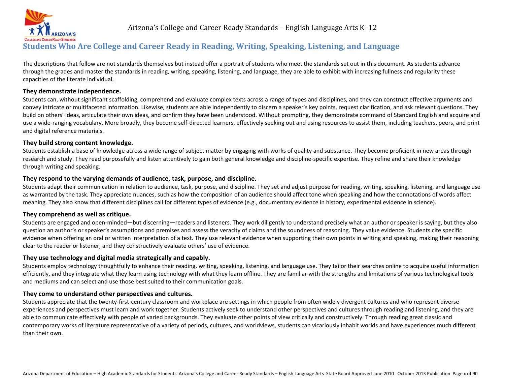

# **Students Who Are College and Career Ready in Reading, Writing, Speaking, Listening, and Language**

The descriptions that follow are not standards themselves but instead offer <sup>a</sup> portrait of students who meet the standards set out in this document. As students advance through the grades and master the standards in reading, writing, speaking, listening, and language, they are able to exhibit with increasing fullness and regularity these capacities of the literate individual.

#### **They demonstrate independence.**

Students can, without significant scaffolding, comprehend and evaluate complex texts across <sup>a</sup> range of types and disciplines, and they can construct effective arguments and convey intricate or multifaceted information. Likewise, students are able independently to discern <sup>a</sup> speaker's key points, request clarification, and ask relevant questions. They build on others' ideas, articulate their own ideas, and confirm they have been understood. Without prompting, they demonstrate command of Standard English and acquire and use a wide-ranging vocabulary. More broadly, they become self-directed learners, effectively seeking out and using resources to assist them, including teachers, peers, and print and digital reference materials.

#### **They build strong content knowledge.**

Students establish <sup>a</sup> base of knowledge across <sup>a</sup> wide range of subject matter by engaging with works of quality and substance. They become proficient in new areas through research and study. They read purposefully and listen attentively to gain both general knowledge and discipline‐specific expertise. They refine and share their knowledge through writing and speaking.

#### **They respond to the varying demands of audience, task, purpose, and discipline.**

Students adapt their communication in relation to audience, task, purpose, and discipline. They set and adjust purpose for reading, writing, speaking, listening, and language use as warranted by the task. They appreciate nuances, such as how the composition of an audience should affect tone when speaking and how the connotations of words affect meaning. They also know that different disciplines call for different types of evidence (e.g., documentary evidence in history, experimental evidence in science).

#### **They comprehend as well as critique.**

Students are engaged and open-minded—but discerning—readers and listeners. They work diligently to understand precisely what an author or speaker is saying, but they also question an author's or speaker's assumptions and premises and assess the veracity of claims and the soundness of reasoning. They value evidence. Students cite specific evidence when offering an oral or written interpretation of <sup>a</sup> text. They use relevant evidence when supporting their own points in writing and speaking, making their reasoning clear to the reader or listener, and they constructively evaluate others' use of evidence.

#### **They use technology and digital media strategically and capably.**

Students employ technology thoughtfully to enhance their reading, writing, speaking, listening, and language use. They tailor their searches online to acquire useful information efficiently, and they integrate what they learn using technology with what they learn offline. They are familiar with the strengths and limitations of various technological tools and mediums and can select and use those best suited to their communication goals.

#### **They come to understand other perspectives and cultures.**

Students appreciate that the twenty-first-century classroom and workplace are settings in which people from often widely divergent cultures and who represent diverse experiences and perspectives must learn and work together. Students actively seek to understand other perspectives and cultures through reading and listening, and they are able to communicate effectively with people of varied backgrounds. They evaluate other points of view critically and constructively. Through reading great classic and contemporary works of literature representative of <sup>a</sup> variety of periods, cultures, and worldviews, students can vicariously inhabit worlds and have experiences much different than their own.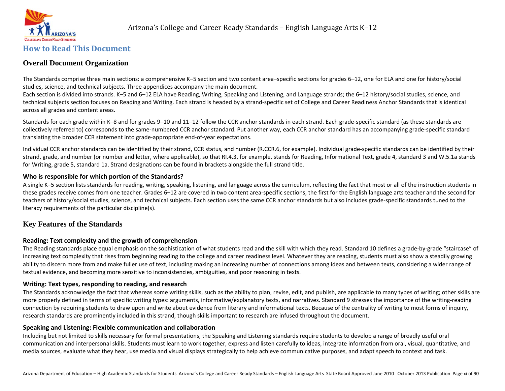

### **How to Read This Document**

### **Overall Document Organization**

The Standards comprise three main sections: <sup>a</sup> comprehensive K–5 section and two content area–specific sections for grades 6–12, one for ELA and one for history/social studies, science, and technical subjects. Three appendices accompany the main document.

Each section is divided into strands. K–5 and 6–12 ELA have Reading, Writing, Speaking and Listening, and Language strands; the 6–12 history/social studies, science, and technical subjects section focuses on Reading and Writing. Each strand is headed by <sup>a</sup> strand‐specific set of College and Career Readiness Anchor Standards that is identical across all grades and content areas.

Standards for each grade within K–8 and for grades 9–10 and 11–12 follow the CCR anchor standards in each strand. Each grade‐specific standard (as these standards are collectively referred to) corresponds to the same‐numbered CCR anchor standard. Put another way, each CCR anchor standard has an accompanying grade‐specific standard translating the broader CCR statement into grade‐appropriate end‐of‐year expectations.

Individual CCR anchor standards can be identified by their strand, CCR status, and number (R.CCR.6, for example). Individual grade‐specific standards can be identified by their strand, grade, and number (or number and letter, where applicable), so that RI.4.3, for example, stands for Reading, Informational Text, grade 4, standard 3 and W.5.1a stands for Writing, grade 5, standard 1a. Strand designations can be found in brackets alongside the full strand title.

### **Who is responsible for which portion of the Standards?**

A single K–5 section lists standards for reading, writing, speaking, listening, and language across the curriculum, reflecting the fact that most or all of the instruction students in these grades receive comes from one teacher. Grades 6–12 are covered in two content area‐specific sections, the first for the English language arts teacher and the second for teachers of history/social studies, science, and technical subjects. Each section uses the same CCR anchor standards but also includes grade-specific standards tuned to the literacy requirements of the particular discipline(s).

### **Key Features of the Standards**

### **Reading: Text complexity and the growth of comprehension**

The Reading standards place equal emphasis on the sophistication of what students read and the skill with which they read. Standard 10 defines <sup>a</sup> grade‐by‐grade "staircase" of increasing text complexity that rises from beginning reading to the college and career readiness level. Whatever they are reading, students must also show <sup>a</sup> steadily growing ability to discern more from and make fuller use of text, including making an increasing number of connections among ideas and between texts, considering a wider range of textual evidence, and becoming more sensitive to inconsistencies, ambiguities, and poor reasoning in texts.

### **Writing: Text types, responding to reading, and research**

The Standards acknowledge the fact that whereas some writing skills, such as the ability to plan, revise, edit, and publish, are applicable to many types of writing; other skills are more properly defined in terms of specific writing types: arguments, informative/explanatory texts, and narratives. Standard 9 stresses the importance of the writing‐reading connection by requiring students to draw upon and write about evidence from literary and informational texts. Because of the centrality of writing to most forms of inquiry, research standards are prominently included in this strand, though skills important to research are infused throughout the document.

### **Speaking and Listening: Flexible communication and collaboration**

Including but not limited to skills necessary for formal presentations, the Speaking and Listening standards require students to develop <sup>a</sup> range of broadly useful oral communication and interpersonal skills. Students must learn to work together, express and listen carefully to ideas, integrate information from oral, visual, quantitative, and media sources, evaluate what they hear, use media and visual displays strategically to help achieve communicative purposes, and adapt speech to context and task.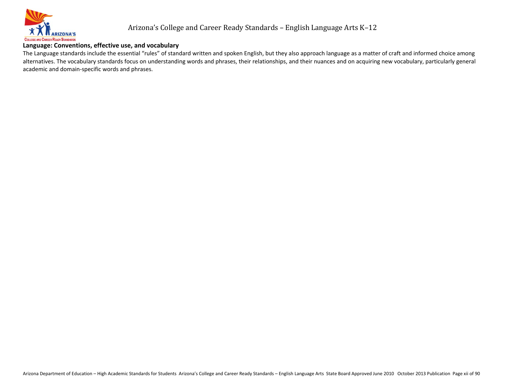

#### **Language: Conventions, effective use, and vocabulary**

The Language standards include the essential "rules" of standard written and spoken English, but they also approach language as <sup>a</sup> matter of craft and informed choice among alternatives. The vocabulary standards focus on understanding words and phrases, their relationships, and their nuances and on acquiring new vocabulary, particularly general academic and domain‐specific words and phrases.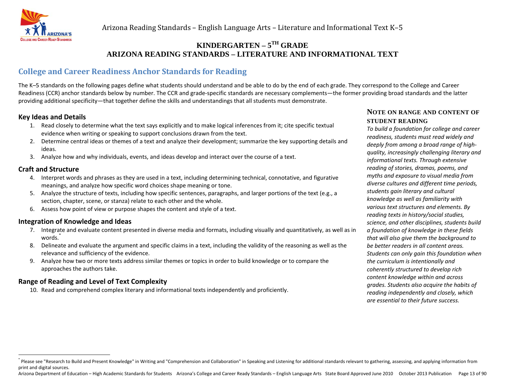

### **KINDERGARTEN – 5TH GRADE ARIZONA READING STANDARDS – LITERATURE AND INFORMATIONAL TEXT**

### **College and Career Readiness Anchor Standards for Reading**

The K–5 standards on the following pages define what students should understand and be able to do by the end of each grade. They correspond to the College and Career Readiness (CCR) anchor standards below by number. The CCR and grade‐specific standards are necessary complements—the former providing broad standards and the latter providing additional specificity—that together define the skills and understandings that all students must demonstrate.

#### **Key Ideas and Details**

- 1. Read closely to determine what the text says explicitly and to make logical inferences from it; cite specific textual evidence when writing or speaking to support conclusions drawn from the text.
- 2. Determine central ideas or themes of <sup>a</sup> text and analyze their development; summarize the key supporting details and ideas.
- 3. Analyze how and why individuals, events, and ideas develop and interact over the course of <sup>a</sup> text.

#### **Craft and Structure**

- 4. Interpret words and phrases as they are used in <sup>a</sup> text, including determining technical, connotative, and figurative meanings, and analyze how specific word choices shape meaning or tone.
- 5. Analyze the structure of texts, including how specific sentences, paragraphs, and larger portions of the text (e.g., <sup>a</sup> section, chapter, scene, or stanza) relate to each other and the whole.
- 6. Assess how point of view or purpose shapes the content and style of <sup>a</sup> text.

#### **Integration of Knowledge and Ideas**

- 7. Integrate and evaluate content presented in diverse media and formats, including visually and quantitatively, as well as in words.\*
- 8. Delineate and evaluate the argument and specific claims in <sup>a</sup> text, including the validity of the reasoning as well as the relevance and sufficiency of the evidence.
- 9. Analyze how two or more texts address similar themes or topics in order to build knowledge or to compare the approaches the authors take.

### **Range of Reading and Level of Text Complexity**

10. Read and comprehend complex literary and informational texts independently and proficiently.

#### **NOTE ON RANGE AND CONTENT OF STUDENT READING**

*To build <sup>a</sup> foundation for college and career readiness, students must read widely and deeply from among <sup>a</sup> broad range of high‐ quality, increasingly challenging literary and informational texts. Through extensive reading of stories, dramas, poems, and myths and exposure to visual media from diverse cultures and different time periods, students gain literary and cultural knowledge as well as familiarity with various text structures and elements. By reading texts in history/social studies, science, and other disciplines, students build a foundation of knowledge in these fields that will also give them the background to be better readers in all content areas. Students can only gain this foundation when the curriculum is intentionally and coherently structured to develop rich content knowledge within and across grades. Students also acquire the habits of reading independently and closely, which are essential to their future success.*

<sup>\*</sup> Please see "Research to Build and Present Knowledge" in Writing and "Comprehension and Collaboration" in Speaking and Listening for additional standards relevant to gathering, assessing, and applying information from print and digital sources.

Arizona Department of Education – High Academic Standards for Students Arizona's College and Career Ready Standards – English Language Arts State Board Approved June 2010 October 2013 Publication Page 13 of 90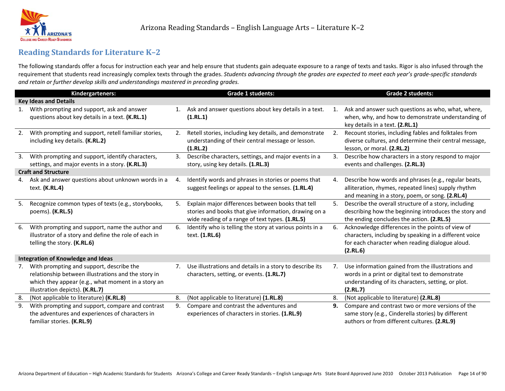

# **Reading Standards for Literature K–2**

The following standards offer <sup>a</sup> focus for instruction each year and help ensure that students gain adequate exposure to <sup>a</sup> range of texts and tasks. Rigor is also infused through the requirement that students read increasingly complex texts through the grades. Students advancing through the grades are expected to meet each year's grade-specific standards *and retain or further develop skills and understandings mastered in preceding grades.*

| Kindergarteners: |                                                                                                                                                                                          | <b>Grade 1 students:</b> |                                                                                                                                                               | <b>Grade 2 students:</b> |                                                                                                                                                                           |  |
|------------------|------------------------------------------------------------------------------------------------------------------------------------------------------------------------------------------|--------------------------|---------------------------------------------------------------------------------------------------------------------------------------------------------------|--------------------------|---------------------------------------------------------------------------------------------------------------------------------------------------------------------------|--|
|                  | <b>Key Ideas and Details</b>                                                                                                                                                             |                          |                                                                                                                                                               |                          |                                                                                                                                                                           |  |
| 1.               | With prompting and support, ask and answer<br>questions about key details in a text. (K.RL.1)                                                                                            | 1.                       | Ask and answer questions about key details in a text.<br>(1.RL.1)                                                                                             | 1.                       | Ask and answer such questions as who, what, where,<br>when, why, and how to demonstrate understanding of<br>key details in a text. (2.RL.1)                               |  |
| 2.               | With prompting and support, retell familiar stories,<br>including key details. (K.RL.2)                                                                                                  | 2.                       | Retell stories, including key details, and demonstrate<br>understanding of their central message or lesson.<br>(1.RL.2)                                       | 2.                       | Recount stories, including fables and folktales from<br>diverse cultures, and determine their central message,<br>lesson, or moral. (2.RL.2)                              |  |
| 3.               | With prompting and support, identify characters,<br>settings, and major events in a story. (K.RL.3)                                                                                      | 3.                       | Describe characters, settings, and major events in a<br>story, using key details. (1.RL.3)                                                                    | 3.                       | Describe how characters in a story respond to major<br>events and challenges. (2.RL.3)                                                                                    |  |
|                  | <b>Craft and Structure</b>                                                                                                                                                               |                          |                                                                                                                                                               |                          |                                                                                                                                                                           |  |
|                  | 4. Ask and answer questions about unknown words in a<br>text. (K.RL.4)                                                                                                                   | 4.                       | Identify words and phrases in stories or poems that<br>suggest feelings or appeal to the senses. (1.RL.4)                                                     | 4.                       | Describe how words and phrases (e.g., regular beats,<br>alliteration, rhymes, repeated lines) supply rhythm<br>and meaning in a story, poem, or song. (2.RL.4)            |  |
| 5.               | Recognize common types of texts (e.g., storybooks,<br>poems). (K.RL.5)                                                                                                                   | 5.                       | Explain major differences between books that tell<br>stories and books that give information, drawing on a<br>wide reading of a range of text types. (1.RL.5) | 5.                       | Describe the overall structure of a story, including<br>describing how the beginning introduces the story and<br>the ending concludes the action. (2.RL.5)                |  |
| 6.               | With prompting and support, name the author and<br>illustrator of a story and define the role of each in<br>telling the story. (K.RL.6)                                                  | 6.                       | Identify who is telling the story at various points in a<br>text. (1.RL.6)                                                                                    | 6.                       | Acknowledge differences in the points of view of<br>characters, including by speaking in a different voice<br>for each character when reading dialogue aloud.<br>(2.RL.6) |  |
|                  | <b>Integration of Knowledge and Ideas</b>                                                                                                                                                |                          |                                                                                                                                                               |                          |                                                                                                                                                                           |  |
| 7.               | With prompting and support, describe the<br>relationship between illustrations and the story in<br>which they appear (e.g., what moment in a story an<br>illustration depicts). (K.RL.7) | 7.                       | Use illustrations and details in a story to describe its<br>characters, setting, or events. (1.RL.7)                                                          | 7.                       | Use information gained from the illustrations and<br>words in a print or digital text to demonstrate<br>understanding of its characters, setting, or plot.<br>(2.RL.7)    |  |
| -8.              | (Not applicable to literature) (K.RL.8)                                                                                                                                                  | 8.                       | (Not applicable to literature) (1.RL.8)                                                                                                                       | 8.                       | (Not applicable to literature) (2.RL.8)                                                                                                                                   |  |
| 9.               | With prompting and support, compare and contrast<br>the adventures and experiences of characters in<br>familiar stories. (K.RL.9)                                                        | 9.                       | Compare and contrast the adventures and<br>experiences of characters in stories. (1.RL.9)                                                                     | 9.                       | Compare and contrast two or more versions of the<br>same story (e.g., Cinderella stories) by different<br>authors or from different cultures. (2.RL.9)                    |  |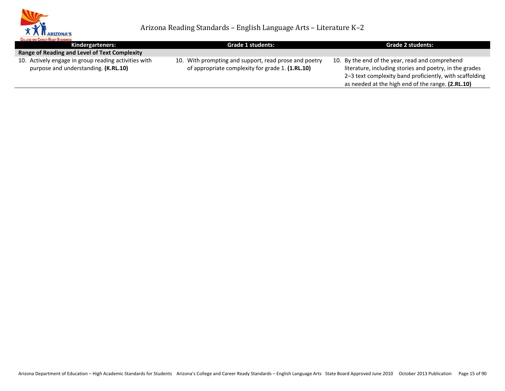

| <b>COLLEGE AND CAREER READY STANDARDS</b><br><b>Kindergarteners:</b>                         | <b>Grade 1 students:</b>                                                                                  | <b>Grade 2 students:</b>                                                                                                                                                                                                   |
|----------------------------------------------------------------------------------------------|-----------------------------------------------------------------------------------------------------------|----------------------------------------------------------------------------------------------------------------------------------------------------------------------------------------------------------------------------|
| Range of Reading and Level of Text Complexity                                                |                                                                                                           |                                                                                                                                                                                                                            |
| 10. Actively engage in group reading activities with<br>purpose and understanding. (K.RL.10) | 10. With prompting and support, read prose and poetry<br>of appropriate complexity for grade 1. (1.RL.10) | 10. By the end of the year, read and comprehend<br>literature, including stories and poetry, in the grades<br>2-3 text complexity band proficiently, with scaffolding<br>as needed at the high end of the range. (2.RL.10) |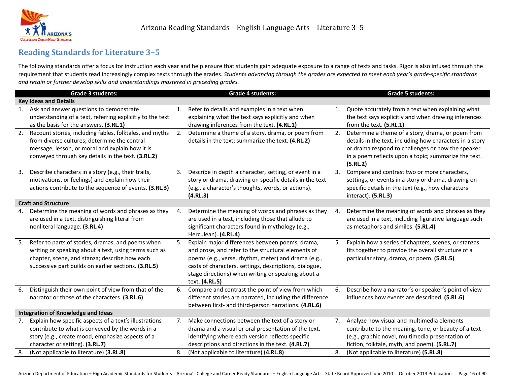

# **Reading Standards for Literature 3–5**

The following standards offer <sup>a</sup> focus for instruction each year and help ensure that students gain adequate exposure to <sup>a</sup> range of texts and tasks. Rigor is also infused through the requirement that students read increasingly complex texts through the grades. Students advancing through the grades are expected to meet each year's grade-specific standards *and retain or further develop skills and understandings mastered in preceding grades.*

| <b>Key Ideas and Details</b><br>1. Ask and answer questions to demonstrate<br>Refer to details and examples in a text when<br>Quote accurately from a text when explaining what<br>$\mathbf{1}$ .<br>1.<br>understanding of a text, referring explicitly to the text<br>the text says explicitly and when drawing inferences<br>explaining what the text says explicitly and when<br>drawing inferences from the text. (4.RL.1)<br>as the basis for the answers. (3.RL.1)<br>from the text. (5.RL.1)<br>Determine a theme of a story, drama, or poem from<br>Recount stories, including fables, folktales, and myths<br>2.<br>Determine a theme of a story, drama, or poem from<br>2.<br>2.<br>from diverse cultures; determine the central<br>details in the text; summarize the text. (4.RL.2)<br>details in the text, including how characters in a story<br>message, lesson, or moral and explain how it is<br>or drama respond to challenges or how the speaker<br>conveyed through key details in the text. (3.RL.2)<br>in a poem reflects upon a topic; summarize the text.<br>(5.RL.2)<br>Describe characters in a story (e.g., their traits,<br>Describe in depth a character, setting, or event in a<br>Compare and contrast two or more characters,<br>3.<br>3.<br>3.<br>motivations, or feelings) and explain how their<br>story or drama, drawing on specific details in the text<br>settings, or events in a story or drama, drawing on<br>(e.g., a character's thoughts, words, or actions).<br>actions contribute to the sequence of events. (3.RL.3)<br>specific details in the text (e.g., how characters<br>interact). (5.RL.3)<br>(4.RL.3)<br><b>Craft and Structure</b><br>Determine the meaning of words and phrases as they<br>Determine the meaning of words and phrases as they<br>Determine the meaning of words and phrases as they<br>4.<br>4.<br>4.<br>are used in a text, distinguishing literal from<br>are used in a text, including those that allude to<br>are used in a text, including figurative language such<br>nonliteral language. (3.RL.4)<br>significant characters found in mythology (e.g.,<br>as metaphors and similes. (5.RL.4)<br>Herculean). (4.RL.4)<br>Explain major differences between poems, drama,<br>Refer to parts of stories, dramas, and poems when<br>5.<br>5.<br>Explain how a series of chapters, scenes, or stanzas<br>5.<br>writing or speaking about a text, using terms such as<br>and prose, and refer to the structural elements of<br>fits together to provide the overall structure of a<br>chapter, scene, and stanza; describe how each<br>poems (e.g., verse, rhythm, meter) and drama (e.g.,<br>particular story, drama, or poem. (5.RL.5)<br>successive part builds on earlier sections. (3.RL.5)<br>casts of characters, settings, descriptions, dialogue,<br>stage directions) when writing or speaking about a<br>text. (4.RL.5)<br>Distinguish their own point of view from that of the<br>Compare and contrast the point of view from which<br>Describe how a narrator's or speaker's point of view<br>6.<br>6.<br>6.<br>different stories are narrated, including the difference<br>narrator or those of the characters. (3.RL.6)<br>influences how events are described. (5.RL.6)<br>between first- and third-person narrations. (4.RL.6)<br>Integration of Knowledge and Ideas<br>7. Explain how specific aspects of a text's illustrations<br>7. Make connections between the text of a story or<br>Analyze how visual and multimedia elements<br>7.<br>drama and a visual or oral presentation of the text,<br>contribute to what is conveyed by the words in a<br>contribute to the meaning, tone, or beauty of a text<br>story (e.g., create mood, emphasize aspects of a<br>identifying where each version reflects specific<br>(e.g., graphic novel, multimedia presentation of<br>descriptions and directions in the text. (4.RL.7)<br>character or setting). (3.RL.7)<br>fiction, folktale, myth, and poem). (5.RL.7)<br>(Not applicable to literature) (3.RL.8)<br>(Not applicable to literature) (4.RL.8)<br>(Not applicable to literature) (5.RL.8)<br>8.<br>8.<br>8. |  | <b>Grade 3 students:</b> |  | <b>Grade 4 students:</b> |  | <b>Grade 5 students:</b> |
|---------------------------------------------------------------------------------------------------------------------------------------------------------------------------------------------------------------------------------------------------------------------------------------------------------------------------------------------------------------------------------------------------------------------------------------------------------------------------------------------------------------------------------------------------------------------------------------------------------------------------------------------------------------------------------------------------------------------------------------------------------------------------------------------------------------------------------------------------------------------------------------------------------------------------------------------------------------------------------------------------------------------------------------------------------------------------------------------------------------------------------------------------------------------------------------------------------------------------------------------------------------------------------------------------------------------------------------------------------------------------------------------------------------------------------------------------------------------------------------------------------------------------------------------------------------------------------------------------------------------------------------------------------------------------------------------------------------------------------------------------------------------------------------------------------------------------------------------------------------------------------------------------------------------------------------------------------------------------------------------------------------------------------------------------------------------------------------------------------------------------------------------------------------------------------------------------------------------------------------------------------------------------------------------------------------------------------------------------------------------------------------------------------------------------------------------------------------------------------------------------------------------------------------------------------------------------------------------------------------------------------------------------------------------------------------------------------------------------------------------------------------------------------------------------------------------------------------------------------------------------------------------------------------------------------------------------------------------------------------------------------------------------------------------------------------------------------------------------------------------------------------------------------------------------------------------------------------------------------------------------------------------------------------------------------------------------------------------------------------------------------------------------------------------------------------------------------------------------------------------------------------------------------------------------------------------------------------------------------------------------------------------------------------------------------------------------------------------------------------------------------------------------------------------------------------------------------------------------------------------------------------------------------------------------------------------------------------------------------------------------------------------------------------------------------------------------------------------------------------------------------------------------------------------|--|--------------------------|--|--------------------------|--|--------------------------|
|                                                                                                                                                                                                                                                                                                                                                                                                                                                                                                                                                                                                                                                                                                                                                                                                                                                                                                                                                                                                                                                                                                                                                                                                                                                                                                                                                                                                                                                                                                                                                                                                                                                                                                                                                                                                                                                                                                                                                                                                                                                                                                                                                                                                                                                                                                                                                                                                                                                                                                                                                                                                                                                                                                                                                                                                                                                                                                                                                                                                                                                                                                                                                                                                                                                                                                                                                                                                                                                                                                                                                                                                                                                                                                                                                                                                                                                                                                                                                                                                                                                                                                                                                                     |  |                          |  |                          |  |                          |
|                                                                                                                                                                                                                                                                                                                                                                                                                                                                                                                                                                                                                                                                                                                                                                                                                                                                                                                                                                                                                                                                                                                                                                                                                                                                                                                                                                                                                                                                                                                                                                                                                                                                                                                                                                                                                                                                                                                                                                                                                                                                                                                                                                                                                                                                                                                                                                                                                                                                                                                                                                                                                                                                                                                                                                                                                                                                                                                                                                                                                                                                                                                                                                                                                                                                                                                                                                                                                                                                                                                                                                                                                                                                                                                                                                                                                                                                                                                                                                                                                                                                                                                                                                     |  |                          |  |                          |  |                          |
|                                                                                                                                                                                                                                                                                                                                                                                                                                                                                                                                                                                                                                                                                                                                                                                                                                                                                                                                                                                                                                                                                                                                                                                                                                                                                                                                                                                                                                                                                                                                                                                                                                                                                                                                                                                                                                                                                                                                                                                                                                                                                                                                                                                                                                                                                                                                                                                                                                                                                                                                                                                                                                                                                                                                                                                                                                                                                                                                                                                                                                                                                                                                                                                                                                                                                                                                                                                                                                                                                                                                                                                                                                                                                                                                                                                                                                                                                                                                                                                                                                                                                                                                                                     |  |                          |  |                          |  |                          |
|                                                                                                                                                                                                                                                                                                                                                                                                                                                                                                                                                                                                                                                                                                                                                                                                                                                                                                                                                                                                                                                                                                                                                                                                                                                                                                                                                                                                                                                                                                                                                                                                                                                                                                                                                                                                                                                                                                                                                                                                                                                                                                                                                                                                                                                                                                                                                                                                                                                                                                                                                                                                                                                                                                                                                                                                                                                                                                                                                                                                                                                                                                                                                                                                                                                                                                                                                                                                                                                                                                                                                                                                                                                                                                                                                                                                                                                                                                                                                                                                                                                                                                                                                                     |  |                          |  |                          |  |                          |
|                                                                                                                                                                                                                                                                                                                                                                                                                                                                                                                                                                                                                                                                                                                                                                                                                                                                                                                                                                                                                                                                                                                                                                                                                                                                                                                                                                                                                                                                                                                                                                                                                                                                                                                                                                                                                                                                                                                                                                                                                                                                                                                                                                                                                                                                                                                                                                                                                                                                                                                                                                                                                                                                                                                                                                                                                                                                                                                                                                                                                                                                                                                                                                                                                                                                                                                                                                                                                                                                                                                                                                                                                                                                                                                                                                                                                                                                                                                                                                                                                                                                                                                                                                     |  |                          |  |                          |  |                          |
|                                                                                                                                                                                                                                                                                                                                                                                                                                                                                                                                                                                                                                                                                                                                                                                                                                                                                                                                                                                                                                                                                                                                                                                                                                                                                                                                                                                                                                                                                                                                                                                                                                                                                                                                                                                                                                                                                                                                                                                                                                                                                                                                                                                                                                                                                                                                                                                                                                                                                                                                                                                                                                                                                                                                                                                                                                                                                                                                                                                                                                                                                                                                                                                                                                                                                                                                                                                                                                                                                                                                                                                                                                                                                                                                                                                                                                                                                                                                                                                                                                                                                                                                                                     |  |                          |  |                          |  |                          |
|                                                                                                                                                                                                                                                                                                                                                                                                                                                                                                                                                                                                                                                                                                                                                                                                                                                                                                                                                                                                                                                                                                                                                                                                                                                                                                                                                                                                                                                                                                                                                                                                                                                                                                                                                                                                                                                                                                                                                                                                                                                                                                                                                                                                                                                                                                                                                                                                                                                                                                                                                                                                                                                                                                                                                                                                                                                                                                                                                                                                                                                                                                                                                                                                                                                                                                                                                                                                                                                                                                                                                                                                                                                                                                                                                                                                                                                                                                                                                                                                                                                                                                                                                                     |  |                          |  |                          |  |                          |
|                                                                                                                                                                                                                                                                                                                                                                                                                                                                                                                                                                                                                                                                                                                                                                                                                                                                                                                                                                                                                                                                                                                                                                                                                                                                                                                                                                                                                                                                                                                                                                                                                                                                                                                                                                                                                                                                                                                                                                                                                                                                                                                                                                                                                                                                                                                                                                                                                                                                                                                                                                                                                                                                                                                                                                                                                                                                                                                                                                                                                                                                                                                                                                                                                                                                                                                                                                                                                                                                                                                                                                                                                                                                                                                                                                                                                                                                                                                                                                                                                                                                                                                                                                     |  |                          |  |                          |  |                          |
|                                                                                                                                                                                                                                                                                                                                                                                                                                                                                                                                                                                                                                                                                                                                                                                                                                                                                                                                                                                                                                                                                                                                                                                                                                                                                                                                                                                                                                                                                                                                                                                                                                                                                                                                                                                                                                                                                                                                                                                                                                                                                                                                                                                                                                                                                                                                                                                                                                                                                                                                                                                                                                                                                                                                                                                                                                                                                                                                                                                                                                                                                                                                                                                                                                                                                                                                                                                                                                                                                                                                                                                                                                                                                                                                                                                                                                                                                                                                                                                                                                                                                                                                                                     |  |                          |  |                          |  |                          |
|                                                                                                                                                                                                                                                                                                                                                                                                                                                                                                                                                                                                                                                                                                                                                                                                                                                                                                                                                                                                                                                                                                                                                                                                                                                                                                                                                                                                                                                                                                                                                                                                                                                                                                                                                                                                                                                                                                                                                                                                                                                                                                                                                                                                                                                                                                                                                                                                                                                                                                                                                                                                                                                                                                                                                                                                                                                                                                                                                                                                                                                                                                                                                                                                                                                                                                                                                                                                                                                                                                                                                                                                                                                                                                                                                                                                                                                                                                                                                                                                                                                                                                                                                                     |  |                          |  |                          |  |                          |
|                                                                                                                                                                                                                                                                                                                                                                                                                                                                                                                                                                                                                                                                                                                                                                                                                                                                                                                                                                                                                                                                                                                                                                                                                                                                                                                                                                                                                                                                                                                                                                                                                                                                                                                                                                                                                                                                                                                                                                                                                                                                                                                                                                                                                                                                                                                                                                                                                                                                                                                                                                                                                                                                                                                                                                                                                                                                                                                                                                                                                                                                                                                                                                                                                                                                                                                                                                                                                                                                                                                                                                                                                                                                                                                                                                                                                                                                                                                                                                                                                                                                                                                                                                     |  |                          |  |                          |  |                          |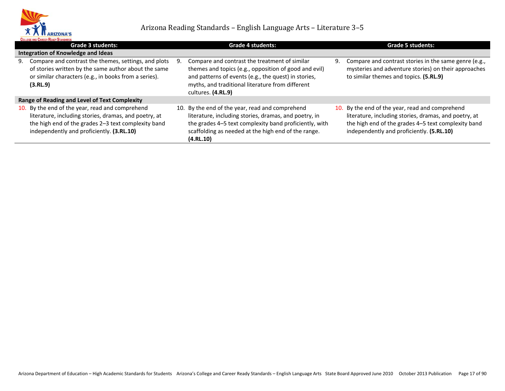

| <b><i><u>OVELDOE AND OANEEN INEADT OTANDAND</u></i></b><br><b>Grade 3 students:</b>                                                                                                                          | <b>Grade 4 students:</b>                                                                                                                                                                                                                 | <b>Grade 5 students:</b>                                                                                                                                                                                     |
|--------------------------------------------------------------------------------------------------------------------------------------------------------------------------------------------------------------|------------------------------------------------------------------------------------------------------------------------------------------------------------------------------------------------------------------------------------------|--------------------------------------------------------------------------------------------------------------------------------------------------------------------------------------------------------------|
| Integration of Knowledge and Ideas                                                                                                                                                                           |                                                                                                                                                                                                                                          |                                                                                                                                                                                                              |
| 9. Compare and contrast the themes, settings, and plots<br>of stories written by the same author about the same<br>or similar characters (e.g., in books from a series).<br>(3.RL.9)                         | Compare and contrast the treatment of similar<br>themes and topics (e.g., opposition of good and evil)<br>and patterns of events (e.g., the quest) in stories,<br>myths, and traditional literature from different<br>cultures. (4.RL.9) | Compare and contrast stories in the same genre (e.g.,<br>9.<br>mysteries and adventure stories) on their approaches<br>to similar themes and topics. (5.RL.9)                                                |
| <b>Range of Reading and Level of Text Complexity</b>                                                                                                                                                         |                                                                                                                                                                                                                                          |                                                                                                                                                                                                              |
| 10. By the end of the year, read and comprehend<br>literature, including stories, dramas, and poetry, at<br>the high end of the grades 2-3 text complexity band<br>independently and proficiently. (3.RL.10) | 10. By the end of the year, read and comprehend<br>literature, including stories, dramas, and poetry, in<br>the grades 4-5 text complexity band proficiently, with<br>scaffolding as needed at the high end of the range.<br>(4.RL.10)   | 10. By the end of the year, read and comprehend<br>literature, including stories, dramas, and poetry, at<br>the high end of the grades 4-5 text complexity band<br>independently and proficiently. (5.RL.10) |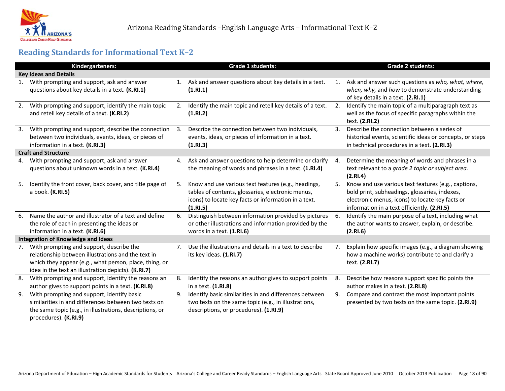

### **Reading Standards for Informational Text K–2**

|    | Kindergarteners:                                                                                                                                                                                                   |    | <b>Grade 1 students:</b>                                                                                                                                                     |    | <b>Grade 2 students:</b>                                                                                                                                                                               |
|----|--------------------------------------------------------------------------------------------------------------------------------------------------------------------------------------------------------------------|----|------------------------------------------------------------------------------------------------------------------------------------------------------------------------------|----|--------------------------------------------------------------------------------------------------------------------------------------------------------------------------------------------------------|
|    | <b>Key Ideas and Details</b>                                                                                                                                                                                       |    |                                                                                                                                                                              |    |                                                                                                                                                                                                        |
| 1. | With prompting and support, ask and answer<br>questions about key details in a text. (K.RI.1)                                                                                                                      | 1. | Ask and answer questions about key details in a text.<br>(1.RI.1)                                                                                                            |    | Ask and answer such questions as who, what, where,<br>when, why, and how to demonstrate understanding<br>of key details in a text. (2.RI.1)                                                            |
| 2. | With prompting and support, identify the main topic<br>and retell key details of a text. (K.RI.2)                                                                                                                  | 2. | Identify the main topic and retell key details of a text.<br>(1.RI.2)                                                                                                        | 2. | Identify the main topic of a multiparagraph text as<br>well as the focus of specific paragraphs within the<br>text. (2.RI.2)                                                                           |
| 3. | With prompting and support, describe the connection 3.<br>between two individuals, events, ideas, or pieces of<br>information in a text. (K.RI.3)                                                                  |    | Describe the connection between two individuals,<br>events, ideas, or pieces of information in a text.<br>(1.RI.3)                                                           | 3. | Describe the connection between a series of<br>historical events, scientific ideas or concepts, or steps<br>in technical procedures in a text. (2.RI.3)                                                |
|    | <b>Craft and Structure</b>                                                                                                                                                                                         |    |                                                                                                                                                                              |    |                                                                                                                                                                                                        |
| 4. | With prompting and support, ask and answer<br>questions about unknown words in a text. (K.RI.4)                                                                                                                    | 4. | Ask and answer questions to help determine or clarify<br>the meaning of words and phrases in a text. (1.RI.4)                                                                | 4. | Determine the meaning of words and phrases in a<br>text relevant to a grade 2 topic or subject area.<br>(2.RI.4)                                                                                       |
| 5. | Identify the front cover, back cover, and title page of<br>a book. (K.RI.5)                                                                                                                                        | 5. | Know and use various text features (e.g., headings,<br>tables of contents, glossaries, electronic menus,<br>icons) to locate key facts or information in a text.<br>(1.RI.5) | 5. | Know and use various text features (e.g., captions,<br>bold print, subheadings, glossaries, indexes,<br>electronic menus, icons) to locate key facts or<br>information in a text efficiently. (2.RI.5) |
| 6. | Name the author and illustrator of a text and define<br>the role of each in presenting the ideas or<br>information in a text. (K.RI.6)                                                                             | 6. | Distinguish between information provided by pictures 6.<br>or other illustrations and information provided by the<br>words in a text. (1.RI.6)                               |    | Identify the main purpose of a text, including what<br>the author wants to answer, explain, or describe.<br>(2.RI.6)                                                                                   |
|    | Integration of Knowledge and Ideas                                                                                                                                                                                 |    |                                                                                                                                                                              |    |                                                                                                                                                                                                        |
|    | 7. With prompting and support, describe the<br>relationship between illustrations and the text in<br>which they appear (e.g., what person, place, thing, or<br>idea in the text an illustration depicts). (K.RI.7) | 7. | Use the illustrations and details in a text to describe<br>its key ideas. (1.RI.7)                                                                                           | 7. | Explain how specific images (e.g., a diagram showing<br>how a machine works) contribute to and clarify a<br>text. (2.RI.7)                                                                             |
| 8. | With prompting and support, identify the reasons an<br>author gives to support points in a text. (K.RI.8)                                                                                                          | 8. | Identify the reasons an author gives to support points<br>in a text. (1.RI.8)                                                                                                | 8. | Describe how reasons support specific points the<br>author makes in a text. (2.RI.8)                                                                                                                   |
| 9. | With prompting and support, identify basic<br>similarities in and differences between two texts on<br>the same topic (e.g., in illustrations, descriptions, or<br>procedures). (K.RI.9)                            | 9. | Identify basic similarities in and differences between<br>two texts on the same topic (e.g., in illustrations,<br>descriptions, or procedures). (1.RI.9)                     | 9. | Compare and contrast the most important points<br>presented by two texts on the same topic. (2.RI.9)                                                                                                   |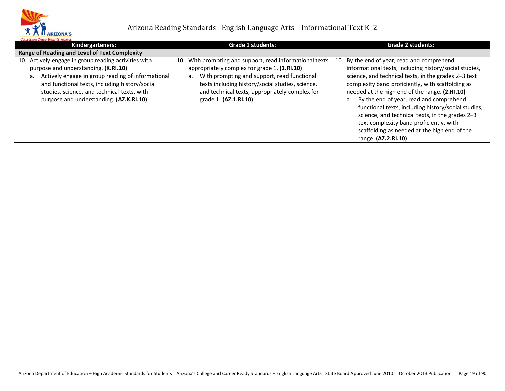

### Arizona Reading Standards -English Language Arts - Informational Text K-2

| <b>COLLEGE AND CAREER READY STANDARDS</b>                                                                                                                                                                                                                                                           |                                                                                                                                                                                                                                                                                              |                                                                                                                                                                                                                                                                                                                                                                                                                                                                                                                                                |
|-----------------------------------------------------------------------------------------------------------------------------------------------------------------------------------------------------------------------------------------------------------------------------------------------------|----------------------------------------------------------------------------------------------------------------------------------------------------------------------------------------------------------------------------------------------------------------------------------------------|------------------------------------------------------------------------------------------------------------------------------------------------------------------------------------------------------------------------------------------------------------------------------------------------------------------------------------------------------------------------------------------------------------------------------------------------------------------------------------------------------------------------------------------------|
| Kindergarteners:                                                                                                                                                                                                                                                                                    | <b>Grade 1 students:</b>                                                                                                                                                                                                                                                                     | <b>Grade 2 students:</b>                                                                                                                                                                                                                                                                                                                                                                                                                                                                                                                       |
| Range of Reading and Level of Text Complexity                                                                                                                                                                                                                                                       |                                                                                                                                                                                                                                                                                              |                                                                                                                                                                                                                                                                                                                                                                                                                                                                                                                                                |
| 10. Actively engage in group reading activities with<br>purpose and understanding. (K.RI.10)<br>Actively engage in group reading of informational<br>а.<br>and functional texts, including history/social<br>studies, science, and technical texts, with<br>purpose and understanding. (AZ.K.RI.10) | 10. With prompting and support, read informational texts<br>appropriately complex for grade 1. (1.RI.10)<br>With prompting and support, read functional<br>a.<br>texts including history/social studies, science,<br>and technical texts, appropriately complex for<br>grade 1. (AZ.1.RI.10) | 10. By the end of year, read and comprehend<br>informational texts, including history/social studies,<br>science, and technical texts, in the grades 2-3 text<br>complexity band proficiently, with scaffolding as<br>needed at the high end of the range. (2.RI.10)<br>a. By the end of year, read and comprehend<br>functional texts, including history/social studies,<br>science, and technical texts, in the grades 2-3<br>text complexity band proficiently, with<br>scaffolding as needed at the high end of the<br>range. (AZ.2.RI.10) |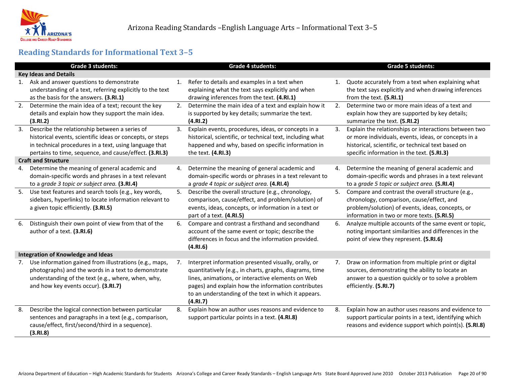

### **Reading Standards for Informational Text 3–5**

|    | <b>Grade 3 students:</b>                                                                                                                                                                                                       |    | <b>Grade 4 students:</b>                                                                                                                                                                                                                                                                       |    | <b>Grade 5 students:</b>                                                                                                                                                                                          |
|----|--------------------------------------------------------------------------------------------------------------------------------------------------------------------------------------------------------------------------------|----|------------------------------------------------------------------------------------------------------------------------------------------------------------------------------------------------------------------------------------------------------------------------------------------------|----|-------------------------------------------------------------------------------------------------------------------------------------------------------------------------------------------------------------------|
|    | <b>Key Ideas and Details</b>                                                                                                                                                                                                   |    |                                                                                                                                                                                                                                                                                                |    |                                                                                                                                                                                                                   |
|    | 1. Ask and answer questions to demonstrate<br>understanding of a text, referring explicitly to the text<br>as the basis for the answers. (3.RI.1)                                                                              | 1. | Refer to details and examples in a text when<br>explaining what the text says explicitly and when<br>drawing inferences from the text. (4.RI.1)                                                                                                                                                | 1. | Quote accurately from a text when explaining what<br>the text says explicitly and when drawing inferences<br>from the text. (5.RI.1)                                                                              |
| 2. | Determine the main idea of a text; recount the key<br>details and explain how they support the main idea.<br>(3.RI.2)                                                                                                          | 2. | Determine the main idea of a text and explain how it<br>is supported by key details; summarize the text.<br>(4.RI.2)                                                                                                                                                                           | 2. | Determine two or more main ideas of a text and<br>explain how they are supported by key details;<br>summarize the text. (5.RI.2)                                                                                  |
| 3. | Describe the relationship between a series of<br>historical events, scientific ideas or concepts, or steps<br>in technical procedures in a text, using language that<br>pertains to time, sequence, and cause/effect. (3.RI.3) | 3. | Explain events, procedures, ideas, or concepts in a<br>historical, scientific, or technical text, including what<br>happened and why, based on specific information in<br>the text. (4.RI.3)                                                                                                   | 3. | Explain the relationships or interactions between two<br>or more individuals, events, ideas, or concepts in a<br>historical, scientific, or technical text based on<br>specific information in the text. (5.RI.3) |
|    | <b>Craft and Structure</b>                                                                                                                                                                                                     |    |                                                                                                                                                                                                                                                                                                |    |                                                                                                                                                                                                                   |
| 4. | Determine the meaning of general academic and<br>domain-specific words and phrases in a text relevant<br>to a grade 3 topic or subject area. (3.RI.4)                                                                          | 4. | Determine the meaning of general academic and<br>domain-specific words or phrases in a text relevant to<br>a grade 4 topic or subject area. (4.RI.4)                                                                                                                                           | 4. | Determine the meaning of general academic and<br>domain-specific words and phrases in a text relevant<br>to a grade 5 topic or subject area. (5.RI.4)                                                             |
| 5. | Use text features and search tools (e.g., key words,<br>sidebars, hyperlinks) to locate information relevant to<br>a given topic efficiently. (3.RI.5)                                                                         | 5. | Describe the overall structure (e.g., chronology,<br>comparison, cause/effect, and problem/solution) of<br>events, ideas, concepts, or information in a text or<br>part of a text. (4.RI.5)                                                                                                    | 5. | Compare and contrast the overall structure (e.g.,<br>chronology, comparison, cause/effect, and<br>problem/solution) of events, ideas, concepts, or<br>information in two or more texts. (5.RI.5)                  |
| 6. | Distinguish their own point of view from that of the<br>author of a text. (3.RI.6)                                                                                                                                             | 6. | Compare and contrast a firsthand and secondhand<br>account of the same event or topic; describe the<br>differences in focus and the information provided.<br>(4.RI.6)                                                                                                                          | 6. | Analyze multiple accounts of the same event or topic,<br>noting important similarities and differences in the<br>point of view they represent. (5.RI.6)                                                           |
|    | Integration of Knowledge and Ideas                                                                                                                                                                                             |    |                                                                                                                                                                                                                                                                                                |    |                                                                                                                                                                                                                   |
| 7. | Use information gained from illustrations (e.g., maps,<br>photographs) and the words in a text to demonstrate<br>understanding of the text (e.g., where, when, why,<br>and how key events occur). (3.RI.7)                     | 7. | Interpret information presented visually, orally, or<br>quantitatively (e.g., in charts, graphs, diagrams, time<br>lines, animations, or interactive elements on Web<br>pages) and explain how the information contributes<br>to an understanding of the text in which it appears.<br>(4.RI.7) | 7. | Draw on information from multiple print or digital<br>sources, demonstrating the ability to locate an<br>answer to a question quickly or to solve a problem<br>efficiently. (5.RI.7)                              |
| 8. | Describe the logical connection between particular<br>sentences and paragraphs in a text (e.g., comparison,<br>cause/effect, first/second/third in a sequence).<br>(3.RI.8)                                                    | 8. | Explain how an author uses reasons and evidence to<br>support particular points in a text. (4.RI.8)                                                                                                                                                                                            | 8. | Explain how an author uses reasons and evidence to<br>support particular points in a text, identifying which<br>reasons and evidence support which point(s). (5.RI.8)                                             |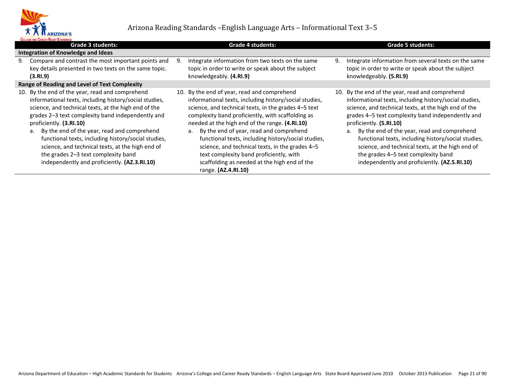

| <b>UOLLEGE AND UAREER NEADY STANDARDS</b>                                                                                                                                                                                                                                                                                                                                                                                                                                                             |                                                                                                                                                                                                                                                                                                                                                                                                                                                                                                                                                   |                                                                                                                                                                                                                                                                                                                                                                                                                                                                                                          |
|-------------------------------------------------------------------------------------------------------------------------------------------------------------------------------------------------------------------------------------------------------------------------------------------------------------------------------------------------------------------------------------------------------------------------------------------------------------------------------------------------------|---------------------------------------------------------------------------------------------------------------------------------------------------------------------------------------------------------------------------------------------------------------------------------------------------------------------------------------------------------------------------------------------------------------------------------------------------------------------------------------------------------------------------------------------------|----------------------------------------------------------------------------------------------------------------------------------------------------------------------------------------------------------------------------------------------------------------------------------------------------------------------------------------------------------------------------------------------------------------------------------------------------------------------------------------------------------|
| <b>Grade 3 students:</b>                                                                                                                                                                                                                                                                                                                                                                                                                                                                              | Grade 4 students:                                                                                                                                                                                                                                                                                                                                                                                                                                                                                                                                 | <b>Grade 5 students:</b>                                                                                                                                                                                                                                                                                                                                                                                                                                                                                 |
| Integration of Knowledge and Ideas                                                                                                                                                                                                                                                                                                                                                                                                                                                                    |                                                                                                                                                                                                                                                                                                                                                                                                                                                                                                                                                   |                                                                                                                                                                                                                                                                                                                                                                                                                                                                                                          |
| 9. Compare and contrast the most important points and<br>key details presented in two texts on the same topic.<br>(3.RI.9)                                                                                                                                                                                                                                                                                                                                                                            | Integrate information from two texts on the same<br>topic in order to write or speak about the subject<br>knowledgeably. (4.RI.9)                                                                                                                                                                                                                                                                                                                                                                                                                 | Integrate information from several texts on the same<br>9.<br>topic in order to write or speak about the subject<br>knowledgeably. (5.RI.9)                                                                                                                                                                                                                                                                                                                                                              |
| <b>Range of Reading and Level of Text Complexity</b>                                                                                                                                                                                                                                                                                                                                                                                                                                                  |                                                                                                                                                                                                                                                                                                                                                                                                                                                                                                                                                   |                                                                                                                                                                                                                                                                                                                                                                                                                                                                                                          |
| 10. By the end of the year, read and comprehend<br>informational texts, including history/social studies,<br>science, and technical texts, at the high end of the<br>grades 2-3 text complexity band independently and<br>proficiently. (3.RI.10)<br>a. By the end of the year, read and comprehend<br>functional texts, including history/social studies,<br>science, and technical texts, at the high end of<br>the grades 2-3 text complexity band<br>independently and proficiently. (AZ.3.RI.10) | 10. By the end of year, read and comprehend<br>informational texts, including history/social studies,<br>science, and technical texts, in the grades 4-5 text<br>complexity band proficiently, with scaffolding as<br>needed at the high end of the range. (4.RI.10)<br>By the end of year, read and comprehend<br>a.<br>functional texts, including history/social studies,<br>science, and technical texts, in the grades 4-5<br>text complexity band proficiently, with<br>scaffolding as needed at the high end of the<br>range. (AZ.4.RI.10) | 10. By the end of the year, read and comprehend<br>informational texts, including history/social studies,<br>science, and technical texts, at the high end of the<br>grades 4-5 text complexity band independently and<br>proficiently. (5.RI.10)<br>By the end of the year, read and comprehend<br>a.<br>functional texts, including history/social studies,<br>science, and technical texts, at the high end of<br>the grades 4-5 text complexity band<br>independently and proficiently. (AZ.5.RI.10) |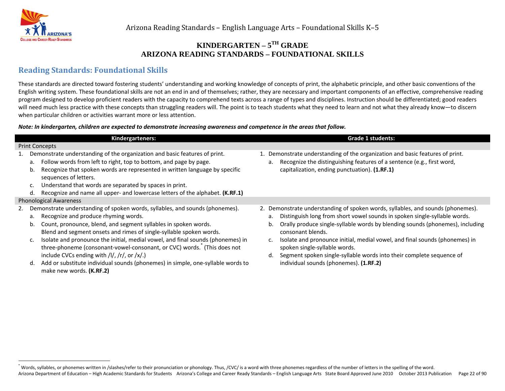

# **KINDERGARTEN – 5TH GRADE ARIZONA READING STANDARDS – FOUNDATIONAL SKILLS**

# **Reading Standards: Foundational Skills**

These standards are directed toward fostering students' understanding and working knowledge of concepts of print, the alphabetic principle, and other basic conventions of the English writing system. These foundational skills are not an end in and of themselves; rather, they are necessary and important components of an effective, comprehensive reading program designed to develop proficient readers with the capacity to comprehend texts across <sup>a</sup> range of types and disciplines. Instruction should be differentiated; good readers will need much less practice with these concepts than struggling readers will. The point is to teach students what they need to learn and not what they already know—to discern when particular children or activities warrant more or less attention.

Note: In kindergarten, children are expected to demonstrate increasing awareness and competence in the areas that follow.

|                            | Kindergarteners:                                                                                                                                                                                                                                                                                                                                                                                                                                                                                                                                                                                    | <b>Grade 1 students:</b>                                                                                                                                                                                                                                                                                                                                                                                                                                                                                                                 |  |  |  |  |
|----------------------------|-----------------------------------------------------------------------------------------------------------------------------------------------------------------------------------------------------------------------------------------------------------------------------------------------------------------------------------------------------------------------------------------------------------------------------------------------------------------------------------------------------------------------------------------------------------------------------------------------------|------------------------------------------------------------------------------------------------------------------------------------------------------------------------------------------------------------------------------------------------------------------------------------------------------------------------------------------------------------------------------------------------------------------------------------------------------------------------------------------------------------------------------------------|--|--|--|--|
| <b>Print Concepts</b>      |                                                                                                                                                                                                                                                                                                                                                                                                                                                                                                                                                                                                     |                                                                                                                                                                                                                                                                                                                                                                                                                                                                                                                                          |  |  |  |  |
| a.<br>b.<br>c.<br>d.       | Demonstrate understanding of the organization and basic features of print.<br>Follow words from left to right, top to bottom, and page by page.<br>Recognize that spoken words are represented in written language by specific<br>sequences of letters.<br>Understand that words are separated by spaces in print.<br>Recognize and name all upper- and lowercase letters of the alphabet. (K.RF.1)                                                                                                                                                                                                 | 1. Demonstrate understanding of the organization and basic features of print.<br>Recognize the distinguishing features of a sentence (e.g., first word,<br>а.<br>capitalization, ending punctuation). (1.RF.1)                                                                                                                                                                                                                                                                                                                           |  |  |  |  |
| Phonological Awareness     |                                                                                                                                                                                                                                                                                                                                                                                                                                                                                                                                                                                                     |                                                                                                                                                                                                                                                                                                                                                                                                                                                                                                                                          |  |  |  |  |
| 2.<br>a.<br>b.<br>c.<br>d. | Demonstrate understanding of spoken words, syllables, and sounds (phonemes).<br>Recognize and produce rhyming words.<br>Count, pronounce, blend, and segment syllables in spoken words.<br>Blend and segment onsets and rimes of single-syllable spoken words.<br>Isolate and pronounce the initial, medial vowel, and final sounds (phonemes) in<br>three-phoneme (consonant-vowel-consonant, or CVC) words. (This does not<br>include CVCs ending with $/1/$ , $/r/$ , or $/x/$ .)<br>Add or substitute individual sounds (phonemes) in simple, one-syllable words to<br>make new words. (K.RF.2) | 2. Demonstrate understanding of spoken words, syllables, and sounds (phonemes).<br>Distinguish long from short vowel sounds in spoken single-syllable words.<br>a.<br>Orally produce single-syllable words by blending sounds (phonemes), including<br>b.<br>consonant blends.<br>Isolate and pronounce initial, medial vowel, and final sounds (phonemes) in<br>$\mathsf{C}$ .<br>spoken single-syllable words.<br>Segment spoken single-syllable words into their complete sequence of<br>d.<br>individual sounds (phonemes). (1.RF.2) |  |  |  |  |

Arizona Department of Education – High Academic Standards for Students Arizona's College and Career Ready Standards – English Language Arts State Board Approved June 2010 October 2013 Publication Page 22 of 90 \* Words, syllables, or phonemes written in /slashes/refer to their pronunciation or phonology. Thus, /CVC/ is <sup>a</sup> word with three phonemes regardless of the number of letters in the spelling of the word.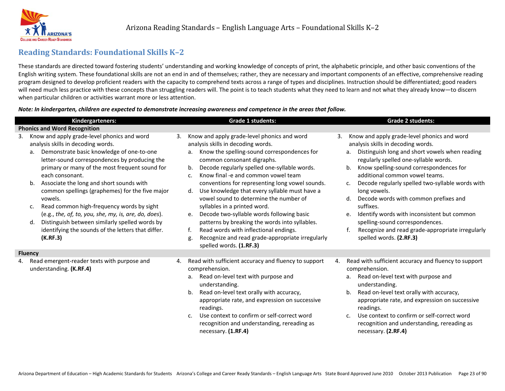

# **Reading Standards: Foundational Skills K–2**

These standards are directed toward fostering students' understanding and working knowledge of concepts of print, the alphabetic principle, and other basic conventions of the English writing system. These foundational skills are not an end in and of themselves; rather, they are necessary and important components of an effective, comprehensive reading program designed to develop proficient readers with the capacity to comprehend texts across <sup>a</sup> range of types and disciplines. Instruction should be differentiated; good readers will need much less practice with these concepts than struggling readers will. The point is to teach students what they need to learn and not what they already know—to discern when particular children or activities warrant more or less attention.

| Note: In kindergarten, children are expected to demonstrate increasing awareness and competence in the areas that follow. |  |  |  |
|---------------------------------------------------------------------------------------------------------------------------|--|--|--|
|                                                                                                                           |  |  |  |

| Kindergarteners:                                                                                                                                                                                                                                                                                                                                                                                                                                                                                                                                                                                                       | <b>Grade 1 students:</b>                                                                                                                                                                                                                                                                                                                                                                                                                                                                                                                                                                                                                                                                                   | <b>Grade 2 students:</b>                                                                                                                                                                                                                                                                                                                                                                                                                                                                                                                                                                       |
|------------------------------------------------------------------------------------------------------------------------------------------------------------------------------------------------------------------------------------------------------------------------------------------------------------------------------------------------------------------------------------------------------------------------------------------------------------------------------------------------------------------------------------------------------------------------------------------------------------------------|------------------------------------------------------------------------------------------------------------------------------------------------------------------------------------------------------------------------------------------------------------------------------------------------------------------------------------------------------------------------------------------------------------------------------------------------------------------------------------------------------------------------------------------------------------------------------------------------------------------------------------------------------------------------------------------------------------|------------------------------------------------------------------------------------------------------------------------------------------------------------------------------------------------------------------------------------------------------------------------------------------------------------------------------------------------------------------------------------------------------------------------------------------------------------------------------------------------------------------------------------------------------------------------------------------------|
| <b>Phonics and Word Recognition</b>                                                                                                                                                                                                                                                                                                                                                                                                                                                                                                                                                                                    |                                                                                                                                                                                                                                                                                                                                                                                                                                                                                                                                                                                                                                                                                                            |                                                                                                                                                                                                                                                                                                                                                                                                                                                                                                                                                                                                |
| Know and apply grade-level phonics and word<br>3.<br>analysis skills in decoding words.<br>Demonstrate basic knowledge of one-to-one<br>a.<br>letter-sound correspondences by producing the<br>primary or many of the most frequent sound for<br>each consonant.<br>Associate the long and short sounds with<br>b.<br>common spellings (graphemes) for the five major<br>vowels.<br>Read common high-frequency words by sight<br>c.<br>(e.g., the, of, to, you, she, my, is, are, do, does).<br>Distinguish between similarly spelled words by<br>d.<br>identifying the sounds of the letters that differ.<br>(K.RF.3) | 3.<br>Know and apply grade-level phonics and word<br>analysis skills in decoding words.<br>Know the spelling-sound correspondences for<br>a.<br>common consonant digraphs.<br>Decode regularly spelled one-syllable words.<br>b.<br>Know final -e and common yowel team<br>C.<br>conventions for representing long vowel sounds.<br>Use knowledge that every syllable must have a<br>d.<br>vowel sound to determine the number of<br>syllables in a printed word.<br>Decode two-syllable words following basic<br>e.<br>patterns by breaking the words into syllables.<br>Read words with inflectional endings.<br>f.<br>Recognize and read grade-appropriate irregularly<br>g.<br>spelled words. (1.RF.3) | Know and apply grade-level phonics and word<br>3.<br>analysis skills in decoding words.<br>Distinguish long and short vowels when reading<br>a.<br>regularly spelled one-syllable words.<br>Know spelling-sound correspondences for<br>b.<br>additional common vowel teams.<br>Decode regularly spelled two-syllable words with<br>c.<br>long vowels.<br>Decode words with common prefixes and<br>d.<br>suffixes.<br>Identify words with inconsistent but common<br>e.<br>spelling-sound correspondences.<br>Recognize and read grade-appropriate irregularly<br>f.<br>spelled words. (2.RF.3) |
| <b>Fluency</b>                                                                                                                                                                                                                                                                                                                                                                                                                                                                                                                                                                                                         |                                                                                                                                                                                                                                                                                                                                                                                                                                                                                                                                                                                                                                                                                                            |                                                                                                                                                                                                                                                                                                                                                                                                                                                                                                                                                                                                |
| Read emergent-reader texts with purpose and<br>4.<br>understanding. (K.RF.4)                                                                                                                                                                                                                                                                                                                                                                                                                                                                                                                                           | Read with sufficient accuracy and fluency to support<br>4.<br>comprehension.<br>Read on-level text with purpose and<br>а.<br>understanding.<br>Read on-level text orally with accuracy,<br>b.<br>appropriate rate, and expression on successive<br>readings.<br>Use context to confirm or self-correct word<br>c.<br>recognition and understanding, rereading as<br>necessary. (1.RF.4)                                                                                                                                                                                                                                                                                                                    | Read with sufficient accuracy and fluency to support<br>4.<br>comprehension.<br>Read on-level text with purpose and<br>а.<br>understanding.<br>Read on-level text orally with accuracy,<br>b.<br>appropriate rate, and expression on successive<br>readings.<br>Use context to confirm or self-correct word<br>c.<br>recognition and understanding, rereading as<br>necessary. (2.RF.4)                                                                                                                                                                                                        |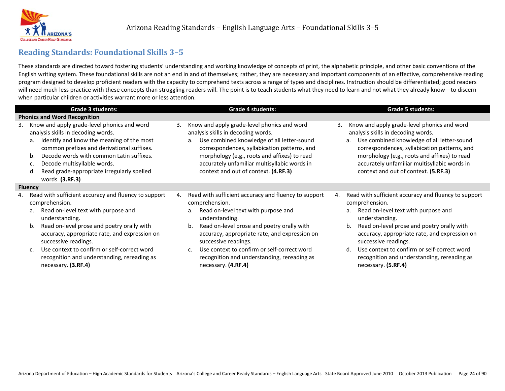

# **Reading Standards: Foundational Skills 3–5**

These standards are directed toward fostering students' understanding and working knowledge of concepts of print, the alphabetic principle, and other basic conventions of the English writing system. These foundational skills are not an end in and of themselves; rather, they are necessary and important components of an effective, comprehensive reading program designed to develop proficient readers with the capacity to comprehend texts across <sup>a</sup> range of types and disciplines. Instruction should be differentiated; good readers will need much less practice with these concepts than struggling readers will. The point is to teach students what they need to learn and not what they already know—to discern when particular children or activities warrant more or less attention.

| <b>Grade 3 students:</b>                                                                                                                                                                                                                                                                                                                                                                                     | <b>Grade 4 students:</b>                                                                                                                                                                                                                                                                                                                                                                                        | <b>Grade 5 students:</b>                                                                                                                                                                                                                                                                                                                                                                            |
|--------------------------------------------------------------------------------------------------------------------------------------------------------------------------------------------------------------------------------------------------------------------------------------------------------------------------------------------------------------------------------------------------------------|-----------------------------------------------------------------------------------------------------------------------------------------------------------------------------------------------------------------------------------------------------------------------------------------------------------------------------------------------------------------------------------------------------------------|-----------------------------------------------------------------------------------------------------------------------------------------------------------------------------------------------------------------------------------------------------------------------------------------------------------------------------------------------------------------------------------------------------|
| <b>Phonics and Word Recognition</b>                                                                                                                                                                                                                                                                                                                                                                          |                                                                                                                                                                                                                                                                                                                                                                                                                 |                                                                                                                                                                                                                                                                                                                                                                                                     |
| 3. Know and apply grade-level phonics and word<br>analysis skills in decoding words.<br>Identify and know the meaning of the most<br>a.<br>common prefixes and derivational suffixes.<br>Decode words with common Latin suffixes.<br>b.<br>Decode multisyllable words.<br>c.<br>Read grade-appropriate irregularly spelled<br>d.<br>words. (3.RF.3)                                                          | Know and apply grade-level phonics and word<br>3.<br>analysis skills in decoding words.<br>Use combined knowledge of all letter-sound<br>a.<br>correspondences, syllabication patterns, and<br>morphology (e.g., roots and affixes) to read<br>accurately unfamiliar multisyllabic words in<br>context and out of context. (4.RF.3)                                                                             | Know and apply grade-level phonics and word<br>3.<br>analysis skills in decoding words.<br>Use combined knowledge of all letter-sound<br>a.<br>correspondences, syllabication patterns, and<br>morphology (e.g., roots and affixes) to read<br>accurately unfamiliar multisyllabic words in<br>context and out of context. (5.RF.3)                                                                 |
| <b>Fluency</b>                                                                                                                                                                                                                                                                                                                                                                                               |                                                                                                                                                                                                                                                                                                                                                                                                                 |                                                                                                                                                                                                                                                                                                                                                                                                     |
| 4. Read with sufficient accuracy and fluency to support<br>comprehension.<br>Read on-level text with purpose and<br>a.<br>understanding.<br>Read on-level prose and poetry orally with<br>b.<br>accuracy, appropriate rate, and expression on<br>successive readings.<br>Use context to confirm or self-correct word<br>$\mathsf{C}$ .<br>recognition and understanding, rereading as<br>necessary. (3.RF.4) | Read with sufficient accuracy and fluency to support<br>4.<br>comprehension.<br>Read on-level text with purpose and<br>a.<br>understanding.<br>Read on-level prose and poetry orally with<br>b.<br>accuracy, appropriate rate, and expression on<br>successive readings.<br>Use context to confirm or self-correct word<br>$\mathsf{C}$ .<br>recognition and understanding, rereading as<br>necessary. (4.RF.4) | Read with sufficient accuracy and fluency to support<br>4.<br>comprehension.<br>Read on-level text with purpose and<br>a.<br>understanding.<br>Read on-level prose and poetry orally with<br>b.<br>accuracy, appropriate rate, and expression on<br>successive readings.<br>Use context to confirm or self-correct word<br>d.<br>recognition and understanding, rereading as<br>necessary. (5.RF.4) |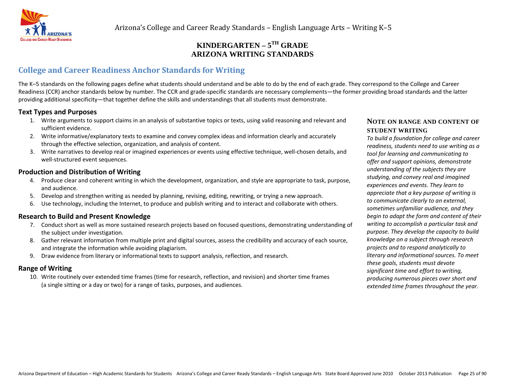

# **KINDERGARTEN – 5TH GRADE ARIZONA WRITING STANDARDS**

### **College and Career Readiness Anchor Standards for Writing**

The K–5 standards on the following pages define what students should understand and be able to do by the end of each grade. They correspond to the College and Career Readiness (CCR) anchor standards below by number. The CCR and grade‐specific standards are necessary complements—the former providing broad standards and the latter providing additional specificity—that together define the skills and understandings that all students must demonstrate.

#### **Text Types and Purposes**

- 1. Write arguments to support claims in an analysis of substantive topics or texts, using valid reasoning and relevant and sufficient evidence.
- 2. Write informative/explanatory texts to examine and convey complex ideas and information clearly and accurately through the effective selection, organization, and analysis of content.
- 3. Write narratives to develop real or imagined experiences or events using effective technique, well‐chosen details, and well‐structured event sequences.

#### **Production and Distribution of Writing**

- 4. Produce clear and coherent writing in which the development, organization, and style are appropriate to task, purpose, and audience.
- 5. Develop and strengthen writing as needed by planning, revising, editing, rewriting, or trying <sup>a</sup> new approach.
- 6. Use technology, including the Internet, to produce and publish writing and to interact and collaborate with others.

#### **Research to Build and Present Knowledge**

- 7. Conduct short as well as more sustained research projects based on focused questions, demonstrating understanding of the subject under investigation.
- 8. Gather relevant information from multiple print and digital sources, assess the credibility and accuracy of each source, and integrate the information while avoiding plagiarism.
- 9. Draw evidence from literary or informational texts to support analysis, reflection, and research.

### **Range of Writing**

10. Write routinely over extended time frames (time for research, reflection, and revision) and shorter time frames (a single sitting or <sup>a</sup> day or two) for <sup>a</sup> range of tasks, purposes, and audiences.

#### **NOTE ON RANGE AND CONTENT OF STUDENT WRITING**

*To build <sup>a</sup> foundation for college and career readiness, students need to use writing as <sup>a</sup> tool for learning and communicating to offer and support opinions, demonstrate understanding of the subjects they are studying, and convey real and imagined experiences and events. They learn to appreciate that <sup>a</sup> key purpose of writing is to communicate clearly to an external, sometimes unfamiliar audience, and they begin to adapt the form and content of their writing to accomplish <sup>a</sup> particular task and purpose. They develop the capacity to build knowledge on <sup>a</sup> subject through research projects and to respond analytically to literary and informational sources. To meet these goals, students must devote significant time and effort to writing, producing numerous pieces over short and extended time frames throughout the year.*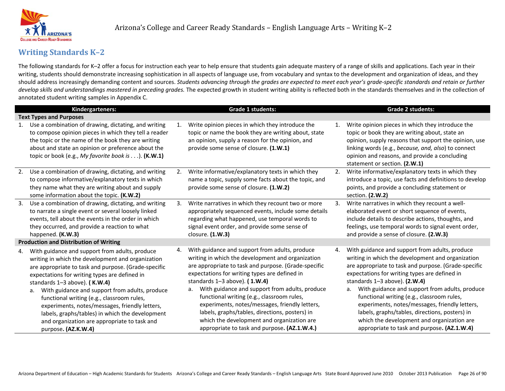

# **Writing Standards K–2**

The following standards for K–2 offer <sup>a</sup> focus for instruction each year to help ensure that students gain adequate mastery of <sup>a</sup> range of skills and applications. Each year in their writing, students should demonstrate increasing sophistication in all aspects of language use, from vocabulary and syntax to the development and organization of ideas, and they should address increasingly demanding content and sources. Students advancing through the grades are expected to meet each year's grade-specific standards and retain or further develop skills and understandings mastered in preceding grades. The expected growth in student writing ability is reflected both in the standards themselves and in the collection of annotated student writing samples in Appendix C.

|    | Kindergarteners:                                                                                                                                                                                                                                                                                                                                                                                                                                                                                                                         |    | <b>Grade 1 students:</b>                                                                                                                                                                                                                                                                                                                                                                                                                                                                                                                                  |    | <b>Grade 2 students:</b>                                                                                                                                                                                                                                                                                                                                                                                                                                                                                                                                 |
|----|------------------------------------------------------------------------------------------------------------------------------------------------------------------------------------------------------------------------------------------------------------------------------------------------------------------------------------------------------------------------------------------------------------------------------------------------------------------------------------------------------------------------------------------|----|-----------------------------------------------------------------------------------------------------------------------------------------------------------------------------------------------------------------------------------------------------------------------------------------------------------------------------------------------------------------------------------------------------------------------------------------------------------------------------------------------------------------------------------------------------------|----|----------------------------------------------------------------------------------------------------------------------------------------------------------------------------------------------------------------------------------------------------------------------------------------------------------------------------------------------------------------------------------------------------------------------------------------------------------------------------------------------------------------------------------------------------------|
|    | <b>Text Types and Purposes</b>                                                                                                                                                                                                                                                                                                                                                                                                                                                                                                           |    |                                                                                                                                                                                                                                                                                                                                                                                                                                                                                                                                                           |    |                                                                                                                                                                                                                                                                                                                                                                                                                                                                                                                                                          |
|    | 1. Use a combination of drawing, dictating, and writing<br>to compose opinion pieces in which they tell a reader<br>the topic or the name of the book they are writing<br>about and state an opinion or preference about the<br>topic or book (e.g., My favorite book is). (K.W.1)                                                                                                                                                                                                                                                       |    | Write opinion pieces in which they introduce the<br>topic or name the book they are writing about, state<br>an opinion, supply a reason for the opinion, and<br>provide some sense of closure. (1.W.1)                                                                                                                                                                                                                                                                                                                                                    | 1. | Write opinion pieces in which they introduce the<br>topic or book they are writing about, state an<br>opinion, supply reasons that support the opinion, use<br>linking words (e.g., because, and, also) to connect<br>opinion and reasons, and provide a concluding<br>statement or section. (2.W.1)                                                                                                                                                                                                                                                     |
| 2. | Use a combination of drawing, dictating, and writing<br>to compose informative/explanatory texts in which<br>they name what they are writing about and supply<br>some information about the topic. (K.W.2)                                                                                                                                                                                                                                                                                                                               | 2. | Write informative/explanatory texts in which they<br>name a topic, supply some facts about the topic, and<br>provide some sense of closure. (1.W.2)                                                                                                                                                                                                                                                                                                                                                                                                       | 2. | Write informative/explanatory texts in which they<br>introduce a topic, use facts and definitions to develop<br>points, and provide a concluding statement or<br>section. (2.W.2)                                                                                                                                                                                                                                                                                                                                                                        |
| 3. | Use a combination of drawing, dictating, and writing<br>to narrate a single event or several loosely linked<br>events, tell about the events in the order in which<br>they occurred, and provide a reaction to what<br>happened. (K.W.3)                                                                                                                                                                                                                                                                                                 | 3. | Write narratives in which they recount two or more<br>appropriately sequenced events, include some details<br>regarding what happened, use temporal words to<br>signal event order, and provide some sense of<br>closure. $(1.W.3)$                                                                                                                                                                                                                                                                                                                       | 3. | Write narratives in which they recount a well-<br>elaborated event or short sequence of events,<br>include details to describe actions, thoughts, and<br>feelings, use temporal words to signal event order,<br>and provide a sense of closure. (2.W.3)                                                                                                                                                                                                                                                                                                  |
|    | <b>Production and Distribution of Writing</b>                                                                                                                                                                                                                                                                                                                                                                                                                                                                                            |    |                                                                                                                                                                                                                                                                                                                                                                                                                                                                                                                                                           |    |                                                                                                                                                                                                                                                                                                                                                                                                                                                                                                                                                          |
|    | 4. With guidance and support from adults, produce<br>writing in which the development and organization<br>are appropriate to task and purpose. (Grade-specific<br>expectations for writing types are defined in<br>standards $1-3$ above). ( $K.W.4$ )<br>With guidance and support from adults, produce<br>а.<br>functional writing (e.g., classroom rules,<br>experiments, notes/messages, friendly letters,<br>labels, graphs/tables) in which the development<br>and organization are appropriate to task and<br>purpose. (AZ.K.W.4) | 4. | With guidance and support from adults, produce<br>writing in which the development and organization<br>are appropriate to task and purpose. (Grade-specific<br>expectations for writing types are defined in<br>standards $1-3$ above). $(1.W.4)$<br>With guidance and support from adults, produce<br>а.<br>functional writing (e.g., classroom rules,<br>experiments, notes/messages, friendly letters,<br>labels, graphs/tables, directions, posters) in<br>which the development and organization are<br>appropriate to task and purpose. (AZ.1.W.4.) | 4. | With guidance and support from adults, produce<br>writing in which the development and organization<br>are appropriate to task and purpose. (Grade-specific<br>expectations for writing types are defined in<br>standards $1-3$ above). $(2.W.4)$<br>With guidance and support from adults, produce<br>а.<br>functional writing (e.g., classroom rules,<br>experiments, notes/messages, friendly letters,<br>labels, graphs/tables, directions, posters) in<br>which the development and organization are<br>appropriate to task and purpose. (AZ.1.W.4) |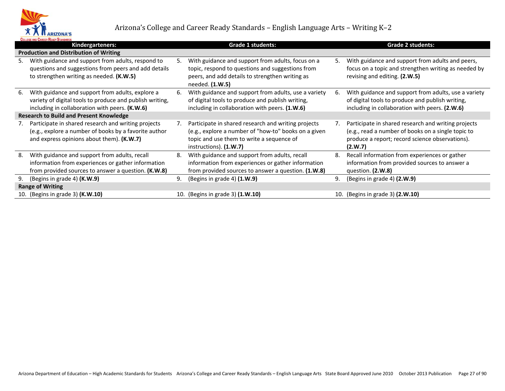

| <b>Grade 1 students:</b><br><b>Grade 2 students:</b><br>Kindergarteners:<br><b>Production and Distribution of Writing</b><br>With guidance and support from adults, respond to<br>With guidance and support from adults, focus on a<br>With guidance and support from adults and peers,<br>5.<br>5.<br>5.<br>questions and suggestions from peers and add details<br>focus on a topic and strengthen writing as needed by<br>topic, respond to questions and suggestions from<br>to strengthen writing as needed. (K.W.5)<br>peers, and add details to strengthen writing as<br>revising and editing. (2.W.5)<br>needed. $(1.W.5)$<br>With guidance and support from adults, explore a<br>With guidance and support from adults, use a variety<br>With guidance and support from adults, use a variety<br>6.<br>6.<br>6.<br>variety of digital tools to produce and publish writing,<br>of digital tools to produce and publish writing,<br>of digital tools to produce and publish writing,<br>including in collaboration with peers. (K.W.6)<br>including in collaboration with peers. (1.W.6)<br>including in collaboration with peers. (2.W.6)<br><b>Research to Build and Present Knowledge</b><br>7. Participate in shared research and writing projects<br>Participate in shared research and writing projects<br>Participate in shared research and writing projects<br>(e.g., explore a number of books by a favorite author<br>(e.g., explore a number of "how-to" books on a given<br>(e.g., read a number of books on a single topic to<br>and express opinions about them). (K.W.7)<br>topic and use them to write a sequence of<br>produce a report; record science observations).<br>instructions). (1.W.7)<br>(2.W.7)<br>With guidance and support from adults, recall<br>With guidance and support from adults, recall<br>8.<br>Recall information from experiences or gather<br>8.<br>8.<br>information from experiences or gather information<br>information from experiences or gather information<br>information from provided sources to answer a<br>from provided sources to answer a question. (K.W.8)<br>from provided sources to answer a question. (1.W.8)<br>question. $(2.W.8)$<br>(Begins in grade 4) (K.W.9)<br>(Begins in grade 4) (1.W.9)<br>(Begins in grade 4) (2.W.9)<br>9.<br>9.<br>9.<br><b>Range of Writing</b> | <b><i>COLLEGE AND CAREER READY STANDARD</i></b> |                                  |                                  |
|--------------------------------------------------------------------------------------------------------------------------------------------------------------------------------------------------------------------------------------------------------------------------------------------------------------------------------------------------------------------------------------------------------------------------------------------------------------------------------------------------------------------------------------------------------------------------------------------------------------------------------------------------------------------------------------------------------------------------------------------------------------------------------------------------------------------------------------------------------------------------------------------------------------------------------------------------------------------------------------------------------------------------------------------------------------------------------------------------------------------------------------------------------------------------------------------------------------------------------------------------------------------------------------------------------------------------------------------------------------------------------------------------------------------------------------------------------------------------------------------------------------------------------------------------------------------------------------------------------------------------------------------------------------------------------------------------------------------------------------------------------------------------------------------------------------------------------------------------------------------------------------------------------------------------------------------------------------------------------------------------------------------------------------------------------------------------------------------------------------------------------------------------------------------------------------------------------------------------------------------------------------------------------------------------------------------------------------------------------|-------------------------------------------------|----------------------------------|----------------------------------|
|                                                                                                                                                                                                                                                                                                                                                                                                                                                                                                                                                                                                                                                                                                                                                                                                                                                                                                                                                                                                                                                                                                                                                                                                                                                                                                                                                                                                                                                                                                                                                                                                                                                                                                                                                                                                                                                                                                                                                                                                                                                                                                                                                                                                                                                                                                                                                        |                                                 |                                  |                                  |
|                                                                                                                                                                                                                                                                                                                                                                                                                                                                                                                                                                                                                                                                                                                                                                                                                                                                                                                                                                                                                                                                                                                                                                                                                                                                                                                                                                                                                                                                                                                                                                                                                                                                                                                                                                                                                                                                                                                                                                                                                                                                                                                                                                                                                                                                                                                                                        |                                                 |                                  |                                  |
|                                                                                                                                                                                                                                                                                                                                                                                                                                                                                                                                                                                                                                                                                                                                                                                                                                                                                                                                                                                                                                                                                                                                                                                                                                                                                                                                                                                                                                                                                                                                                                                                                                                                                                                                                                                                                                                                                                                                                                                                                                                                                                                                                                                                                                                                                                                                                        |                                                 |                                  |                                  |
|                                                                                                                                                                                                                                                                                                                                                                                                                                                                                                                                                                                                                                                                                                                                                                                                                                                                                                                                                                                                                                                                                                                                                                                                                                                                                                                                                                                                                                                                                                                                                                                                                                                                                                                                                                                                                                                                                                                                                                                                                                                                                                                                                                                                                                                                                                                                                        |                                                 |                                  |                                  |
|                                                                                                                                                                                                                                                                                                                                                                                                                                                                                                                                                                                                                                                                                                                                                                                                                                                                                                                                                                                                                                                                                                                                                                                                                                                                                                                                                                                                                                                                                                                                                                                                                                                                                                                                                                                                                                                                                                                                                                                                                                                                                                                                                                                                                                                                                                                                                        |                                                 |                                  |                                  |
|                                                                                                                                                                                                                                                                                                                                                                                                                                                                                                                                                                                                                                                                                                                                                                                                                                                                                                                                                                                                                                                                                                                                                                                                                                                                                                                                                                                                                                                                                                                                                                                                                                                                                                                                                                                                                                                                                                                                                                                                                                                                                                                                                                                                                                                                                                                                                        |                                                 |                                  |                                  |
|                                                                                                                                                                                                                                                                                                                                                                                                                                                                                                                                                                                                                                                                                                                                                                                                                                                                                                                                                                                                                                                                                                                                                                                                                                                                                                                                                                                                                                                                                                                                                                                                                                                                                                                                                                                                                                                                                                                                                                                                                                                                                                                                                                                                                                                                                                                                                        |                                                 |                                  |                                  |
|                                                                                                                                                                                                                                                                                                                                                                                                                                                                                                                                                                                                                                                                                                                                                                                                                                                                                                                                                                                                                                                                                                                                                                                                                                                                                                                                                                                                                                                                                                                                                                                                                                                                                                                                                                                                                                                                                                                                                                                                                                                                                                                                                                                                                                                                                                                                                        |                                                 |                                  |                                  |
|                                                                                                                                                                                                                                                                                                                                                                                                                                                                                                                                                                                                                                                                                                                                                                                                                                                                                                                                                                                                                                                                                                                                                                                                                                                                                                                                                                                                                                                                                                                                                                                                                                                                                                                                                                                                                                                                                                                                                                                                                                                                                                                                                                                                                                                                                                                                                        |                                                 |                                  |                                  |
|                                                                                                                                                                                                                                                                                                                                                                                                                                                                                                                                                                                                                                                                                                                                                                                                                                                                                                                                                                                                                                                                                                                                                                                                                                                                                                                                                                                                                                                                                                                                                                                                                                                                                                                                                                                                                                                                                                                                                                                                                                                                                                                                                                                                                                                                                                                                                        | 10. (Begins in grade 3) (K.W.10)                | 10. (Begins in grade 3) (1.W.10) | 10. (Begins in grade 3) (2.W.10) |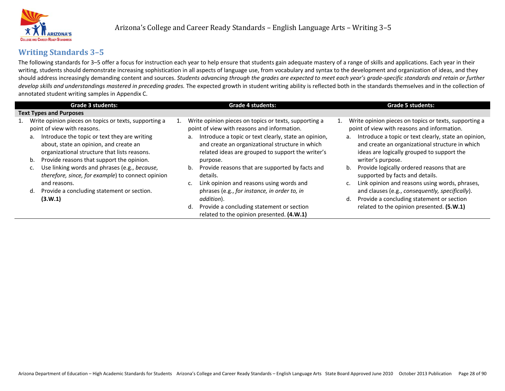

# **Writing Standards 3–5**

The following standards for 3–5 offer <sup>a</sup> focus for instruction each year to help ensure that students gain adequate mastery of <sup>a</sup> range of skills and applications. Each year in their writing, students should demonstrate increasing sophistication in all aspects of language use, from vocabulary and syntax to the development and organization of ideas, and they should address increasingly demanding content and sources. Students advancing through the grades are expected to meet each year's grade-specific standards and retain or further develop skills and understandings mastered in preceding grades. The expected growth in student writing ability is reflected both in the standards themselves and in the collection of annotated student writing samples in Appendix C.

| <b>Grade 3 students:</b>                                                                                                                                                                                                                                                                                                                                                                            | <b>Grade 4 students:</b>                                                                                                                                                                                                                                                                                                                                    | <b>Grade 5 students:</b>                                                                                                                                                                                                                                                                                                                                                        |
|-----------------------------------------------------------------------------------------------------------------------------------------------------------------------------------------------------------------------------------------------------------------------------------------------------------------------------------------------------------------------------------------------------|-------------------------------------------------------------------------------------------------------------------------------------------------------------------------------------------------------------------------------------------------------------------------------------------------------------------------------------------------------------|---------------------------------------------------------------------------------------------------------------------------------------------------------------------------------------------------------------------------------------------------------------------------------------------------------------------------------------------------------------------------------|
| <b>Text Types and Purposes</b>                                                                                                                                                                                                                                                                                                                                                                      |                                                                                                                                                                                                                                                                                                                                                             |                                                                                                                                                                                                                                                                                                                                                                                 |
| Write opinion pieces on topics or texts, supporting a<br>point of view with reasons.<br>Introduce the topic or text they are writing<br>a.<br>about, state an opinion, and create an<br>organizational structure that lists reasons.<br>Provide reasons that support the opinion.<br>b.<br>Use linking words and phrases (e.g., because,<br>c.<br>therefore, since, for example) to connect opinion | Write opinion pieces on topics or texts, supporting a<br>point of view with reasons and information.<br>Introduce a topic or text clearly, state an opinion,<br>a.<br>and create an organizational structure in which<br>related ideas are grouped to support the writer's<br>purpose.<br>Provide reasons that are supported by facts and<br>b.<br>details. | Write opinion pieces on topics or texts, supporting a<br>point of view with reasons and information.<br>Introduce a topic or text clearly, state an opinion,<br>a.<br>and create an organizational structure in which<br>ideas are logically grouped to support the<br>writer's purpose.<br>Provide logically ordered reasons that are<br>b.<br>supported by facts and details. |
| and reasons.<br>Provide a concluding statement or section.<br>d.<br>(3.W.1)                                                                                                                                                                                                                                                                                                                         | Link opinion and reasons using words and<br>phrases (e.g., for instance, in order to, in<br>addition).<br>Provide a concluding statement or section<br>d.<br>related to the opinion presented. (4.W.1)                                                                                                                                                      | Link opinion and reasons using words, phrases,<br>c.<br>and clauses (e.g., consequently, specifically).<br>Provide a concluding statement or section<br>d.<br>related to the opinion presented. (5.W.1)                                                                                                                                                                         |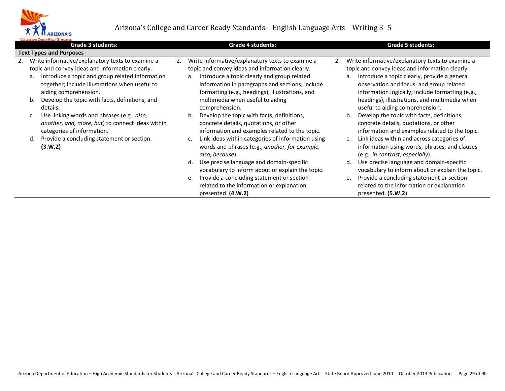

| <b>COLLEGE AND CAREER READY STANDARDS</b>                                                                                                                                                                                                                                                                                                                                                                                                                                                                                    |  |                                                                                                                                                                                                                                                                                                                                                                                                                                                                                                                                                                                                                                                                                                                                                                                                                               |  |                                                                                                                                                                                                                                                                                                                                                                                                                                                                                                                                                                                                                                                                                                                                                                                                                                                                             |  |  |  |
|------------------------------------------------------------------------------------------------------------------------------------------------------------------------------------------------------------------------------------------------------------------------------------------------------------------------------------------------------------------------------------------------------------------------------------------------------------------------------------------------------------------------------|--|-------------------------------------------------------------------------------------------------------------------------------------------------------------------------------------------------------------------------------------------------------------------------------------------------------------------------------------------------------------------------------------------------------------------------------------------------------------------------------------------------------------------------------------------------------------------------------------------------------------------------------------------------------------------------------------------------------------------------------------------------------------------------------------------------------------------------------|--|-----------------------------------------------------------------------------------------------------------------------------------------------------------------------------------------------------------------------------------------------------------------------------------------------------------------------------------------------------------------------------------------------------------------------------------------------------------------------------------------------------------------------------------------------------------------------------------------------------------------------------------------------------------------------------------------------------------------------------------------------------------------------------------------------------------------------------------------------------------------------------|--|--|--|
| <b>Grade 3 students:</b>                                                                                                                                                                                                                                                                                                                                                                                                                                                                                                     |  | <b>Grade 4 students:</b>                                                                                                                                                                                                                                                                                                                                                                                                                                                                                                                                                                                                                                                                                                                                                                                                      |  | <b>Grade 5 students:</b>                                                                                                                                                                                                                                                                                                                                                                                                                                                                                                                                                                                                                                                                                                                                                                                                                                                    |  |  |  |
| <b>Text Types and Purposes</b>                                                                                                                                                                                                                                                                                                                                                                                                                                                                                               |  |                                                                                                                                                                                                                                                                                                                                                                                                                                                                                                                                                                                                                                                                                                                                                                                                                               |  |                                                                                                                                                                                                                                                                                                                                                                                                                                                                                                                                                                                                                                                                                                                                                                                                                                                                             |  |  |  |
| Write informative/explanatory texts to examine a<br>topic and convey ideas and information clearly.<br>Introduce a topic and group related information<br>a.<br>together; include illustrations when useful to<br>aiding comprehension.<br>Develop the topic with facts, definitions, and<br>b.<br>details.<br>Use linking words and phrases (e.g., also,<br>$\mathsf{C}$ .<br>another, and, more, but) to connect ideas within<br>categories of information.<br>Provide a concluding statement or section.<br>d.<br>(3.W.2) |  | Write informative/explanatory texts to examine a<br>topic and convey ideas and information clearly.<br>Introduce a topic clearly and group related<br>a.<br>information in paragraphs and sections; include<br>formatting (e.g., headings), illustrations, and<br>multimedia when useful to aiding<br>comprehension.<br>Develop the topic with facts, definitions,<br>b.<br>concrete details, quotations, or other<br>information and examples related to the topic.<br>Link ideas within categories of information using<br>c.<br>words and phrases (e.g., another, for example,<br>also, because).<br>d. Use precise language and domain-specific<br>vocabulary to inform about or explain the topic.<br>Provide a concluding statement or section<br>e.<br>related to the information or explanation<br>presented. (4.W.2) |  | Write informative/explanatory texts to examine a<br>topic and convey ideas and information clearly.<br>Introduce a topic clearly, provide a general<br>a.<br>observation and focus, and group related<br>information logically; include formatting (e.g.,<br>headings), illustrations, and multimedia when<br>useful to aiding comprehension.<br>Develop the topic with facts, definitions,<br>b.<br>concrete details, quotations, or other<br>information and examples related to the topic.<br>Link ideas within and across categories of<br>$C_{\cdot}$<br>information using words, phrases, and clauses<br>(e.g., in contrast, especially).<br>Use precise language and domain-specific<br>d.<br>vocabulary to inform about or explain the topic.<br>Provide a concluding statement or section<br>e.<br>related to the information or explanation<br>presented. (5.W.2) |  |  |  |
|                                                                                                                                                                                                                                                                                                                                                                                                                                                                                                                              |  |                                                                                                                                                                                                                                                                                                                                                                                                                                                                                                                                                                                                                                                                                                                                                                                                                               |  |                                                                                                                                                                                                                                                                                                                                                                                                                                                                                                                                                                                                                                                                                                                                                                                                                                                                             |  |  |  |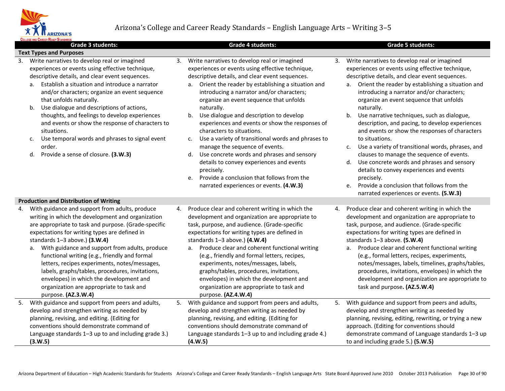

### Arizona's College and Career Ready Standards - English Language Arts - Writing 3-5

|    | <b>TAILED IN A TELEVISION OF ST</b><br><b>COLLEGE AND CAREER READY STANDARDS</b>                                                                                                                                                                                                                                                                                                                                                                                                                                                                                                 |    |                                                                                                                                                                                                                                                                                                                                                                                                                                                                                                                                                                                                                                                                                                                                                         |    |                                                                                                                                                                                                                                                                                                                                                                                                                                                                                                                                                                                                                                                                                                                                                                                                              |
|----|----------------------------------------------------------------------------------------------------------------------------------------------------------------------------------------------------------------------------------------------------------------------------------------------------------------------------------------------------------------------------------------------------------------------------------------------------------------------------------------------------------------------------------------------------------------------------------|----|---------------------------------------------------------------------------------------------------------------------------------------------------------------------------------------------------------------------------------------------------------------------------------------------------------------------------------------------------------------------------------------------------------------------------------------------------------------------------------------------------------------------------------------------------------------------------------------------------------------------------------------------------------------------------------------------------------------------------------------------------------|----|--------------------------------------------------------------------------------------------------------------------------------------------------------------------------------------------------------------------------------------------------------------------------------------------------------------------------------------------------------------------------------------------------------------------------------------------------------------------------------------------------------------------------------------------------------------------------------------------------------------------------------------------------------------------------------------------------------------------------------------------------------------------------------------------------------------|
|    | <b>Grade 3 students:</b>                                                                                                                                                                                                                                                                                                                                                                                                                                                                                                                                                         |    | <b>Grade 4 students:</b>                                                                                                                                                                                                                                                                                                                                                                                                                                                                                                                                                                                                                                                                                                                                |    | <b>Grade 5 students:</b>                                                                                                                                                                                                                                                                                                                                                                                                                                                                                                                                                                                                                                                                                                                                                                                     |
|    | <b>Text Types and Purposes</b>                                                                                                                                                                                                                                                                                                                                                                                                                                                                                                                                                   |    |                                                                                                                                                                                                                                                                                                                                                                                                                                                                                                                                                                                                                                                                                                                                                         |    |                                                                                                                                                                                                                                                                                                                                                                                                                                                                                                                                                                                                                                                                                                                                                                                                              |
|    | 3. Write narratives to develop real or imagined<br>experiences or events using effective technique,<br>descriptive details, and clear event sequences.<br>Establish a situation and introduce a narrator<br>а.<br>and/or characters; organize an event sequence<br>that unfolds naturally.<br>Use dialogue and descriptions of actions,<br>b.<br>thoughts, and feelings to develop experiences<br>and events or show the response of characters to<br>situations.<br>Use temporal words and phrases to signal event<br>c.<br>order.<br>d.<br>Provide a sense of closure. (3.W.3) | 3. | Write narratives to develop real or imagined<br>experiences or events using effective technique,<br>descriptive details, and clear event sequences.<br>a. Orient the reader by establishing a situation and<br>introducing a narrator and/or characters;<br>organize an event sequence that unfolds<br>naturally.<br>b. Use dialogue and description to develop<br>experiences and events or show the responses of<br>characters to situations.<br>Use a variety of transitional words and phrases to<br>c.<br>manage the sequence of events.<br>Use concrete words and phrases and sensory<br>d.<br>details to convey experiences and events<br>precisely.<br>e. Provide a conclusion that follows from the<br>narrated experiences or events. (4.W.3) | 3. | Write narratives to develop real or imagined<br>experiences or events using effective technique,<br>descriptive details, and clear event sequences.<br>a. Orient the reader by establishing a situation and<br>introducing a narrator and/or characters;<br>organize an event sequence that unfolds<br>naturally.<br>b. Use narrative techniques, such as dialogue,<br>description, and pacing, to develop experiences<br>and events or show the responses of characters<br>to situations.<br>Use a variety of transitional words, phrases, and<br>c.<br>clauses to manage the sequence of events.<br>Use concrete words and phrases and sensory<br>d.<br>details to convey experiences and events<br>precisely.<br>e. Provide a conclusion that follows from the<br>narrated experiences or events. (5.W.3) |
|    | <b>Production and Distribution of Writing</b>                                                                                                                                                                                                                                                                                                                                                                                                                                                                                                                                    |    |                                                                                                                                                                                                                                                                                                                                                                                                                                                                                                                                                                                                                                                                                                                                                         |    |                                                                                                                                                                                                                                                                                                                                                                                                                                                                                                                                                                                                                                                                                                                                                                                                              |
|    | 4. With guidance and support from adults, produce<br>writing in which the development and organization<br>are appropriate to task and purpose. (Grade-specific<br>expectations for writing types are defined in<br>standards 1-3 above.) (3.W.4)<br>a. With guidance and support from adults, produce<br>functional writing (e.g., friendly and formal<br>letters, recipes experiments, notes/messages,<br>labels, graphs/tables, procedures, invitations,<br>envelopes) in which the development and<br>organization are appropriate to task and<br>purpose. (AZ.3.W.4)         | 4. | Produce clear and coherent writing in which the<br>development and organization are appropriate to<br>task, purpose, and audience. (Grade-specific<br>expectations for writing types are defined in<br>standards $1-3$ above.) $(4.W.4)$<br>a. Produce clear and coherent functional writing<br>(e.g., friendly and formal letters, recipes,<br>experiments, notes/messages, labels,<br>graphs/tables, procedures, invitations,<br>envelopes) in which the development and<br>organization are appropriate to task and<br>purpose. (AZ.4.W.4)                                                                                                                                                                                                           |    | 4. Produce clear and coherent writing in which the<br>development and organization are appropriate to<br>task, purpose, and audience. (Grade-specific<br>expectations for writing types are defined in<br>standards 1-3 above. (5.W.4)<br>a. Produce clear and coherent functional writing<br>(e.g., formal letters, recipes, experiments,<br>notes/messages, labels, timelines, graphs/tables,<br>procedures, invitations, envelopes) in which the<br>development and organization are appropriate to<br>task and purpose. (AZ.5.W.4)                                                                                                                                                                                                                                                                       |
| 5. | With guidance and support from peers and adults,<br>develop and strengthen writing as needed by<br>planning, revising, and editing. (Editing for<br>conventions should demonstrate command of<br>Language standards 1-3 up to and including grade 3.)<br>(3.W.5)                                                                                                                                                                                                                                                                                                                 | 5. | With guidance and support from peers and adults,<br>develop and strengthen writing as needed by<br>planning, revising, and editing. (Editing for<br>conventions should demonstrate command of<br>Language standards 1-3 up to and including grade 4.)<br>(4.W.5)                                                                                                                                                                                                                                                                                                                                                                                                                                                                                        | 5. | With guidance and support from peers and adults,<br>develop and strengthen writing as needed by<br>planning, revising, editing, rewriting, or trying a new<br>approach. (Editing for conventions should<br>demonstrate command of Language standards 1-3 up<br>to and including grade 5.) (5.W.5)                                                                                                                                                                                                                                                                                                                                                                                                                                                                                                            |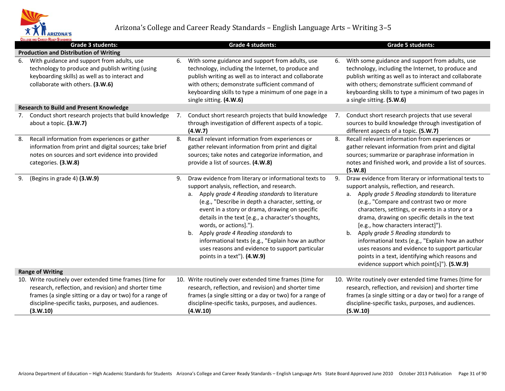

|    | <b>COLLEGE AND CAREER READY STANDARDS</b><br><b>Grade 3 students:</b>                                                                                                                                                                          |    | <b>Grade 4 students:</b>                                                                                                                                                                                                                                                                                                                                                                                                                                                                                                            |    | <b>Grade 5 students:</b>                                                                                                                                                                                                                                                                                                                                                                                                                                                                                                                                                                                |
|----|------------------------------------------------------------------------------------------------------------------------------------------------------------------------------------------------------------------------------------------------|----|-------------------------------------------------------------------------------------------------------------------------------------------------------------------------------------------------------------------------------------------------------------------------------------------------------------------------------------------------------------------------------------------------------------------------------------------------------------------------------------------------------------------------------------|----|---------------------------------------------------------------------------------------------------------------------------------------------------------------------------------------------------------------------------------------------------------------------------------------------------------------------------------------------------------------------------------------------------------------------------------------------------------------------------------------------------------------------------------------------------------------------------------------------------------|
|    | <b>Production and Distribution of Writing</b>                                                                                                                                                                                                  |    |                                                                                                                                                                                                                                                                                                                                                                                                                                                                                                                                     |    |                                                                                                                                                                                                                                                                                                                                                                                                                                                                                                                                                                                                         |
| 6. | With guidance and support from adults, use<br>technology to produce and publish writing (using<br>keyboarding skills) as well as to interact and<br>collaborate with others. (3.W.6)                                                           | 6. | With some guidance and support from adults, use<br>technology, including the Internet, to produce and<br>publish writing as well as to interact and collaborate<br>with others; demonstrate sufficient command of<br>keyboarding skills to type a minimum of one page in a<br>single sitting. (4.W.6)                                                                                                                                                                                                                               | 6. | With some guidance and support from adults, use<br>technology, including the Internet, to produce and<br>publish writing as well as to interact and collaborate<br>with others; demonstrate sufficient command of<br>keyboarding skills to type a minimum of two pages in<br>a single sitting. (5.W.6)                                                                                                                                                                                                                                                                                                  |
|    | <b>Research to Build and Present Knowledge</b>                                                                                                                                                                                                 |    |                                                                                                                                                                                                                                                                                                                                                                                                                                                                                                                                     |    |                                                                                                                                                                                                                                                                                                                                                                                                                                                                                                                                                                                                         |
|    | 7. Conduct short research projects that build knowledge<br>about a topic. (3.W.7)                                                                                                                                                              | 7. | Conduct short research projects that build knowledge<br>through investigation of different aspects of a topic.<br>(4.W.7)                                                                                                                                                                                                                                                                                                                                                                                                           | 7. | Conduct short research projects that use several<br>sources to build knowledge through investigation of<br>different aspects of a topic. (5.W.7)                                                                                                                                                                                                                                                                                                                                                                                                                                                        |
| 8. | Recall information from experiences or gather<br>information from print and digital sources; take brief<br>notes on sources and sort evidence into provided<br>categories. (3.W.8)                                                             | 8. | Recall relevant information from experiences or<br>gather relevant information from print and digital<br>sources; take notes and categorize information, and<br>provide a list of sources. (4.W.8)                                                                                                                                                                                                                                                                                                                                  | 8. | Recall relevant information from experiences or<br>gather relevant information from print and digital<br>sources; summarize or paraphrase information in<br>notes and finished work, and provide a list of sources.<br>(5.W.8)                                                                                                                                                                                                                                                                                                                                                                          |
| 9. | (Begins in grade 4) (3.W.9)                                                                                                                                                                                                                    | 9. | Draw evidence from literary or informational texts to<br>support analysis, reflection, and research.<br>a. Apply grade 4 Reading standards to literature<br>(e.g., "Describe in depth a character, setting, or<br>event in a story or drama, drawing on specific<br>details in the text [e.g., a character's thoughts,<br>words, or actions].").<br>b.<br>Apply grade 4 Reading standards to<br>informational texts (e.g., "Explain how an author<br>uses reasons and evidence to support particular<br>points in a text"). (4.W.9) | 9. | Draw evidence from literary or informational texts to<br>support analysis, reflection, and research.<br>Apply grade 5 Reading standards to literature<br>а.<br>(e.g., "Compare and contrast two or more<br>characters, settings, or events in a story or a<br>drama, drawing on specific details in the text<br>[e.g., how characters interact]").<br>Apply grade 5 Reading standards to<br>b.<br>informational texts (e.g., "Explain how an author<br>uses reasons and evidence to support particular<br>points in a text, identifying which reasons and<br>evidence support which point[s]"). (5.W.9) |
|    | <b>Range of Writing</b>                                                                                                                                                                                                                        |    |                                                                                                                                                                                                                                                                                                                                                                                                                                                                                                                                     |    |                                                                                                                                                                                                                                                                                                                                                                                                                                                                                                                                                                                                         |
|    | 10. Write routinely over extended time frames (time for<br>research, reflection, and revision) and shorter time<br>frames (a single sitting or a day or two) for a range of<br>discipline-specific tasks, purposes, and audiences.<br>(3.W.10) |    | 10. Write routinely over extended time frames (time for<br>research, reflection, and revision) and shorter time<br>frames (a single sitting or a day or two) for a range of<br>discipline-specific tasks, purposes, and audiences.<br>(4.W.10)                                                                                                                                                                                                                                                                                      |    | 10. Write routinely over extended time frames (time for<br>research, reflection, and revision) and shorter time<br>frames (a single sitting or a day or two) for a range of<br>discipline-specific tasks, purposes, and audiences.<br>(5.W.10)                                                                                                                                                                                                                                                                                                                                                          |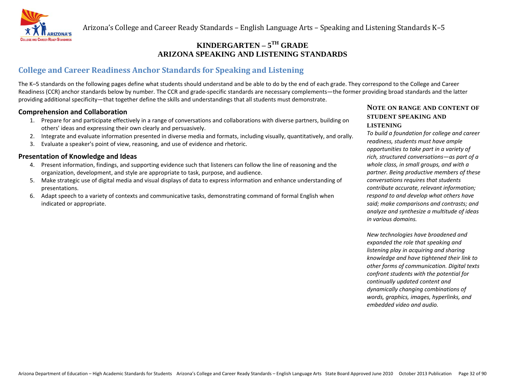

# **KINDERGARTEN – 5TH GRADE ARIZONA SPEAKING AND LISTENING STANDARDS**

# **College and Career Readiness Anchor Standards for Speaking and Listening**

The K–5 standards on the following pages define what students should understand and be able to do by the end of each grade. They correspond to the College and Career Readiness (CCR) anchor standards below by number. The CCR and grade‐specific standards are necessary complements—the former providing broad standards and the latter providing additional specificity—that together define the skills and understandings that all students must demonstrate.

### **Comprehension and Collaboration**

- 1. Prepare for and participate effectively in <sup>a</sup> range of conversations and collaborations with diverse partners, building on others' ideas and expressing their own clearly and persuasively.
- 2. Integrate and evaluate information presented in diverse media and formats, including visually, quantitatively, and orally.
- 3. Evaluate <sup>a</sup> speaker's point of view, reasoning, and use of evidence and rhetoric.

### **Presentation of Knowledge and Ideas**

- 4. Present information, findings, and supporting evidence such that listeners can follow the line of reasoning and the organization, development, and style are appropriate to task, purpose, and audience.
- 5. Make strategic use of digital media and visual displays of data to express information and enhance understanding of presentations.
- 6. Adapt speech to <sup>a</sup> variety of contexts and communicative tasks, demonstrating command of formal English when indicated or appropriate.

### **NOTE ON RANGE AND CONTENT OF STUDENT SPEAKING AND LISTENING**

*To build <sup>a</sup> foundation for college and career readiness, students must have ample opportunities to take part in <sup>a</sup> variety of rich, structured conversations—as part of <sup>a</sup> whole class, in small groups, and with <sup>a</sup> partner. Being productive members of these conversations requires that students contribute accurate, relevant information; respond to and develop what others have said; make comparisons and contrasts; and analyze and synthesize <sup>a</sup> multitude of ideas in various domains.*

*New technologies have broadened and expanded the role that speaking and listening play in acquiring and sharing knowledge and have tightened their link to other forms of communication. Digital texts confront students with the potential for continually updated content and dynamically changing combinations of words, graphics, images, hyperlinks, and embedded video and audio.*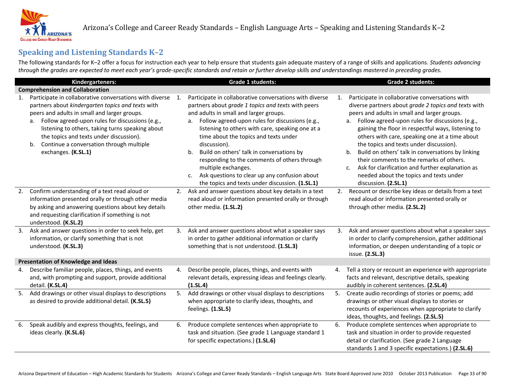

# **Speaking and Listening Standards K–2**

The following standards for K–2 offer <sup>a</sup> focus for instruction each year to help ensure that students gain adequate mastery of <sup>a</sup> range of skills and applications. *Students advancing* through the grades are expected to meet each year's grade-specific standards and retain or further develop skills and understandings mastered in preceding grades.

|    | Kindergarteners:                                                                                                                                                                                                                                                                                                                                                                                 |              | <b>Grade 1 students:</b>                                                                                                                                                                                                                                                                                                                                                                                                                                                                                                                                                   |    | <b>Grade 2 students:</b>                                                                                                                                                                                                                                                                                                                                                                                                                                                                                                                                                                                      |
|----|--------------------------------------------------------------------------------------------------------------------------------------------------------------------------------------------------------------------------------------------------------------------------------------------------------------------------------------------------------------------------------------------------|--------------|----------------------------------------------------------------------------------------------------------------------------------------------------------------------------------------------------------------------------------------------------------------------------------------------------------------------------------------------------------------------------------------------------------------------------------------------------------------------------------------------------------------------------------------------------------------------------|----|---------------------------------------------------------------------------------------------------------------------------------------------------------------------------------------------------------------------------------------------------------------------------------------------------------------------------------------------------------------------------------------------------------------------------------------------------------------------------------------------------------------------------------------------------------------------------------------------------------------|
|    | <b>Comprehension and Collaboration</b>                                                                                                                                                                                                                                                                                                                                                           |              |                                                                                                                                                                                                                                                                                                                                                                                                                                                                                                                                                                            |    |                                                                                                                                                                                                                                                                                                                                                                                                                                                                                                                                                                                                               |
|    | 1. Participate in collaborative conversations with diverse<br>partners about kindergarten topics and texts with<br>peers and adults in small and larger groups.<br>Follow agreed-upon rules for discussions (e.g.,<br>a.<br>listening to others, taking turns speaking about<br>the topics and texts under discussion).<br>Continue a conversation through multiple<br>b.<br>exchanges. (K.SL.1) | $\mathbf{1}$ | Participate in collaborative conversations with diverse<br>partners about grade 1 topics and texts with peers<br>and adults in small and larger groups.<br>Follow agreed-upon rules for discussions (e.g.,<br>a.<br>listening to others with care, speaking one at a<br>time about the topics and texts under<br>discussion).<br>Build on others' talk in conversations by<br>b.<br>responding to the comments of others through<br>multiple exchanges.<br>Ask questions to clear up any confusion about<br>$C_{\star}$<br>the topics and texts under discussion. (1.SL.1) |    | Participate in collaborative conversations with<br>diverse partners about grade 2 topics and texts with<br>peers and adults in small and larger groups.<br>a. Follow agreed-upon rules for discussions (e.g.,<br>gaining the floor in respectful ways, listening to<br>others with care, speaking one at a time about<br>the topics and texts under discussion).<br>b. Build on others' talk in conversations by linking<br>their comments to the remarks of others.<br>Ask for clarification and further explanation as<br>$\mathsf{C}$ .<br>needed about the topics and texts under<br>discussion. (2.SL.1) |
| 2. | Confirm understanding of a text read aloud or<br>information presented orally or through other media<br>by asking and answering questions about key details<br>and requesting clarification if something is not<br>understood. (K.SL.2)                                                                                                                                                          | 2.           | Ask and answer questions about key details in a text<br>read aloud or information presented orally or through<br>other media. (1.SL.2)                                                                                                                                                                                                                                                                                                                                                                                                                                     | 2. | Recount or describe key ideas or details from a text<br>read aloud or information presented orally or<br>through other media. (2.SL.2)                                                                                                                                                                                                                                                                                                                                                                                                                                                                        |
| 3. | Ask and answer questions in order to seek help, get<br>information, or clarify something that is not<br>understood. (K.SL.3)                                                                                                                                                                                                                                                                     | 3.           | Ask and answer questions about what a speaker says<br>in order to gather additional information or clarify<br>something that is not understood. (1.SL.3)                                                                                                                                                                                                                                                                                                                                                                                                                   | 3. | Ask and answer questions about what a speaker says<br>in order to clarify comprehension, gather additional<br>information, or deepen understanding of a topic or<br>issue. (2.SL.3)                                                                                                                                                                                                                                                                                                                                                                                                                           |
|    | Presentation of Knowledge and Ideas                                                                                                                                                                                                                                                                                                                                                              |              |                                                                                                                                                                                                                                                                                                                                                                                                                                                                                                                                                                            |    |                                                                                                                                                                                                                                                                                                                                                                                                                                                                                                                                                                                                               |
| 4. | Describe familiar people, places, things, and events<br>and, with prompting and support, provide additional<br>detail. (K.SL.4)                                                                                                                                                                                                                                                                  | 4.           | Describe people, places, things, and events with<br>relevant details, expressing ideas and feelings clearly.<br>(1.5L.4)                                                                                                                                                                                                                                                                                                                                                                                                                                                   | 4. | Tell a story or recount an experience with appropriate<br>facts and relevant, descriptive details, speaking<br>audibly in coherent sentences. (2.SL.4)                                                                                                                                                                                                                                                                                                                                                                                                                                                        |
| 5. | Add drawings or other visual displays to descriptions<br>as desired to provide additional detail. (K.SL.5)                                                                                                                                                                                                                                                                                       | 5.           | Add drawings or other visual displays to descriptions<br>when appropriate to clarify ideas, thoughts, and<br>feelings. (1.SL.5)                                                                                                                                                                                                                                                                                                                                                                                                                                            | 5. | Create audio recordings of stories or poems; add<br>drawings or other visual displays to stories or<br>recounts of experiences when appropriate to clarify<br>ideas, thoughts, and feelings. (2.SL.5)                                                                                                                                                                                                                                                                                                                                                                                                         |
| 6. | Speak audibly and express thoughts, feelings, and<br>ideas clearly. (K.SL.6)                                                                                                                                                                                                                                                                                                                     | 6.           | Produce complete sentences when appropriate to<br>task and situation. (See grade 1 Language standard 1<br>for specific expectations.) (1.SL.6)                                                                                                                                                                                                                                                                                                                                                                                                                             | 6. | Produce complete sentences when appropriate to<br>task and situation in order to provide requested<br>detail or clarification. (See grade 2 Language<br>standards 1 and 3 specific expectations.) (2.SL.6)                                                                                                                                                                                                                                                                                                                                                                                                    |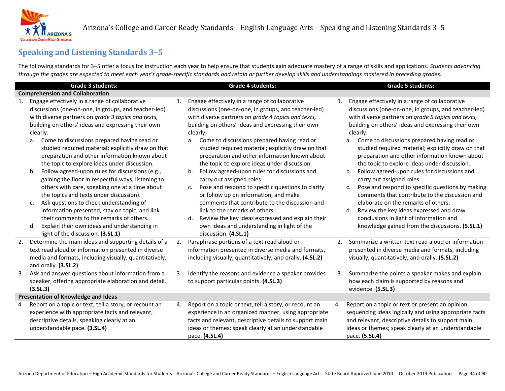

# **Speaking and Listening Standards 3–5**

The following standards for 3–5 offer <sup>a</sup> focus for instruction each year to help ensure that students gain adequate mastery of <sup>a</sup> range of skills and applications. *Students advancing* through the grades are expected to meet each year's grade-specific standards and retain or further develop skills and understandings mastered in preceding grades.

|                                        | <b>Grade 3 students:</b>                                                                                                                                                                                                                                                                                                                                                                                                                                                                                                                                                                                                                                                                                                                                                                                                                                                                      |    | <b>Grade 4 students:</b>                                                                                                                                                                                                                                                                                                                                                                                                                                                                                                                                                                                                                                                                                                                                                                                                                         |                | <b>Grade 5 students:</b>                                                                                                                                                                                                                                                                                                                                                                                                                                                                                                                                                                                                                                                                                                                                                                                                     |  |  |  |
|----------------------------------------|-----------------------------------------------------------------------------------------------------------------------------------------------------------------------------------------------------------------------------------------------------------------------------------------------------------------------------------------------------------------------------------------------------------------------------------------------------------------------------------------------------------------------------------------------------------------------------------------------------------------------------------------------------------------------------------------------------------------------------------------------------------------------------------------------------------------------------------------------------------------------------------------------|----|--------------------------------------------------------------------------------------------------------------------------------------------------------------------------------------------------------------------------------------------------------------------------------------------------------------------------------------------------------------------------------------------------------------------------------------------------------------------------------------------------------------------------------------------------------------------------------------------------------------------------------------------------------------------------------------------------------------------------------------------------------------------------------------------------------------------------------------------------|----------------|------------------------------------------------------------------------------------------------------------------------------------------------------------------------------------------------------------------------------------------------------------------------------------------------------------------------------------------------------------------------------------------------------------------------------------------------------------------------------------------------------------------------------------------------------------------------------------------------------------------------------------------------------------------------------------------------------------------------------------------------------------------------------------------------------------------------------|--|--|--|
| <b>Comprehension and Collaboration</b> |                                                                                                                                                                                                                                                                                                                                                                                                                                                                                                                                                                                                                                                                                                                                                                                                                                                                                               |    |                                                                                                                                                                                                                                                                                                                                                                                                                                                                                                                                                                                                                                                                                                                                                                                                                                                  |                |                                                                                                                                                                                                                                                                                                                                                                                                                                                                                                                                                                                                                                                                                                                                                                                                                              |  |  |  |
| 1.                                     | Engage effectively in a range of collaborative<br>discussions (one-on-one, in groups, and teacher-led)<br>with diverse partners on grade 3 topics and texts,<br>building on others' ideas and expressing their own<br>clearly.<br>a. Come to discussions prepared having read or<br>studied required material; explicitly draw on that<br>preparation and other information known about<br>the topic to explore ideas under discussion.<br>Follow agreed-upon rules for discussions (e.g.,<br>b.<br>gaining the floor in respectful ways, listening to<br>others with care, speaking one at a time about<br>the topics and texts under discussion).<br>Ask questions to check understanding of<br>c.<br>information presented, stay on topic, and link<br>their comments to the remarks of others.<br>Explain their own ideas and understanding in<br>d.<br>light of the discussion. (3.SL.1) | 1. | Engage effectively in a range of collaborative<br>discussions (one-on-one, in groups, and teacher-led)<br>with diverse partners on grade 4 topics and texts,<br>building on others' ideas and expressing their own<br>clearly.<br>a. Come to discussions prepared having read or<br>studied required material; explicitly draw on that<br>preparation and other information known about<br>the topic to explore ideas under discussion.<br>Follow agreed-upon rules for discussions and<br>b.<br>carry out assigned roles.<br>Pose and respond to specific questions to clarify<br>c.<br>or follow up on information, and make<br>comments that contribute to the discussion and<br>link to the remarks of others.<br>d. Review the key ideas expressed and explain their<br>own ideas and understanding in light of the<br>discussion. (4.SL.1) | 1.             | Engage effectively in a range of collaborative<br>discussions (one-on-one, in groups, and teacher-led)<br>with diverse partners on grade 5 topics and texts,<br>building on others' ideas and expressing their own<br>clearly.<br>a. Come to discussions prepared having read or<br>studied required material; explicitly draw on that<br>preparation and other information known about<br>the topic to explore ideas under discussion.<br>Follow agreed-upon rules for discussions and<br>b.<br>carry out assigned roles.<br>Pose and respond to specific questions by making<br>c.<br>comments that contribute to the discussion and<br>elaborate on the remarks of others.<br>Review the key ideas expressed and draw<br>d.<br>conclusions in light of information and<br>knowledge gained from the discussions. (5.SL.1) |  |  |  |
|                                        | Determine the main ideas and supporting details of a<br>text read aloud or information presented in diverse<br>media and formats, including visually, quantitatively,<br>and orally. (3.SL.2)                                                                                                                                                                                                                                                                                                                                                                                                                                                                                                                                                                                                                                                                                                 | 2. | Paraphrase portions of a text read aloud or<br>information presented in diverse media and formats,<br>including visually, quantitatively, and orally. (4.SL.2)                                                                                                                                                                                                                                                                                                                                                                                                                                                                                                                                                                                                                                                                                   | 2 <sub>1</sub> | Summarize a written text read aloud or information<br>presented in diverse media and formats, including<br>visually, quantitatively, and orally. (5.SL.2)                                                                                                                                                                                                                                                                                                                                                                                                                                                                                                                                                                                                                                                                    |  |  |  |
| 3.                                     | Ask and answer questions about information from a<br>speaker, offering appropriate elaboration and detail.<br>(3.5L.3)                                                                                                                                                                                                                                                                                                                                                                                                                                                                                                                                                                                                                                                                                                                                                                        | 3. | Identify the reasons and evidence a speaker provides<br>to support particular points. (4.SL.3)                                                                                                                                                                                                                                                                                                                                                                                                                                                                                                                                                                                                                                                                                                                                                   | 3.             | Summarize the points a speaker makes and explain<br>how each claim is supported by reasons and<br>evidence. (5.SL.3)                                                                                                                                                                                                                                                                                                                                                                                                                                                                                                                                                                                                                                                                                                         |  |  |  |
| Presentation of Knowledge and Ideas    |                                                                                                                                                                                                                                                                                                                                                                                                                                                                                                                                                                                                                                                                                                                                                                                                                                                                                               |    |                                                                                                                                                                                                                                                                                                                                                                                                                                                                                                                                                                                                                                                                                                                                                                                                                                                  |                |                                                                                                                                                                                                                                                                                                                                                                                                                                                                                                                                                                                                                                                                                                                                                                                                                              |  |  |  |
| 4.                                     | Report on a topic or text, tell a story, or recount an<br>experience with appropriate facts and relevant,<br>descriptive details, speaking clearly at an<br>understandable pace. (3.SL.4)                                                                                                                                                                                                                                                                                                                                                                                                                                                                                                                                                                                                                                                                                                     | 4. | Report on a topic or text, tell a story, or recount an<br>experience in an organized manner, using appropriate<br>facts and relevant, descriptive details to support main<br>ideas or themes; speak clearly at an understandable<br>pace. (4.SL.4)                                                                                                                                                                                                                                                                                                                                                                                                                                                                                                                                                                                               | 4.             | Report on a topic or text or present an opinion,<br>sequencing ideas logically and using appropriate facts<br>and relevant, descriptive details to support main<br>ideas or themes; speak clearly at an understandable<br>pace. (5.SL.4)                                                                                                                                                                                                                                                                                                                                                                                                                                                                                                                                                                                     |  |  |  |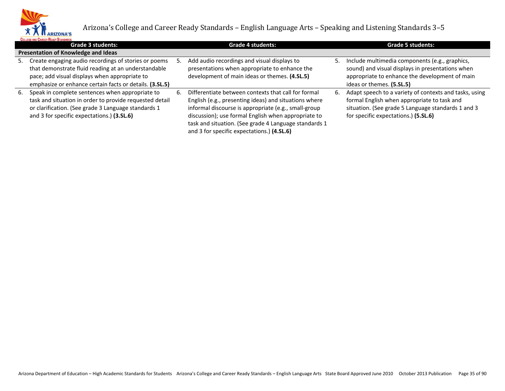

### Arizona's College and Career Ready Standards - English Language Arts - Speaking and Listening Standards 3-5

| <b>UOLLEGE AND UAREER KEADY STANDARDS</b> |                                                                                                                                                                                                                            |    |                                                                                                                                                                                                                                                                                                                                    |    |                                                                                                                                                                                                     |  |  |
|-------------------------------------------|----------------------------------------------------------------------------------------------------------------------------------------------------------------------------------------------------------------------------|----|------------------------------------------------------------------------------------------------------------------------------------------------------------------------------------------------------------------------------------------------------------------------------------------------------------------------------------|----|-----------------------------------------------------------------------------------------------------------------------------------------------------------------------------------------------------|--|--|
|                                           | Grade 3 students:                                                                                                                                                                                                          |    | <b>Grade 4 students:</b>                                                                                                                                                                                                                                                                                                           |    | <b>Grade 5 students:</b>                                                                                                                                                                            |  |  |
| Presentation of Knowledge and Ideas       |                                                                                                                                                                                                                            |    |                                                                                                                                                                                                                                                                                                                                    |    |                                                                                                                                                                                                     |  |  |
|                                           | 5. Create engaging audio recordings of stories or poems<br>that demonstrate fluid reading at an understandable<br>pace; add visual displays when appropriate to<br>emphasize or enhance certain facts or details. (3.SL.5) |    | Add audio recordings and visual displays to<br>presentations when appropriate to enhance the<br>development of main ideas or themes. (4.SL.5)                                                                                                                                                                                      |    | Include multimedia components (e.g., graphics,<br>sound) and visual displays in presentations when<br>appropriate to enhance the development of main<br>ideas or themes. (5.SL.5)                   |  |  |
|                                           | 6. Speak in complete sentences when appropriate to<br>task and situation in order to provide requested detail<br>or clarification. (See grade 3 Language standards 1<br>and 3 for specific expectations.) (3.SL.6)         | b. | Differentiate between contexts that call for formal<br>English (e.g., presenting ideas) and situations where<br>informal discourse is appropriate (e.g., small-group<br>discussion); use formal English when appropriate to<br>task and situation. (See grade 4 Language standards 1<br>and 3 for specific expectations.) (4.SL.6) | 6. | Adapt speech to a variety of contexts and tasks, using<br>formal English when appropriate to task and<br>situation. (See grade 5 Language standards 1 and 3<br>for specific expectations.) (5.SL.6) |  |  |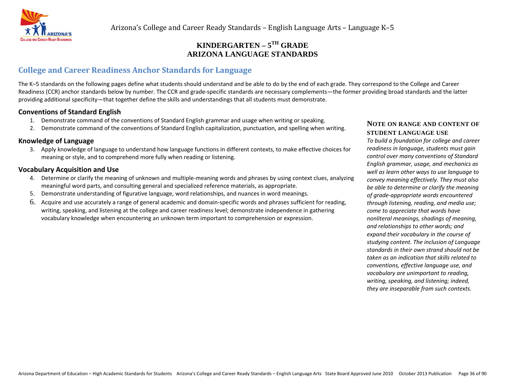

# **KINDERGARTEN – 5TH GRADE ARIZONA LANGUAGE STANDARDS**

# **College and Career Readiness Anchor Standards for Language**

The K–5 standards on the following pages define what students should understand and be able to do by the end of each grade. They correspond to the College and Career Readiness (CCR) anchor standards below by number. The CCR and grade‐specific standards are necessary complements—the former providing broad standards and the latter providing additional specificity—that together define the skills and understandings that all students must demonstrate.

### **Conventions of Standard English**

- 1. Demonstrate command of the conventions of Standard English grammar and usage when writing or speaking.
- 2. Demonstrate command of the conventions of Standard English capitalization, punctuation, and spelling when writing.

### **Knowledge of Language**

3. Apply knowledge of language to understand how language functions in different contexts, to make effective choices for meaning or style, and to comprehend more fully when reading or listening.

### **Vocabulary Acquisition and Use**

- 4. Determine or clarify the meaning of unknown and multiple‐meaning words and phrases by using context clues, analyzing meaningful word parts, and consulting general and specialized reference materials, as appropriate.
- 5. Demonstrate understanding of figurative language, word relationships, and nuances in word meanings.
- 6. Acquire and use accurately <sup>a</sup> range of general academic and domain‐specific words and phrases sufficient for reading, writing, speaking, and listening at the college and career readiness level; demonstrate independence in gathering vocabulary knowledge when encountering an unknown term important to comprehension or expression.

### **NOTE ON RANGE AND CONTENT OF STUDENT LANGUAGE USE**

*To build <sup>a</sup> foundation for college and career readiness in language, students must gain control over many conventions of Standard English grammar, usage, and mechanics as well as learn other ways to use language to convey meaning effectively. They must also be able to determine or clarify the meaning of grade‐appropriate words encountered through listening, reading, and media use; come to appreciate that words have nonliteral meanings, shadings of meaning, and relationships to other words; and expand their vocabulary in the course of studying content. The inclusion of Language standards in their own strand should not be taken as an indication that skills related to conventions, effective language use, and vocabulary are unimportant to reading, writing, speaking, and listening; indeed, they are inseparable from such contexts.*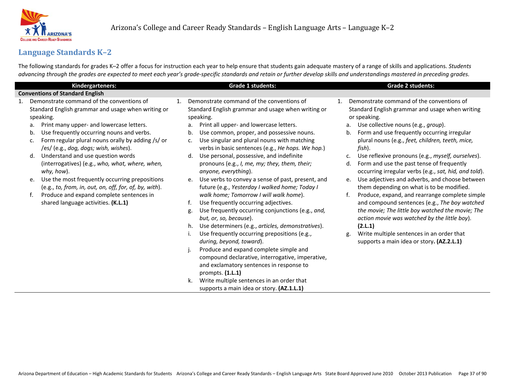

## **Language Standards K–2**

The following standards for grades K–2 offer <sup>a</sup> focus for instruction each year to help ensure that students gain adequate mastery of <sup>a</sup> range of skills and applications. *Students* advancing through the grades are expected to meet each year's grade-specific standards and retain or further develop skills and understandings mastered in preceding grades.

| Kindergarteners:     |                                                                                                                                                                                                                                                                                                                                                                                                                                                                                                                   | Grade 1 students: |                                                                                                                                                                                                                                                                                                                                                                                                                                                                                                                                                                                                                                                                                                                                                                                                                                                                                                                                                          | <b>Grade 2 students:</b> |                                                                                                                                                                                                                                                                                                                                                                                                                                                                                                                                                                                                                                                                                                                                                                                  |  |
|----------------------|-------------------------------------------------------------------------------------------------------------------------------------------------------------------------------------------------------------------------------------------------------------------------------------------------------------------------------------------------------------------------------------------------------------------------------------------------------------------------------------------------------------------|-------------------|----------------------------------------------------------------------------------------------------------------------------------------------------------------------------------------------------------------------------------------------------------------------------------------------------------------------------------------------------------------------------------------------------------------------------------------------------------------------------------------------------------------------------------------------------------------------------------------------------------------------------------------------------------------------------------------------------------------------------------------------------------------------------------------------------------------------------------------------------------------------------------------------------------------------------------------------------------|--------------------------|----------------------------------------------------------------------------------------------------------------------------------------------------------------------------------------------------------------------------------------------------------------------------------------------------------------------------------------------------------------------------------------------------------------------------------------------------------------------------------------------------------------------------------------------------------------------------------------------------------------------------------------------------------------------------------------------------------------------------------------------------------------------------------|--|
|                      | <b>Conventions of Standard English</b>                                                                                                                                                                                                                                                                                                                                                                                                                                                                            |                   |                                                                                                                                                                                                                                                                                                                                                                                                                                                                                                                                                                                                                                                                                                                                                                                                                                                                                                                                                          |                          |                                                                                                                                                                                                                                                                                                                                                                                                                                                                                                                                                                                                                                                                                                                                                                                  |  |
| 1.                   | Demonstrate command of the conventions of<br>Standard English grammar and usage when writing or                                                                                                                                                                                                                                                                                                                                                                                                                   | $\mathbf{1}$ .    | Demonstrate command of the conventions of<br>Standard English grammar and usage when writing or                                                                                                                                                                                                                                                                                                                                                                                                                                                                                                                                                                                                                                                                                                                                                                                                                                                          | 1.                       | Demonstrate command of the conventions of<br>Standard English grammar and usage when writing                                                                                                                                                                                                                                                                                                                                                                                                                                                                                                                                                                                                                                                                                     |  |
| a.<br>b.<br>c.<br>f. | speaking.<br>Print many upper- and lowercase letters.<br>Use frequently occurring nouns and verbs.<br>Form regular plural nouns orally by adding /s/ or<br>/es/ (e.g., dog, dogs; wish, wishes).<br>Understand and use question words<br>d.<br>(interrogatives) (e.g., who, what, where, when,<br>why, how).<br>Use the most frequently occurring prepositions<br>e.<br>(e.g., to, from, in, out, on, off, for, of, by, with).<br>Produce and expand complete sentences in<br>shared language activities. (K.L.1) |                   | speaking.<br>Print all upper- and lowercase letters.<br>a.<br>Use common, proper, and possessive nouns.<br>b.<br>Use singular and plural nouns with matching<br>$C_{\bullet}$<br>verbs in basic sentences (e.g., He hops. We hop.)<br>Use personal, possessive, and indefinite<br>d.<br>pronouns (e.g., I, me, my; they, them, their;<br>anyone, everything).<br>Use verbs to convey a sense of past, present, and<br>e.<br>future (e.g., Yesterday I walked home; Today I<br>walk home; Tomorrow I will walk home).<br>Use frequently occurring adjectives.<br>Use frequently occurring conjunctions (e.g., and,<br>g.<br>but, or, so, because).<br>Use determiners (e.g., articles, demonstratives).<br>h.<br>Use frequently occurring prepositions (e.g.,<br>during, beyond, toward).<br>Produce and expand complete simple and<br>compound declarative, interrogative, imperative,<br>and exclamatory sentences in response to<br>prompts. $(1.L.1)$ |                          | or speaking.<br>Use collective nouns (e.g., group).<br>a.<br>Form and use frequently occurring irregular<br>b.<br>plural nouns (e.g., feet, children, teeth, mice,<br>fish).<br>Use reflexive pronouns (e.g., myself, ourselves).<br>c.<br>Form and use the past tense of frequently<br>d.<br>occurring irregular verbs (e.g., sat, hid, and told).<br>Use adjectives and adverbs, and choose between<br>e.<br>them depending on what is to be modified.<br>Produce, expand, and rearrange complete simple<br>f.<br>and compound sentences (e.g., The boy watched<br>the movie; The little boy watched the movie; The<br>action movie was watched by the little boy).<br>(2.L.1)<br>Write multiple sentences in an order that<br>g.<br>supports a main idea or story. (AZ.2.L.1) |  |
|                      |                                                                                                                                                                                                                                                                                                                                                                                                                                                                                                                   |                   | Write multiple sentences in an order that<br>k.<br>supports a main idea or story. (AZ.1.L.1)                                                                                                                                                                                                                                                                                                                                                                                                                                                                                                                                                                                                                                                                                                                                                                                                                                                             |                          |                                                                                                                                                                                                                                                                                                                                                                                                                                                                                                                                                                                                                                                                                                                                                                                  |  |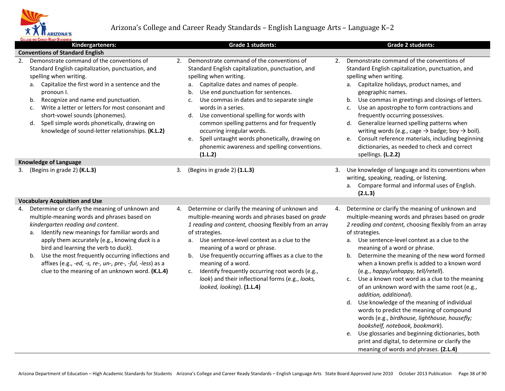

| <b>COLLEGE AND CAREER READY STANDARDS</b>                                                                                                                                                                                                                                                                                                                                                                                                                         |                                                                                                                                                                                                                                                                                                                                                                                                                                                                                                                                                      |                                                                                                                                                                                                                                                                                                                                                                                                                                                                                                                                                                                                                                                                                                                                                                                                                                                                                           |  |  |  |
|-------------------------------------------------------------------------------------------------------------------------------------------------------------------------------------------------------------------------------------------------------------------------------------------------------------------------------------------------------------------------------------------------------------------------------------------------------------------|------------------------------------------------------------------------------------------------------------------------------------------------------------------------------------------------------------------------------------------------------------------------------------------------------------------------------------------------------------------------------------------------------------------------------------------------------------------------------------------------------------------------------------------------------|-------------------------------------------------------------------------------------------------------------------------------------------------------------------------------------------------------------------------------------------------------------------------------------------------------------------------------------------------------------------------------------------------------------------------------------------------------------------------------------------------------------------------------------------------------------------------------------------------------------------------------------------------------------------------------------------------------------------------------------------------------------------------------------------------------------------------------------------------------------------------------------------|--|--|--|
| Kindergarteners:                                                                                                                                                                                                                                                                                                                                                                                                                                                  | <b>Grade 1 students:</b>                                                                                                                                                                                                                                                                                                                                                                                                                                                                                                                             | <b>Grade 2 students:</b>                                                                                                                                                                                                                                                                                                                                                                                                                                                                                                                                                                                                                                                                                                                                                                                                                                                                  |  |  |  |
| <b>Conventions of Standard English</b>                                                                                                                                                                                                                                                                                                                                                                                                                            |                                                                                                                                                                                                                                                                                                                                                                                                                                                                                                                                                      |                                                                                                                                                                                                                                                                                                                                                                                                                                                                                                                                                                                                                                                                                                                                                                                                                                                                                           |  |  |  |
| Demonstrate command of the conventions of<br>2.<br>Standard English capitalization, punctuation, and<br>spelling when writing.<br>a. Capitalize the first word in a sentence and the<br>pronoun I.<br>Recognize and name end punctuation.<br>b.<br>Write a letter or letters for most consonant and<br>c.<br>short-vowel sounds (phonemes).<br>Spell simple words phonetically, drawing on<br>d.<br>knowledge of sound-letter relationships. (K.L.2)              | Demonstrate command of the conventions of<br>2.<br>Standard English capitalization, punctuation, and<br>spelling when writing.<br>Capitalize dates and names of people.<br>а.<br>Use end punctuation for sentences.<br>b.<br>Use commas in dates and to separate single<br>c.<br>words in a series.<br>Use conventional spelling for words with<br>d.<br>common spelling patterns and for frequently<br>occurring irregular words.<br>Spell untaught words phonetically, drawing on<br>e.<br>phonemic awareness and spelling conventions.<br>(1.L.2) | Demonstrate command of the conventions of<br>2.<br>Standard English capitalization, punctuation, and<br>spelling when writing.<br>a. Capitalize holidays, product names, and<br>geographic names.<br>Use commas in greetings and closings of letters.<br>b.<br>Use an apostrophe to form contractions and<br>c.<br>frequently occurring possessives.<br>d. Generalize learned spelling patterns when<br>writing words (e.g., cage $\rightarrow$ badge; boy $\rightarrow$ boil).<br>e. Consult reference materials, including beginning<br>dictionaries, as needed to check and correct<br>spellings. (L.2.2)                                                                                                                                                                                                                                                                              |  |  |  |
| <b>Knowledge of Language</b>                                                                                                                                                                                                                                                                                                                                                                                                                                      |                                                                                                                                                                                                                                                                                                                                                                                                                                                                                                                                                      |                                                                                                                                                                                                                                                                                                                                                                                                                                                                                                                                                                                                                                                                                                                                                                                                                                                                                           |  |  |  |
| (Begins in grade 2) (K.L.3)<br>3.                                                                                                                                                                                                                                                                                                                                                                                                                                 | (Begins in grade 2) (1.L.3)<br>3.                                                                                                                                                                                                                                                                                                                                                                                                                                                                                                                    | Use knowledge of language and its conventions when<br>3.<br>writing, speaking, reading, or listening.<br>a. Compare formal and informal uses of English.<br>(2.L.3)                                                                                                                                                                                                                                                                                                                                                                                                                                                                                                                                                                                                                                                                                                                       |  |  |  |
| <b>Vocabulary Acquisition and Use</b>                                                                                                                                                                                                                                                                                                                                                                                                                             |                                                                                                                                                                                                                                                                                                                                                                                                                                                                                                                                                      |                                                                                                                                                                                                                                                                                                                                                                                                                                                                                                                                                                                                                                                                                                                                                                                                                                                                                           |  |  |  |
| Determine or clarify the meaning of unknown and<br>4.<br>multiple-meaning words and phrases based on<br>kindergarten reading and content.<br>a. Identify new meanings for familiar words and<br>apply them accurately (e.g., knowing duck is a<br>bird and learning the verb to duck).<br>Use the most frequently occurring inflections and<br>b.<br>affixes (e.g., -ed, -s, re-, un-, pre-, -ful, -less) as a<br>clue to the meaning of an unknown word. (K.L.4) | Determine or clarify the meaning of unknown and<br>4.<br>multiple-meaning words and phrases based on grade<br>1 reading and content, choosing flexibly from an array<br>of strategies.<br>Use sentence-level context as a clue to the<br>a.<br>meaning of a word or phrase.<br>b. Use frequently occurring affixes as a clue to the<br>meaning of a word.<br>Identify frequently occurring root words (e.g.,<br>$C_{\bullet}$<br>look) and their inflectional forms (e.g., looks,<br>looked, looking). (1.L.4)                                       | Determine or clarify the meaning of unknown and<br>4.<br>multiple-meaning words and phrases based on grade<br>2 reading and content, choosing flexibly from an array<br>of strategies.<br>a. Use sentence-level context as a clue to the<br>meaning of a word or phrase.<br>b. Determine the meaning of the new word formed<br>when a known prefix is added to a known word<br>(e.g., happy/unhappy, tell/retell).<br>Use a known root word as a clue to the meaning<br>c.<br>of an unknown word with the same root (e.g.,<br>addition, additional).<br>d. Use knowledge of the meaning of individual<br>words to predict the meaning of compound<br>words (e.g., birdhouse, lighthouse, housefly;<br>bookshelf, notebook, bookmark).<br>Use glossaries and beginning dictionaries, both<br>e.<br>print and digital, to determine or clarify the<br>meaning of words and phrases. (2.L.4) |  |  |  |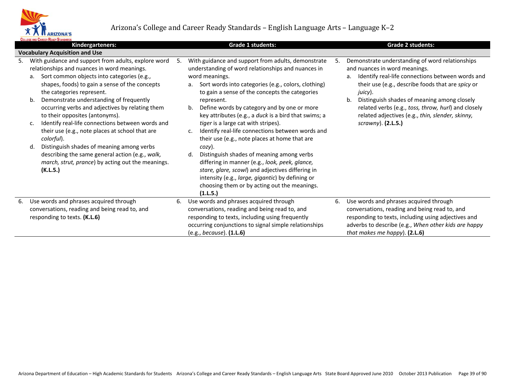

|    | <b>COLLEGE AND CAREER READY STANDARDS</b>                                                                                                                                                                                                                                                                                                                                                                                                                                                                                                                                                                                                                                     |    |                                                                                                                                                                                                                                                                                                                                                                                                                                                                                                                                                                                                                                                                                                                                                                                                           |     |                                                                                                                                                                                                                                                                                                                                                                                                      |
|----|-------------------------------------------------------------------------------------------------------------------------------------------------------------------------------------------------------------------------------------------------------------------------------------------------------------------------------------------------------------------------------------------------------------------------------------------------------------------------------------------------------------------------------------------------------------------------------------------------------------------------------------------------------------------------------|----|-----------------------------------------------------------------------------------------------------------------------------------------------------------------------------------------------------------------------------------------------------------------------------------------------------------------------------------------------------------------------------------------------------------------------------------------------------------------------------------------------------------------------------------------------------------------------------------------------------------------------------------------------------------------------------------------------------------------------------------------------------------------------------------------------------------|-----|------------------------------------------------------------------------------------------------------------------------------------------------------------------------------------------------------------------------------------------------------------------------------------------------------------------------------------------------------------------------------------------------------|
|    | Kindergarteners:                                                                                                                                                                                                                                                                                                                                                                                                                                                                                                                                                                                                                                                              |    | <b>Grade 1 students:</b>                                                                                                                                                                                                                                                                                                                                                                                                                                                                                                                                                                                                                                                                                                                                                                                  |     | <b>Grade 2 students:</b>                                                                                                                                                                                                                                                                                                                                                                             |
|    | <b>Vocabulary Acquisition and Use</b>                                                                                                                                                                                                                                                                                                                                                                                                                                                                                                                                                                                                                                         |    |                                                                                                                                                                                                                                                                                                                                                                                                                                                                                                                                                                                                                                                                                                                                                                                                           |     |                                                                                                                                                                                                                                                                                                                                                                                                      |
| 5. | With guidance and support from adults, explore word<br>relationships and nuances in word meanings.<br>Sort common objects into categories (e.g.,<br>a.<br>shapes, foods) to gain a sense of the concepts<br>the categories represent.<br>Demonstrate understanding of frequently<br>b.<br>occurring verbs and adjectives by relating them<br>to their opposites (antonyms).<br>Identify real-life connections between words and<br>c.<br>their use (e.g., note places at school that are<br>colorful).<br>Distinguish shades of meaning among verbs<br>d.<br>describing the same general action (e.g., walk,<br>march, strut, prance) by acting out the meanings.<br>(K.L.5.) | 5. | With guidance and support from adults, demonstrate<br>understanding of word relationships and nuances in<br>word meanings.<br>Sort words into categories (e.g., colors, clothing)<br>а.<br>to gain a sense of the concepts the categories<br>represent.<br>Define words by category and by one or more<br>b.<br>key attributes (e.g., a duck is a bird that swims; a<br>tiger is a large cat with stripes).<br>Identify real-life connections between words and<br>c.<br>their use (e.g., note places at home that are<br>cozy).<br>Distinguish shades of meaning among verbs<br>d.<br>differing in manner (e.g., look, peek, glance,<br>stare, glare, scowl) and adjectives differing in<br>intensity (e.g., large, gigantic) by defining or<br>choosing them or by acting out the meanings.<br>(1.L.5.) | -5. | Demonstrate understanding of word relationships<br>and nuances in word meanings.<br>Identify real-life connections between words and<br>a.<br>their use (e.g., describe foods that are spicy or<br>juicy).<br>Distinguish shades of meaning among closely<br>b.<br>related verbs (e.g., toss, throw, hurl) and closely<br>related adjectives (e.g., thin, slender, skinny,<br>$scrawny$ . $(2.1.5.)$ |
| 6. | Use words and phrases acquired through<br>conversations, reading and being read to, and<br>responding to texts. (K.L.6)                                                                                                                                                                                                                                                                                                                                                                                                                                                                                                                                                       | 6. | Use words and phrases acquired through<br>conversations, reading and being read to, and<br>responding to texts, including using frequently<br>occurring conjunctions to signal simple relationships<br>$(e.g., because).$ (1.L.6)                                                                                                                                                                                                                                                                                                                                                                                                                                                                                                                                                                         | 6.  | Use words and phrases acquired through<br>conversations, reading and being read to, and<br>responding to texts, including using adjectives and<br>adverbs to describe (e.g., When other kids are happy<br>that makes me happy). $(2.1.6)$                                                                                                                                                            |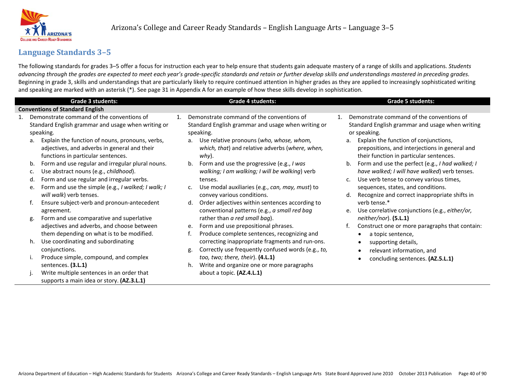

### **Language Standards 3–5**

The following standards for grades 3–5 offer <sup>a</sup> focus for instruction each year to help ensure that students gain adequate mastery of <sup>a</sup> range of skills and applications. *Students* advancing through the grades are expected to meet each year's grade-specific standards and retain or further develop skills and understandings mastered in preceding grades. Beginning in grade 3, skills and understandings that are particularly likely to require continued attention in higher grades as they are applied to increasingly sophisticated writing and speaking are marked with an asterisk (\*). See page 31 in Appendix A for an example of how these skills develop in sophistication.

| <b>Grade 3 students:</b>                                                                                                                                              | <b>Grade 4 students:</b>                                                                                                                                            | <b>Grade 5 students:</b>                                                                                                                                    |  |  |  |
|-----------------------------------------------------------------------------------------------------------------------------------------------------------------------|---------------------------------------------------------------------------------------------------------------------------------------------------------------------|-------------------------------------------------------------------------------------------------------------------------------------------------------------|--|--|--|
| <b>Conventions of Standard English</b>                                                                                                                                |                                                                                                                                                                     |                                                                                                                                                             |  |  |  |
| Demonstrate command of the conventions of<br>Standard English grammar and usage when writing or<br>speaking.<br>Explain the function of nouns, pronouns, verbs,<br>а. | Demonstrate command of the conventions of<br>Standard English grammar and usage when writing or<br>speaking.<br>Use relative pronouns (who, whose, whom,<br>$a_{-}$ | Demonstrate command of the conventions of<br>Standard English grammar and usage when writing<br>or speaking.<br>Explain the function of conjunctions,<br>а. |  |  |  |
| adjectives, and adverbs in general and their<br>functions in particular sentences.                                                                                    | which, that) and relative adverbs (where, when,<br>why).                                                                                                            | prepositions, and interjections in general and<br>their function in particular sentences.                                                                   |  |  |  |
| Form and use regular and irregular plural nouns.<br>b.<br>Use abstract nouns (e.g., childhood).<br>c.<br>Form and use regular and irregular verbs.<br>d.              | Form and use the progressive (e.g., I was<br>$b_{\cdot}$<br>walking; I am walking; I will be walking) verb<br>tenses.                                               | Form and use the perfect (e.g., I had walked; I<br>b.<br>have walked; I will have walked) verb tenses.<br>Use verb tense to convey various times,<br>c.     |  |  |  |
| Form and use the simple (e.g., I walked; I walk; I<br>e.<br>will walk) verb tenses.                                                                                   | Use modal auxiliaries (e.g., can, may, must) to<br>$C_{\star}$<br>convey various conditions.                                                                        | sequences, states, and conditions.<br>Recognize and correct inappropriate shifts in<br>d.                                                                   |  |  |  |
| Ensure subject-verb and pronoun-antecedent<br>agreement.                                                                                                              | Order adjectives within sentences according to<br>d.<br>conventional patterns (e.g., a small red bag                                                                | verb tense.*<br>Use correlative conjunctions (e.g., either/or,<br>e.                                                                                        |  |  |  |
| Form and use comparative and superlative<br>g.<br>adjectives and adverbs, and choose between<br>them depending on what is to be modified.                             | rather than a red small bag).<br>Form and use prepositional phrases.<br>e.<br>Produce complete sentences, recognizing and<br>f.                                     | $neither/nor$ ). $(5.L.1)$<br>Construct one or more paragraphs that contain:<br>a topic sentence,<br>٠                                                      |  |  |  |
| Use coordinating and subordinating<br>h.<br>conjunctions.                                                                                                             | correcting inappropriate fragments and run-ons.<br>Correctly use frequently confused words (e.g., to,<br>g.                                                         | supporting details,<br>٠<br>relevant information, and<br>$\bullet$                                                                                          |  |  |  |
| Produce simple, compound, and complex<br>sentences. (3.L.1)                                                                                                           | too, two; there, their). $(4.1.1)$<br>Write and organize one or more paragraphs<br>h.                                                                               | concluding sentences. (AZ.5.L.1)                                                                                                                            |  |  |  |
| Write multiple sentences in an order that<br>supports a main idea or story. (AZ.3.L.1)                                                                                | about a topic. (AZ.4.L.1)                                                                                                                                           |                                                                                                                                                             |  |  |  |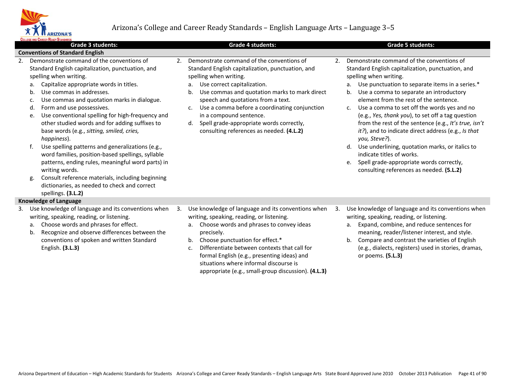

|    | <b>COLLEGE AND CAREER READY STANDARDS</b>                                                                                                                                                                                                                                                                                                                                                                                                                                                                                                                                                                                                                                                                                                                                                         |                          |                                                                                                                                                                                                                                                                                                                                                                                                                                            |                |                                                                                                                                                                                                                                                                                                                                                                                                                                                                                                                                                                                                                                                                                                             |
|----|---------------------------------------------------------------------------------------------------------------------------------------------------------------------------------------------------------------------------------------------------------------------------------------------------------------------------------------------------------------------------------------------------------------------------------------------------------------------------------------------------------------------------------------------------------------------------------------------------------------------------------------------------------------------------------------------------------------------------------------------------------------------------------------------------|--------------------------|--------------------------------------------------------------------------------------------------------------------------------------------------------------------------------------------------------------------------------------------------------------------------------------------------------------------------------------------------------------------------------------------------------------------------------------------|----------------|-------------------------------------------------------------------------------------------------------------------------------------------------------------------------------------------------------------------------------------------------------------------------------------------------------------------------------------------------------------------------------------------------------------------------------------------------------------------------------------------------------------------------------------------------------------------------------------------------------------------------------------------------------------------------------------------------------------|
|    | <b>Grade 3 students:</b>                                                                                                                                                                                                                                                                                                                                                                                                                                                                                                                                                                                                                                                                                                                                                                          | <b>Grade 4 students:</b> |                                                                                                                                                                                                                                                                                                                                                                                                                                            |                | <b>Grade 5 students:</b>                                                                                                                                                                                                                                                                                                                                                                                                                                                                                                                                                                                                                                                                                    |
|    | <b>Conventions of Standard English</b>                                                                                                                                                                                                                                                                                                                                                                                                                                                                                                                                                                                                                                                                                                                                                            |                          |                                                                                                                                                                                                                                                                                                                                                                                                                                            |                |                                                                                                                                                                                                                                                                                                                                                                                                                                                                                                                                                                                                                                                                                                             |
| 2. | Demonstrate command of the conventions of<br>Standard English capitalization, punctuation, and<br>spelling when writing.<br>Capitalize appropriate words in titles.<br>a.<br>Use commas in addresses.<br>b.<br>Use commas and quotation marks in dialogue.<br>c.<br>Form and use possessives.<br>d.<br>Use conventional spelling for high-frequency and<br>e.<br>other studied words and for adding suffixes to<br>base words (e.g., sitting, smiled, cries,<br>happiness).<br>Use spelling patterns and generalizations (e.g.,<br>f.<br>word families, position-based spellings, syllable<br>patterns, ending rules, meaningful word parts) in<br>writing words.<br>Consult reference materials, including beginning<br>g.<br>dictionaries, as needed to check and correct<br>spellings. (3.L.2) | 2.                       | Demonstrate command of the conventions of<br>Standard English capitalization, punctuation, and<br>spelling when writing.<br>Use correct capitalization.<br>а.<br>Use commas and quotation marks to mark direct<br>b.<br>speech and quotations from a text.<br>Use a comma before a coordinating conjunction<br>c.<br>in a compound sentence.<br>Spell grade-appropriate words correctly,<br>d.<br>consulting references as needed. (4.L.2) | 2 <sub>1</sub> | Demonstrate command of the conventions of<br>Standard English capitalization, punctuation, and<br>spelling when writing.<br>Use punctuation to separate items in a series.*<br>a.<br>Use a comma to separate an introductory<br>b.<br>element from the rest of the sentence.<br>Use a comma to set off the words yes and no<br>c.<br>(e.g., Yes, thank you), to set off a tag question<br>from the rest of the sentence (e.g., It's true, isn't<br>it?), and to indicate direct address (e.g., Is that<br>you, Steve?).<br>Use underlining, quotation marks, or italics to<br>d.<br>indicate titles of works.<br>Spell grade-appropriate words correctly,<br>e.<br>consulting references as needed. (5.L.2) |
|    | <b>Knowledge of Language</b>                                                                                                                                                                                                                                                                                                                                                                                                                                                                                                                                                                                                                                                                                                                                                                      |                          |                                                                                                                                                                                                                                                                                                                                                                                                                                            |                |                                                                                                                                                                                                                                                                                                                                                                                                                                                                                                                                                                                                                                                                                                             |
|    | 3. Use knowledge of language and its conventions when<br>writing, speaking, reading, or listening.<br>Choose words and phrases for effect.<br>a.<br>Recognize and observe differences between the<br>b.<br>conventions of spoken and written Standard<br>English. (3.L.3)                                                                                                                                                                                                                                                                                                                                                                                                                                                                                                                         | 3.                       | Use knowledge of language and its conventions when<br>writing, speaking, reading, or listening.<br>a. Choose words and phrases to convey ideas<br>precisely.<br>Choose punctuation for effect.*<br>b.<br>Differentiate between contexts that call for<br>c.<br>formal English (e.g., presenting ideas) and<br>situations where informal discourse is                                                                                       | 3.             | Use knowledge of language and its conventions when<br>writing, speaking, reading, or listening.<br>Expand, combine, and reduce sentences for<br>a.<br>meaning, reader/listener interest, and style.<br>Compare and contrast the varieties of English<br>b.<br>(e.g., dialects, registers) used in stories, dramas,<br>or poems. $(5.1.3)$                                                                                                                                                                                                                                                                                                                                                                   |

appropriate (e.g., small‐group discussion). **(4.L.3)**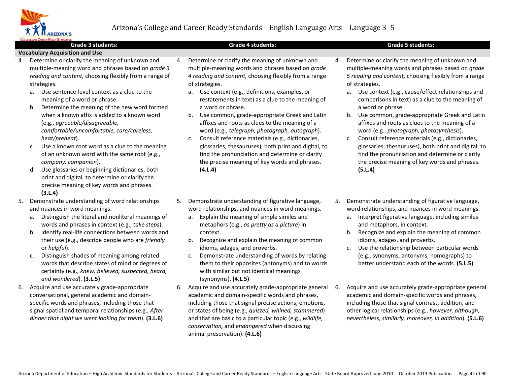

| <b>Grade 3 students:</b> |                                                                                                                                                                                                                                                                                                                                                                                                                                                                                                                                                                                                                                                                                                                                                                          |    | <b>Grade 4 students:</b>                                                                                                                                                                                                                                                                                                                                                                                                                                                                                                                                                                                                                                                                                 |    | <b>Grade 5 students:</b>                                                                                                                                                                                                                                                                                                                                                                                                                                                                                                                                                                                                                                                                               |  |  |  |
|--------------------------|--------------------------------------------------------------------------------------------------------------------------------------------------------------------------------------------------------------------------------------------------------------------------------------------------------------------------------------------------------------------------------------------------------------------------------------------------------------------------------------------------------------------------------------------------------------------------------------------------------------------------------------------------------------------------------------------------------------------------------------------------------------------------|----|----------------------------------------------------------------------------------------------------------------------------------------------------------------------------------------------------------------------------------------------------------------------------------------------------------------------------------------------------------------------------------------------------------------------------------------------------------------------------------------------------------------------------------------------------------------------------------------------------------------------------------------------------------------------------------------------------------|----|--------------------------------------------------------------------------------------------------------------------------------------------------------------------------------------------------------------------------------------------------------------------------------------------------------------------------------------------------------------------------------------------------------------------------------------------------------------------------------------------------------------------------------------------------------------------------------------------------------------------------------------------------------------------------------------------------------|--|--|--|
|                          | <b>Vocabulary Acquisition and Use</b>                                                                                                                                                                                                                                                                                                                                                                                                                                                                                                                                                                                                                                                                                                                                    |    |                                                                                                                                                                                                                                                                                                                                                                                                                                                                                                                                                                                                                                                                                                          |    |                                                                                                                                                                                                                                                                                                                                                                                                                                                                                                                                                                                                                                                                                                        |  |  |  |
| 4.                       | Determine or clarify the meaning of unknown and<br>multiple-meaning word and phrases based on grade 3<br>reading and content, choosing flexibly from a range of<br>strategies.<br>a. Use sentence-level context as a clue to the<br>meaning of a word or phrase.<br>Determine the meaning of the new word formed<br>b.<br>when a known affix is added to a known word<br>(e.g., agreeable/disagreeable,<br>comfortable/uncomfortable, care/careless,<br>heat/preheat).<br>Use a known root word as a clue to the meaning<br>c.<br>of an unknown word with the same root (e.g.,<br>company, companion).<br>Use glossaries or beginning dictionaries, both<br>d.<br>print and digital, to determine or clarify the<br>precise meaning of key words and phrases.<br>(3.L.4) | 4. | Determine or clarify the meaning of unknown and<br>multiple-meaning words and phrases based on grade<br>4 reading and content, choosing flexibly from a range<br>of strategies.<br>a. Use context (e.g., definitions, examples, or<br>restatements in text) as a clue to the meaning of<br>a word or phrase.<br>Use common, grade-appropriate Greek and Latin<br>b.<br>affixes and roots as clues to the meaning of a<br>word (e.g., telegraph, photograph, autograph).<br>Consult reference materials (e.g., dictionaries,<br>c.<br>glossaries, thesauruses), both print and digital, to<br>find the pronunciation and determine or clarify<br>the precise meaning of key words and phrases.<br>(4.L.4) | 4. | Determine or clarify the meaning of unknown and<br>multiple-meaning words and phrases based on grade<br>5 reading and content, choosing flexibly from a range<br>of strategies.<br>a. Use context (e.g., cause/effect relationships and<br>comparisons in text) as a clue to the meaning of<br>a word or phrase.<br>Use common, grade-appropriate Greek and Latin<br>b.<br>affixes and roots as clues to the meaning of a<br>word (e.g., photograph, photosynthesis).<br>Consult reference materials (e.g., dictionaries,<br>c.<br>glossaries, thesauruses), both print and digital, to<br>find the pronunciation and determine or clarify<br>the precise meaning of key words and phrases.<br>(5.L.4) |  |  |  |
|                          | Demonstrate understanding of word relationships<br>and nuances in word meanings.<br>Distinguish the literal and nonliteral meanings of<br>a.<br>words and phrases in context (e.g., take steps).<br>Identify real-life connections between words and<br>b.<br>their use (e.g., describe people who are friendly<br>or helpful).<br>Distinguish shades of meaning among related<br>c.<br>words that describe states of mind or degrees of<br>certainty (e.g., knew, believed, suspected, heard,<br>and wondered). (3.L.5)                                                                                                                                                                                                                                                 | 5. | Demonstrate understanding of figurative language,<br>word relationships, and nuances in word meanings.<br>Explain the meaning of simple similes and<br>a.<br>metaphors (e.g., as pretty as a picture) in<br>context.<br>Recognize and explain the meaning of common<br>b.<br>idioms, adages, and proverbs.<br>Demonstrate understanding of words by relating<br>c.<br>them to their opposites (antonyms) and to words<br>with similar but not identical meanings<br>(synonyms). (4.L.5)                                                                                                                                                                                                                  | 5. | Demonstrate understanding of figurative language,<br>word relationships, and nuances in word meanings.<br>Interpret figurative language, including similes<br>а.<br>and metaphors, in context.<br>b. Recognize and explain the meaning of common<br>idioms, adages, and proverbs.<br>Use the relationship between particular words<br>c.<br>(e.g., synonyms, antonyms, homographs) to<br>better understand each of the words. (5.L.5)                                                                                                                                                                                                                                                                  |  |  |  |
| 6.                       | Acquire and use accurately grade-appropriate<br>conversational, general academic and domain-<br>specific words and phrases, including those that<br>signal spatial and temporal relationships (e.g., After<br>dinner that night we went looking for them). (3.L.6)                                                                                                                                                                                                                                                                                                                                                                                                                                                                                                       | 6. | Acquire and use accurately grade-appropriate general<br>academic and domain-specific words and phrases,<br>including those that signal precise actions, emotions,<br>or states of being (e.g., quizzed, whined, stammered)<br>and that are basic to a particular topic (e.g., wildlife,<br>conservation, and endangered when discussing<br>animal preservation). (4.L.6)                                                                                                                                                                                                                                                                                                                                 | 6. | Acquire and use accurately grade-appropriate general<br>academic and domain-specific words and phrases,<br>including those that signal contrast, addition, and<br>other logical relationships (e.g., however, although,<br>nevertheless, similarly, moreover, in addition). (5.L.6)                                                                                                                                                                                                                                                                                                                                                                                                                    |  |  |  |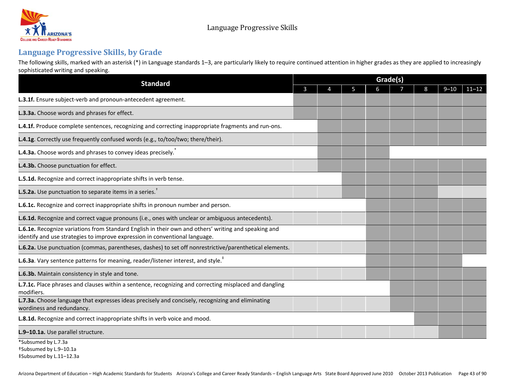

### **Language Progressive Skills, by Grade**

The following skills, marked with an asterisk (\*) in Language standards 1–3, are particularly likely to require continued attention in higher grades as they are applied to increasingly sophisticated writing and speaking.

| <b>Standard</b>                                                                                                                                                                     |    |  | Grade(s) |   |   |   |          |           |  |  |  |  |  |
|-------------------------------------------------------------------------------------------------------------------------------------------------------------------------------------|----|--|----------|---|---|---|----------|-----------|--|--|--|--|--|
|                                                                                                                                                                                     | 3. |  | 5.       | 6 | 7 | 8 | $9 - 10$ | $11 - 12$ |  |  |  |  |  |
| L.3.1f. Ensure subject-verb and pronoun-antecedent agreement.                                                                                                                       |    |  |          |   |   |   |          |           |  |  |  |  |  |
| L.3.3a. Choose words and phrases for effect.                                                                                                                                        |    |  |          |   |   |   |          |           |  |  |  |  |  |
| L.4.1f. Produce complete sentences, recognizing and correcting inappropriate fragments and run-ons.                                                                                 |    |  |          |   |   |   |          |           |  |  |  |  |  |
| L.4.1g. Correctly use frequently confused words (e.g., to/too/two; there/their).                                                                                                    |    |  |          |   |   |   |          |           |  |  |  |  |  |
| L.4.3a. Choose words and phrases to convey ideas precisely.                                                                                                                         |    |  |          |   |   |   |          |           |  |  |  |  |  |
| L.4.3b. Choose punctuation for effect.                                                                                                                                              |    |  |          |   |   |   |          |           |  |  |  |  |  |
| L.5.1d. Recognize and correct inappropriate shifts in verb tense.                                                                                                                   |    |  |          |   |   |   |          |           |  |  |  |  |  |
| <b>L.5.2a.</b> Use punctuation to separate items in a series. <sup>†</sup>                                                                                                          |    |  |          |   |   |   |          |           |  |  |  |  |  |
| L.6.1c. Recognize and correct inappropriate shifts in pronoun number and person.                                                                                                    |    |  |          |   |   |   |          |           |  |  |  |  |  |
| L.6.1d. Recognize and correct vague pronouns (i.e., ones with unclear or ambiguous antecedents).                                                                                    |    |  |          |   |   |   |          |           |  |  |  |  |  |
| L.6.1e. Recognize variations from Standard English in their own and others' writing and speaking and<br>identify and use strategies to improve expression in conventional language. |    |  |          |   |   |   |          |           |  |  |  |  |  |
| L.6.2a. Use punctuation (commas, parentheses, dashes) to set off nonrestrictive/parenthetical elements.                                                                             |    |  |          |   |   |   |          |           |  |  |  |  |  |
| L.6.3a. Vary sentence patterns for meaning, reader/listener interest, and style. <sup>†</sup>                                                                                       |    |  |          |   |   |   |          |           |  |  |  |  |  |
| L.6.3b. Maintain consistency in style and tone.                                                                                                                                     |    |  |          |   |   |   |          |           |  |  |  |  |  |
| L.7.1c. Place phrases and clauses within a sentence, recognizing and correcting misplaced and dangling<br>modifiers.                                                                |    |  |          |   |   |   |          |           |  |  |  |  |  |
| L.7.3a. Choose language that expresses ideas precisely and concisely, recognizing and eliminating<br>wordiness and redundancy.                                                      |    |  |          |   |   |   |          |           |  |  |  |  |  |
| L.8.1d. Recognize and correct inappropriate shifts in verb voice and mood.                                                                                                          |    |  |          |   |   |   |          |           |  |  |  |  |  |
| L.9-10.1a. Use parallel structure.                                                                                                                                                  |    |  |          |   |   |   |          |           |  |  |  |  |  |
| $*$ Subsumed by $\overline{1}$ 7.32                                                                                                                                                 |    |  |          |   |   |   |          |           |  |  |  |  |  |

\*Subsumed by L.7.3a †Subsumed by L.9–10.1a ‡Subsumed by L.11–12.3a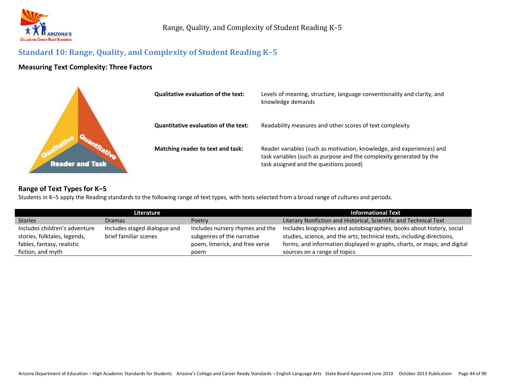

## **Standard 10: Range, Quality, and Complexity of Student Reading K–5**

#### **Measuring Text Complexity: Three Factors**



### **Range of Text Types for K–5**

Students in K–5 apply the Reading standards to the following range of text types, with texts selected from <sup>a</sup> broad range of cultures and periods.

|                               | Literature                   |                                 | <b>Informational Text</b>                                                |
|-------------------------------|------------------------------|---------------------------------|--------------------------------------------------------------------------|
| <b>Stories</b>                | <b>Dramas</b>                | Poetry                          | Literary Nonfiction and Historical, Scientific and Technical Text        |
| Includes children's adventure | Includes staged dialogue and | Includes nursery rhymes and the | Includes biographies and autobiographies; books about history, social    |
| stories, folktales, legends,  | brief familiar scenes        | subgenres of the narrative      | studies, science, and the arts; technical texts, including directions,   |
| fables, fantasy, realistic    |                              | poem, limerick, and free verse  | forms, and information displayed in graphs, charts, or maps; and digital |
| fiction, and myth             |                              | poem                            | sources on a range of topics                                             |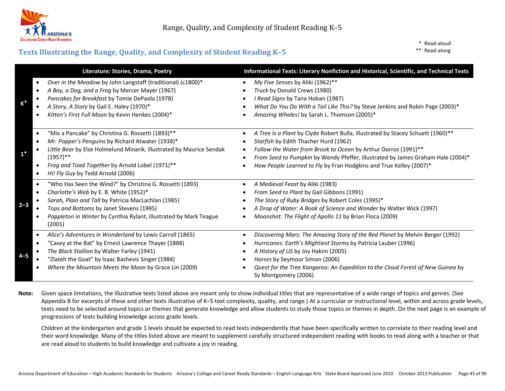

\* Read‐aloud

\*\* Read‐along

## **Texts Illustrating the Range, Quality, and Complexity of Student Reading K–5**

|     | Literature: Stories, Drama, Poetry                                                                                                                                                                                                                                                   | Informational Texts: Literary Nonfiction and Historical, Scientific, and Technical Texts                                                                                                                                                                                                                                                            |
|-----|--------------------------------------------------------------------------------------------------------------------------------------------------------------------------------------------------------------------------------------------------------------------------------------|-----------------------------------------------------------------------------------------------------------------------------------------------------------------------------------------------------------------------------------------------------------------------------------------------------------------------------------------------------|
| K   | Over in the Meadow by John Langstaff (traditional) (c1800)*<br>A Boy, a Dog, and a Frog by Mercer Mayer (1967)<br>Pancakes for Breakfast by Tomie DePaola (1978)<br>A Story, A Story by Gail E. Haley (1970)*<br>Kitten's First Full Moon by Kevin Henkes (2004)*                    | My Five Senses by Aliki (1962)**<br>Truck by Donald Crews (1980)<br>I Read Signs by Tana Hoban (1987)<br>What Do You Do With a Tail Like This? by Steve Jenkins and Robin Page (2003)*<br>Amazing Whales! by Sarah L. Thomson (2005)*                                                                                                               |
|     | "Mix a Pancake" by Christina G. Rossetti (1893)**<br>Mr. Popper's Penguins by Richard Atwater (1938)*<br>Little Bear by Else Holmelund Minarik, illustrated by Maurice Sendak<br>$(1957)$ **<br>Frog and Toad Together by Arnold Lobel (1971)**<br>Hi! Fly Guy by Tedd Arnold (2006) | A Tree Is a Plant by Clyde Robert Bulla, illustrated by Stacey Schuett (1960)**<br>Starfish by Edith Thacher Hurd (1962)<br>Follow the Water from Brook to Ocean by Arthur Dorros (1991)**<br>From Seed to Pumpkin by Wendy Pfeffer, illustrated by James Graham Hale (2004)*<br>How People Learned to Fly by Fran Hodgkins and True Kelley (2007)* |
| 2–3 | "Who Has Seen the Wind?" by Christina G. Rossetti (1893)<br>Charlotte's Web by E. B. White (1952)*<br>Sarah, Plain and Tall by Patricia MacLachlan (1985)<br>Tops and Bottoms by Janet Stevens (1995)<br>Poppleton in Winter by Cynthia Rylant, illustrated by Mark Teague<br>(2001) | A Medieval Feast by Aliki (1983)<br>From Seed to Plant by Gail Gibbons (1991)<br>The Story of Ruby Bridges by Robert Coles (1995)*<br>A Drop of Water: A Book of Science and Wonder by Walter Wick (1997)<br>Moonshot: The Flight of Apollo 11 by Brian Floca (2009)                                                                                |
|     | Alice's Adventures in Wonderland by Lewis Carroll (1865)<br>"Casey at the Bat" by Ernest Lawrence Thayer (1888)<br>The Black Stallion by Walter Farley (1941)<br>"Zlateh the Goat" by Isaac Bashevis Singer (1984)<br>Where the Mountain Meets the Moon by Grace Lin (2009)          | Discovering Mars: The Amazing Story of the Red Planet by Melvin Berger (1992)<br>Hurricanes: Earth's Mightiest Storms by Patricia Lauber (1996)<br>A History of US by Joy Hakim (2005)<br>Horses by Seymour Simon (2006)<br>Quest for the Tree Kangaroo: An Expedition to the Cloud Forest of New Guinea by<br>Sy Montgomery (2006)                 |

**Note:** Given space limitations, the illustrative texts listed above are meant only to show individual titles that are representative of <sup>a</sup> wide range of topics and genres. (See Appendix B for excerpts of these and other texts illustrative of K-5 text complexity, quality, and range.) At a curricular or instructional level, within and across grade levels, texts need to be selected around topics or themes that generate knowledge and allow students to study those topics or themes in depth. On the next page is an example of progressions of texts building knowledge across grade levels.

Children at the kindergarten and grade 1 levels should be expected to read texts independently that have been specifically written to correlate to their reading level and their word knowledge. Many of the titles listed above are meant to supplement carefully structured independent reading with books to read along with <sup>a</sup> teacher or that are read aloud to students to build knowledge and cultivate <sup>a</sup> joy in reading.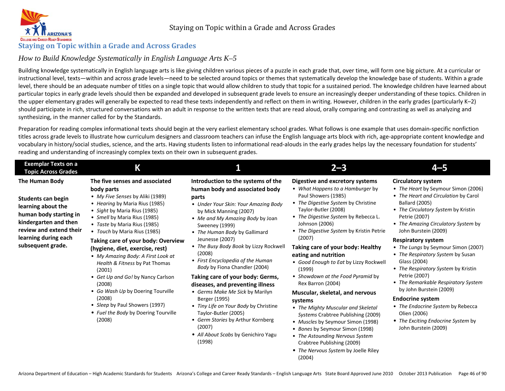



### **Staying on Topic within <sup>a</sup> Grade and Across Grades**

### *How to Build Knowledge Systematically in English Language Arts K–5*

Building knowledge systematically in English language arts is like giving children various pieces of a puzzle in each grade that, over time, will form one big picture. At a curricular or instructional level, texts—within and across grade levels—need to be selected around topics or themes that systematically develop the knowledge base of students. Within <sup>a</sup> grade level, there should be an adequate number of titles on a single topic that would allow children to study that topic for a sustained period. The knowledge children have learned about particular topics in early grade levels should then be expanded and developed in subsequent grade levels to ensure an increasingly deeper understanding of these topics. Children in the upper elementary grades will generally be expected to read these texts independently and reflect on them in writing. However, children in the early grades (particularly K–2) should participate in rich, structured conversations with an adult in response to the written texts that are read aloud, orally comparing and contrasting as well as analyzing and synthesizing, in the manner called for by the Standards.

Preparation for reading complex informational texts should begin at the very earliest elementary school grades. What follows is one example that uses domain-specific nonfiction titles across grade levels to illustrate how curriculum designers and classroom teachers can infuse the English language arts block with rich, age‐appropriate content knowledge and vocabulary in history/social studies, science, and the arts. Having students listen to informational read‐alouds in the early grades helps lay the necessary foundation for students' reading and understanding of increasingly complex texts on their own in subsequent grades.

| <b>Exemplar Texts on a</b><br><b>Topic Across Grades</b>                                                                                                                                     | К                                                                                                                                                                                                                                                                                                                                                                                                                                                                                                                                                                                               |                                                                                                                                                                                                                                                                                                                                                                                                                                                                                                                                                                                                                                                                                  | $2 - 3$                                                                                                                                                                                                                                                                                                                                                                                                                                                                                                                                                                                                                                                                                                                                                                   |                                                                                                                                                                                                                                                                                                                                                                                                                                                                                                                                                                                                                                                           |
|----------------------------------------------------------------------------------------------------------------------------------------------------------------------------------------------|-------------------------------------------------------------------------------------------------------------------------------------------------------------------------------------------------------------------------------------------------------------------------------------------------------------------------------------------------------------------------------------------------------------------------------------------------------------------------------------------------------------------------------------------------------------------------------------------------|----------------------------------------------------------------------------------------------------------------------------------------------------------------------------------------------------------------------------------------------------------------------------------------------------------------------------------------------------------------------------------------------------------------------------------------------------------------------------------------------------------------------------------------------------------------------------------------------------------------------------------------------------------------------------------|---------------------------------------------------------------------------------------------------------------------------------------------------------------------------------------------------------------------------------------------------------------------------------------------------------------------------------------------------------------------------------------------------------------------------------------------------------------------------------------------------------------------------------------------------------------------------------------------------------------------------------------------------------------------------------------------------------------------------------------------------------------------------|-----------------------------------------------------------------------------------------------------------------------------------------------------------------------------------------------------------------------------------------------------------------------------------------------------------------------------------------------------------------------------------------------------------------------------------------------------------------------------------------------------------------------------------------------------------------------------------------------------------------------------------------------------------|
| The Human Body<br><b>Students can begin</b><br>learning about the<br>human body starting in<br>kindergarten and then<br>review and extend their<br>learning during each<br>subsequent grade. | The five senses and associated<br>body parts<br>• My Five Senses by Aliki (1989)<br>• Hearing by Maria Rius (1985)<br>• Sight by Maria Rius (1985)<br>• Smell by Maria Rius (1985)<br>• Taste by Maria Rius (1985)<br>• Touch by Maria Rius (1985)<br>Taking care of your body: Overview<br>(hygiene, diet, exercise, rest)<br>• My Amazing Body: A First Look at<br>Health & Fitness by Pat Thomas<br>(2001)<br>• Get Up and Go! by Nancy Carlson<br>(2008)<br>• Go Wash Up by Doering Tourville<br>(2008)<br>• Sleep by Paul Showers (1997)<br>• Fuel the Body by Doering Tourville<br>(2008) | Introduction to the systems of the<br>human body and associated body<br>parts<br>• Under Your Skin: Your Amazing Body<br>by Mick Manning (2007)<br>• Me and My Amazing Body by Joan<br>Sweeney (1999)<br>• The Human Body by Gallimard<br>Jeunesse (2007)<br>• The Busy Body Book by Lizzy Rockwell<br>(2008)<br>• First Encyclopedia of the Human<br>Body by Fiona Chandler (2004)<br>Taking care of your body: Germs,<br>diseases, and preventing illness<br>• Germs Make Me Sick by Marilyn<br>Berger (1995)<br>• Tiny Life on Your Body by Christine<br>Taylor-Butler (2005)<br>• Germ Stories by Arthur Kornberg<br>(2007)<br>• All About Scabs by Genichiro Yagu<br>(1998) | Digestive and excretory systems<br>• What Happens to a Hamburger by<br>Paul Showers (1985)<br>• The Digestive System by Christine<br>Taylor-Butler (2008)<br>• The Digestive System by Rebecca L.<br>Johnson (2006)<br>• The Digestive System by Kristin Petrie<br>(2007)<br>Taking care of your body: Healthy<br>eating and nutrition<br>• Good Enough to Eat by Lizzy Rockwell<br>(1999)<br>• Showdown at the Food Pyramid by<br>Rex Barron (2004)<br>Muscular, skeletal, and nervous<br>systems<br>• The Mighty Muscular and Skeletal<br>Systems Crabtree Publishing (2009)<br>• Muscles by Seymour Simon (1998)<br>• Bones by Seymour Simon (1998)<br>• The Astounding Nervous System<br>Crabtree Publishing (2009)<br>• The Nervous System by Joelle Riley<br>(2004) | <b>Circulatory system</b><br>• The Heart by Seymour Simon (2006)<br>• The Heart and Circulation by Carol<br><b>Ballard (2005)</b><br>• The Circulatory System by Kristin<br>Petrie (2007)<br>• The Amazing Circulatory System by<br>John Burstein (2009)<br><b>Respiratory system</b><br>• The Lungs by Seymour Simon (2007)<br>• The Respiratory System by Susan<br>Glass (2004)<br>• The Respiratory System by Kristin<br>Petrie (2007)<br>• The Remarkable Respiratory System<br>by John Burstein (2009)<br><b>Endocrine system</b><br>• The Endocrine System by Rebecca<br>Olien (2006)<br>• The Exciting Endocrine System by<br>John Burstein (2009) |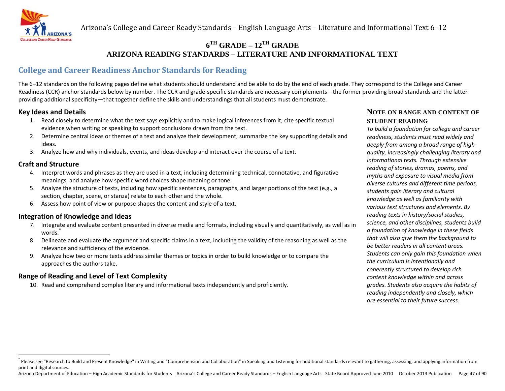# $6^{TH}$  GRADE –  $12^{TH}$  GRADE **ARIZONA READING STANDARDS – LITERATURE AND INFORMATIONAL TEXT**

## **College and Career Readiness Anchor Standards for Reading**

The 6–12 standards on the following pages define what students should understand and be able to do by the end of each grade. They correspond to the College and Career Readiness (CCR) anchor standards below by number. The CCR and grade‐specific standards are necessary complements—the former providing broad standards and the latter providing additional specificity—that together define the skills and understandings that all students must demonstrate.

### **Key Ideas and Details**

- 1. Read closely to determine what the text says explicitly and to make logical inferences from it; cite specific textual evidence when writing or speaking to support conclusions drawn from the text.
- 2. Determine central ideas or themes of <sup>a</sup> text and analyze their development; summarize the key supporting details and ideas.
- 3. Analyze how and why individuals, events, and ideas develop and interact over the course of <sup>a</sup> text.

#### **Craft and Structure**

- 4. Interpret words and phrases as they are used in <sup>a</sup> text, including determining technical, connotative, and figurative meanings, and analyze how specific word choices shape meaning or tone.
- 5. Analyze the structure of texts, including how specific sentences, paragraphs, and larger portions of the text (e.g., <sup>a</sup> section, chapter, scene, or stanza) relate to each other and the whole.
- 6. Assess how point of view or purpose shapes the content and style of <sup>a</sup> text.

#### **Integration of Knowledge and Ideas**

- 7. Integrate and evaluate content presented in diverse media and formats, including visually and quantitatively, as well as in words.\*
- 8. Delineate and evaluate the argument and specific claims in <sup>a</sup> text, including the validity of the reasoning as well as the relevance and sufficiency of the evidence.
- 9. Analyze how two or more texts address similar themes or topics in order to build knowledge or to compare the approaches the authors take.

### **Range of Reading and Level of Text Complexity**

10. Read and comprehend complex literary and informational texts independently and proficiently.

#### **NOTE ON RANGE AND CONTENT OF STUDENT READING**

*To build <sup>a</sup> foundation for college and career readiness, students must read widely and deeply from among <sup>a</sup> broad range of high‐ quality, increasingly challenging literary and informational texts. Through extensive reading of stories, dramas, poems, and myths and exposure to visual media from diverse cultures and different time periods, students gain literary and cultural knowledge as well as familiarity with various text structures and elements. By reading texts in history/social studies, science, and other disciplines, students build a foundation of knowledge in these fields that will also give them the background to be better readers in all content areas. Students can only gain this foundation when the curriculum is intentionally and coherently structured to develop rich content knowledge within and across grades. Students also acquire the habits of reading independently and closely, which are essential to their future success.*

<sup>\*</sup> Please see "Research to Build and Present Knowledge" in Writing and "Comprehension and Collaboration" in Speaking and Listening for additional standards relevant to gathering, assessing, and applying information from print and digital sources.

Arizona Department of Education – High Academic Standards for Students Arizona's College and Career Ready Standards – English Language Arts State Board Approved June 2010 October 2013 Publication Page 47 of 90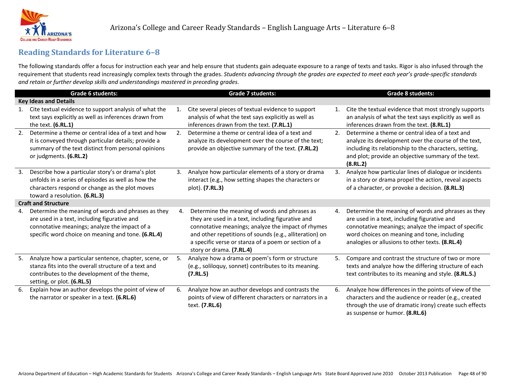

# **Reading Standards for Literature 6–8**

The following standards offer <sup>a</sup> focus for instruction each year and help ensure that students gain adequate exposure to <sup>a</sup> range of texts and tasks. Rigor is also infused through the requirement that students read increasingly complex texts through the grades. Students advancing through the grades are expected to meet each year's grade-specific standards *and retain or further develop skills and understandings mastered in preceding grades.*

| <b>Grade 6 students:</b> |                                                                                                                                                                                                           |    | <b>Grade 7 students:</b>                                                                                                                                                                                                                                                                                |    | <b>Grade 8 students:</b>                                                                                                                                                                                                                                     |  |  |
|--------------------------|-----------------------------------------------------------------------------------------------------------------------------------------------------------------------------------------------------------|----|---------------------------------------------------------------------------------------------------------------------------------------------------------------------------------------------------------------------------------------------------------------------------------------------------------|----|--------------------------------------------------------------------------------------------------------------------------------------------------------------------------------------------------------------------------------------------------------------|--|--|
|                          | <b>Key Ideas and Details</b>                                                                                                                                                                              |    |                                                                                                                                                                                                                                                                                                         |    |                                                                                                                                                                                                                                                              |  |  |
|                          | 1. Cite textual evidence to support analysis of what the<br>text says explicitly as well as inferences drawn from<br>the text. $(6.RL.1)$                                                                 | 1. | Cite several pieces of textual evidence to support<br>analysis of what the text says explicitly as well as<br>inferences drawn from the text. (7.RL.1)                                                                                                                                                  | 1. | Cite the textual evidence that most strongly supports<br>an analysis of what the text says explicitly as well as<br>inferences drawn from the text. (8.RL.1)                                                                                                 |  |  |
| 2.                       | Determine a theme or central idea of a text and how<br>it is conveyed through particular details; provide a<br>summary of the text distinct from personal opinions<br>or judgments. (6.RL.2)              | 2. | Determine a theme or central idea of a text and<br>analyze its development over the course of the text;<br>provide an objective summary of the text. (7.RL.2)                                                                                                                                           | 2. | Determine a theme or central idea of a text and<br>analyze its development over the course of the text,<br>including its relationship to the characters, setting,<br>and plot; provide an objective summary of the text.<br>(8.RL.2)                         |  |  |
| 3.                       | Describe how a particular story's or drama's plot<br>unfolds in a series of episodes as well as how the<br>characters respond or change as the plot moves<br>toward a resolution. (6.RL.3)                | 3. | Analyze how particular elements of a story or drama<br>interact (e.g., how setting shapes the characters or<br>plot). (7.RL.3)                                                                                                                                                                          | 3. | Analyze how particular lines of dialogue or incidents<br>in a story or drama propel the action, reveal aspects<br>of a character, or provoke a decision. (8.RL.3)                                                                                            |  |  |
|                          | <b>Craft and Structure</b>                                                                                                                                                                                |    |                                                                                                                                                                                                                                                                                                         |    |                                                                                                                                                                                                                                                              |  |  |
| 4.                       | Determine the meaning of words and phrases as they<br>are used in a text, including figurative and<br>connotative meanings; analyze the impact of a<br>specific word choice on meaning and tone. (6.RL.4) | 4. | Determine the meaning of words and phrases as<br>they are used in a text, including figurative and<br>connotative meanings; analyze the impact of rhymes<br>and other repetitions of sounds (e.g., alliteration) on<br>a specific verse or stanza of a poem or section of a<br>story or drama. (7.RL.4) | 4. | Determine the meaning of words and phrases as they<br>are used in a text, including figurative and<br>connotative meanings; analyze the impact of specific<br>word choices on meaning and tone, including<br>analogies or allusions to other texts. (8.RL.4) |  |  |
| 5.                       | Analyze how a particular sentence, chapter, scene, or<br>stanza fits into the overall structure of a text and<br>contributes to the development of the theme,<br>setting, or plot. (6.RL.5)               | 5. | Analyze how a drama or poem's form or structure<br>(e.g., soliloquy, sonnet) contributes to its meaning.<br>(7.RL.5)                                                                                                                                                                                    | 5. | Compare and contrast the structure of two or more<br>texts and analyze how the differing structure of each<br>text contributes to its meaning and style. (8.RL.5.)                                                                                           |  |  |
| 6.                       | Explain how an author develops the point of view of<br>the narrator or speaker in a text. (6.RL.6)                                                                                                        | 6. | Analyze how an author develops and contrasts the<br>points of view of different characters or narrators in a<br>text. (7.RL.6)                                                                                                                                                                          | 6. | Analyze how differences in the points of view of the<br>characters and the audience or reader (e.g., created<br>through the use of dramatic irony) create such effects<br>as suspense or humor. (8.RL.6)                                                     |  |  |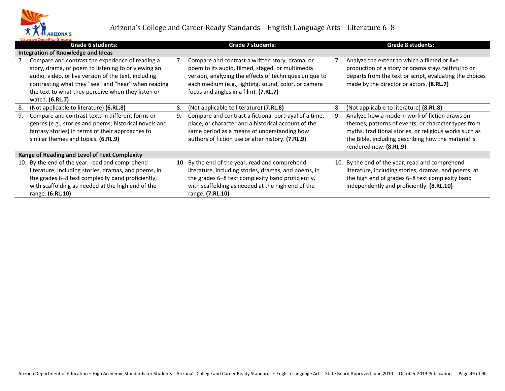

### Arizona's College and Career Ready Standards - English Language Arts - Literature 6-8

|    | <b>COLLEGE AND CAREER READY STANDARDS</b>                                                                                                                                                                                                                                                          |                   |                                                                                                                                                                                                                                                                |    |                                                                                                                                                                                                                                                 |  |  |
|----|----------------------------------------------------------------------------------------------------------------------------------------------------------------------------------------------------------------------------------------------------------------------------------------------------|-------------------|----------------------------------------------------------------------------------------------------------------------------------------------------------------------------------------------------------------------------------------------------------------|----|-------------------------------------------------------------------------------------------------------------------------------------------------------------------------------------------------------------------------------------------------|--|--|
|    | <b>Grade 6 students:</b>                                                                                                                                                                                                                                                                           | Grade 7 students: |                                                                                                                                                                                                                                                                |    | <b>Grade 8 students:</b>                                                                                                                                                                                                                        |  |  |
|    | Integration of Knowledge and Ideas                                                                                                                                                                                                                                                                 |                   |                                                                                                                                                                                                                                                                |    |                                                                                                                                                                                                                                                 |  |  |
|    | 7. Compare and contrast the experience of reading a<br>story, drama, or poem to listening to or viewing an<br>audio, video, or live version of the text, including<br>contrasting what they "see" and "hear" when reading<br>the text to what they perceive when they listen or<br>watch. (6.RL.7) | 7.                | Compare and contrast a written story, drama, or<br>poem to its audio, filmed, staged, or multimedia<br>version, analyzing the effects of techniques unique to<br>each medium (e.g., lighting, sound, color, or camera<br>focus and angles in a film). (7.RL.7) | 7. | Analyze the extent to which a filmed or live<br>production of a story or drama stays faithful to or<br>departs from the text or script, evaluating the choices<br>made by the director or actors. (8.RL.7)                                      |  |  |
| 8. | (Not applicable to literature) (6.RL.8)                                                                                                                                                                                                                                                            | 8.                | (Not applicable to literature) (7.RL.8)                                                                                                                                                                                                                        | 8. | (Not applicable to literature) (8.RL.8)                                                                                                                                                                                                         |  |  |
| 9. | Compare and contrast texts in different forms or<br>genres (e.g., stories and poems; historical novels and<br>fantasy stories) in terms of their approaches to<br>similar themes and topics. (6.RL.9)                                                                                              | 9.                | Compare and contrast a fictional portrayal of a time,<br>place, or character and a historical account of the<br>same period as a means of understanding how<br>authors of fiction use or alter history. (7.RL.9)                                               | 9. | Analyze how a modern work of fiction draws on<br>themes, patterns of events, or character types from<br>myths, traditional stories, or religious works such as<br>the Bible, including describing how the material is<br>rendered new. (8.RL.9) |  |  |
|    | <b>Range of Reading and Level of Text Complexity</b>                                                                                                                                                                                                                                               |                   |                                                                                                                                                                                                                                                                |    |                                                                                                                                                                                                                                                 |  |  |
|    | 10. By the end of the year, read and comprehend<br>literature, including stories, dramas, and poems, in<br>the grades 6-8 text complexity band proficiently,<br>with scaffolding as needed at the high end of the<br>range. (6.RL.10)                                                              |                   | 10. By the end of the year, read and comprehend<br>literature, including stories, dramas, and poems, in<br>the grades 6-8 text complexity band proficiently,<br>with scaffolding as needed at the high end of the<br>range. (7.RL.10)                          |    | 10. By the end of the year, read and comprehend<br>literature, including stories, dramas, and poems, at<br>the high end of grades 6-8 text complexity band<br>independently and proficiently. (8.RL.10)                                         |  |  |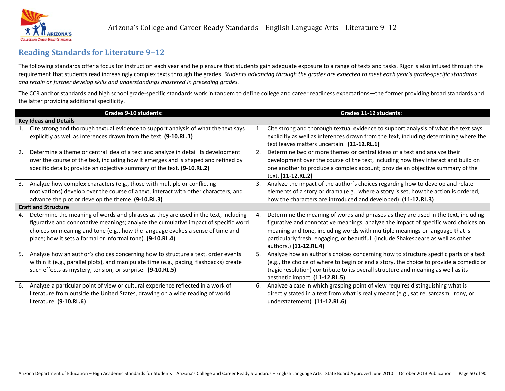

# **Reading Standards for Literature 9–12**

The following standards offer <sup>a</sup> focus for instruction each year and help ensure that students gain adequate exposure to <sup>a</sup> range of texts and tasks. Rigor is also infused through the requirement that students read increasingly complex texts through the grades. Students advancing through the grades are expected to meet each year's grade-specific standards *and retain or further develop skills and understandings mastered in preceding grades.*

The CCR anchor standards and high school grade‐specific standards work in tandem to define college and career readiness expectations—the former providing broad standards and the latter providing additional specificity.

|    | <b>Grades 9-10 students:</b>                                                                                                                                                                                                                                                                                                 |    | Grades 11-12 students:                                                                                                                                                                                                                                                                                                                                                   |
|----|------------------------------------------------------------------------------------------------------------------------------------------------------------------------------------------------------------------------------------------------------------------------------------------------------------------------------|----|--------------------------------------------------------------------------------------------------------------------------------------------------------------------------------------------------------------------------------------------------------------------------------------------------------------------------------------------------------------------------|
|    | <b>Key Ideas and Details</b>                                                                                                                                                                                                                                                                                                 |    |                                                                                                                                                                                                                                                                                                                                                                          |
|    | 1. Cite strong and thorough textual evidence to support analysis of what the text says<br>explicitly as well as inferences drawn from the text. (9-10.RL.1)                                                                                                                                                                  | 1. | Cite strong and thorough textual evidence to support analysis of what the text says<br>explicitly as well as inferences drawn from the text, including determining where the<br>text leaves matters uncertain. (11-12.RL.1)                                                                                                                                              |
| 2. | Determine a theme or central idea of a text and analyze in detail its development<br>over the course of the text, including how it emerges and is shaped and refined by<br>specific details; provide an objective summary of the text. (9-10.RL.2)                                                                           | 2. | Determine two or more themes or central ideas of a text and analyze their<br>development over the course of the text, including how they interact and build on<br>one another to produce a complex account; provide an objective summary of the<br>text. (11-12.RL.2)                                                                                                    |
|    | 3. Analyze how complex characters (e.g., those with multiple or conflicting<br>motivations) develop over the course of a text, interact with other characters, and<br>advance the plot or develop the theme. (9-10.RL.3)                                                                                                     | 3. | Analyze the impact of the author's choices regarding how to develop and relate<br>elements of a story or drama (e.g., where a story is set, how the action is ordered,<br>how the characters are introduced and developed). (11-12.RL.3)                                                                                                                                 |
|    | <b>Craft and Structure</b>                                                                                                                                                                                                                                                                                                   |    |                                                                                                                                                                                                                                                                                                                                                                          |
|    | 4. Determine the meaning of words and phrases as they are used in the text, including<br>figurative and connotative meanings; analyze the cumulative impact of specific word<br>choices on meaning and tone (e.g., how the language evokes a sense of time and<br>place; how it sets a formal or informal tone). (9-10.RL.4) | 4. | Determine the meaning of words and phrases as they are used in the text, including<br>figurative and connotative meanings; analyze the impact of specific word choices on<br>meaning and tone, including words with multiple meanings or language that is<br>particularly fresh, engaging, or beautiful. (Include Shakespeare as well as other<br>authors.) (11-12.RL.4) |
|    | 5. Analyze how an author's choices concerning how to structure a text, order events<br>within it (e.g., parallel plots), and manipulate time (e.g., pacing, flashbacks) create<br>such effects as mystery, tension, or surprise. (9-10.RL.5)                                                                                 | 5. | Analyze how an author's choices concerning how to structure specific parts of a text<br>(e.g., the choice of where to begin or end a story, the choice to provide a comedic or<br>tragic resolution) contribute to its overall structure and meaning as well as its<br>aesthetic impact. (11-12.RL.5)                                                                    |
| 6. | Analyze a particular point of view or cultural experience reflected in a work of<br>literature from outside the United States, drawing on a wide reading of world<br>literature. (9-10.RL.6)                                                                                                                                 | 6. | Analyze a case in which grasping point of view requires distinguishing what is<br>directly stated in a text from what is really meant (e.g., satire, sarcasm, irony, or<br>understatement). (11-12.RL.6)                                                                                                                                                                 |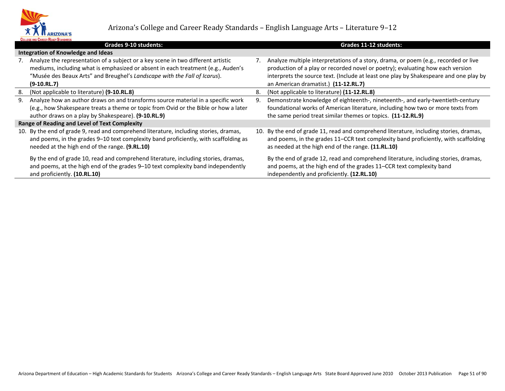

|    | Grades 9-10 students:                                                                                                                                                                                                                                                 |    | Grades 11-12 students:                                                                                                                                                                                                                                                                                 |
|----|-----------------------------------------------------------------------------------------------------------------------------------------------------------------------------------------------------------------------------------------------------------------------|----|--------------------------------------------------------------------------------------------------------------------------------------------------------------------------------------------------------------------------------------------------------------------------------------------------------|
|    | Integration of Knowledge and Ideas                                                                                                                                                                                                                                    |    |                                                                                                                                                                                                                                                                                                        |
|    | 7. Analyze the representation of a subject or a key scene in two different artistic<br>mediums, including what is emphasized or absent in each treatment (e.g., Auden's<br>"Musée des Beaux Arts" and Breughel's Landscape with the Fall of Icarus).<br>$(9-10.RL.7)$ |    | Analyze multiple interpretations of a story, drama, or poem (e.g., recorded or live<br>production of a play or recorded novel or poetry); evaluating how each version<br>interprets the source text. (Include at least one play by Shakespeare and one play by<br>an American dramatist.) (11-12.RL.7) |
| 8. | (Not applicable to literature) (9-10.RL.8)                                                                                                                                                                                                                            | 8. | (Not applicable to literature) (11-12.RL.8)                                                                                                                                                                                                                                                            |
| 9. | Analyze how an author draws on and transforms source material in a specific work<br>(e.g., how Shakespeare treats a theme or topic from Ovid or the Bible or how a later<br>author draws on a play by Shakespeare). (9-10.RL.9)                                       | 9. | Demonstrate knowledge of eighteenth-, nineteenth-, and early-twentieth-century<br>foundational works of American literature, including how two or more texts from<br>the same period treat similar themes or topics. (11-12.RL.9)                                                                      |
|    | <b>Range of Reading and Level of Text Complexity</b>                                                                                                                                                                                                                  |    |                                                                                                                                                                                                                                                                                                        |
|    | 10. By the end of grade 9, read and comprehend literature, including stories, dramas,<br>and poems, in the grades 9–10 text complexity band proficiently, with scaffolding as<br>needed at the high end of the range. (9.RL.10)                                       |    | 10. By the end of grade 11, read and comprehend literature, including stories, dramas,<br>and poems, in the grades 11–CCR text complexity band proficiently, with scaffolding<br>as needed at the high end of the range. (11.RL.10)                                                                    |
|    | By the end of grade 10, read and comprehend literature, including stories, dramas,<br>and poems, at the high end of the grades 9-10 text complexity band independently<br>and proficiently. (10.RL.10)                                                                |    | By the end of grade 12, read and comprehend literature, including stories, dramas,<br>and poems, at the high end of the grades 11–CCR text complexity band<br>independently and proficiently. (12.RL.10)                                                                                               |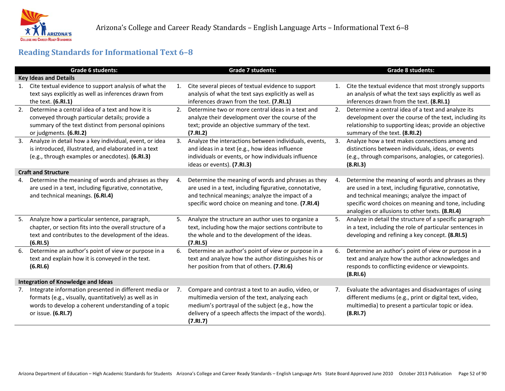

## **Reading Standards for Informational Text 6–8**

| <b>Grade 6 students:</b> |                                                                                                                                                                                               | <b>Grade 7 students:</b> |                                                                                                                                                                                                                                |    | <b>Grade 8 students:</b>                                                                                                                                                                                                                                                 |  |  |
|--------------------------|-----------------------------------------------------------------------------------------------------------------------------------------------------------------------------------------------|--------------------------|--------------------------------------------------------------------------------------------------------------------------------------------------------------------------------------------------------------------------------|----|--------------------------------------------------------------------------------------------------------------------------------------------------------------------------------------------------------------------------------------------------------------------------|--|--|
|                          | <b>Key Ideas and Details</b>                                                                                                                                                                  |                          |                                                                                                                                                                                                                                |    |                                                                                                                                                                                                                                                                          |  |  |
|                          | 1. Cite textual evidence to support analysis of what the<br>text says explicitly as well as inferences drawn from<br>the text. $(6.RI.1)$                                                     | 1.                       | Cite several pieces of textual evidence to support<br>analysis of what the text says explicitly as well as<br>inferences drawn from the text. (7.RI.1)                                                                         | 1. | Cite the textual evidence that most strongly supports<br>an analysis of what the text says explicitly as well as<br>inferences drawn from the text. (8.RI.1)                                                                                                             |  |  |
| 2.                       | Determine a central idea of a text and how it is<br>conveyed through particular details; provide a<br>summary of the text distinct from personal opinions<br>or judgments. (6.RI.2)           | 2 <sub>1</sub>           | Determine two or more central ideas in a text and<br>analyze their development over the course of the<br>text; provide an objective summary of the text.<br>(7.RI.2)                                                           | 2. | Determine a central idea of a text and analyze its<br>development over the course of the text, including its<br>relationship to supporting ideas; provide an objective<br>summary of the text. (8.RI.2)                                                                  |  |  |
|                          | 3. Analyze in detail how a key individual, event, or idea<br>is introduced, illustrated, and elaborated in a text<br>(e.g., through examples or anecdotes). (6.RI.3)                          |                          | 3. Analyze the interactions between individuals, events,<br>and ideas in a text (e.g., how ideas influence<br>individuals or events, or how individuals influence<br>ideas or events). (7.RI.3)                                | 3. | Analyze how a text makes connections among and<br>distinctions between individuals, ideas, or events<br>(e.g., through comparisons, analogies, or categories).<br>(8.RI.3)                                                                                               |  |  |
|                          | <b>Craft and Structure</b>                                                                                                                                                                    |                          |                                                                                                                                                                                                                                |    |                                                                                                                                                                                                                                                                          |  |  |
| 4.                       | Determine the meaning of words and phrases as they<br>are used in a text, including figurative, connotative,<br>and technical meanings. (6.RI.4)                                              |                          | Determine the meaning of words and phrases as they<br>are used in a text, including figurative, connotative,<br>and technical meanings; analyze the impact of a<br>specific word choice on meaning and tone. (7.RI.4)          | 4. | Determine the meaning of words and phrases as they<br>are used in a text, including figurative, connotative,<br>and technical meanings; analyze the impact of<br>specific word choices on meaning and tone, including<br>analogies or allusions to other texts. (8.RI.4) |  |  |
| 5.                       | Analyze how a particular sentence, paragraph,<br>chapter, or section fits into the overall structure of a<br>text and contributes to the development of the ideas.<br>(6.RI.5)                | 5.                       | Analyze the structure an author uses to organize a<br>text, including how the major sections contribute to<br>the whole and to the development of the ideas.<br>(7.RI.5)                                                       | 5. | Analyze in detail the structure of a specific paragraph<br>in a text, including the role of particular sentences in<br>developing and refining a key concept. (8.RI.5)                                                                                                   |  |  |
| 6.                       | Determine an author's point of view or purpose in a<br>text and explain how it is conveyed in the text.<br>(6.RI.6)                                                                           | 6.                       | Determine an author's point of view or purpose in a<br>text and analyze how the author distinguishes his or<br>her position from that of others. (7.RI.6)                                                                      | 6. | Determine an author's point of view or purpose in a<br>text and analyze how the author acknowledges and<br>responds to conflicting evidence or viewpoints.<br>(8.RI.6)                                                                                                   |  |  |
|                          | Integration of Knowledge and Ideas                                                                                                                                                            |                          |                                                                                                                                                                                                                                |    |                                                                                                                                                                                                                                                                          |  |  |
| 7.                       | Integrate information presented in different media or<br>formats (e.g., visually, quantitatively) as well as in<br>words to develop a coherent understanding of a topic<br>or issue. (6.RI.7) | 7.                       | Compare and contrast a text to an audio, video, or<br>multimedia version of the text, analyzing each<br>medium's portrayal of the subject (e.g., how the<br>delivery of a speech affects the impact of the words).<br>(7.RI.7) | 7. | Evaluate the advantages and disadvantages of using<br>different mediums (e.g., print or digital text, video,<br>multimedia) to present a particular topic or idea.<br>(8.RI.7)                                                                                           |  |  |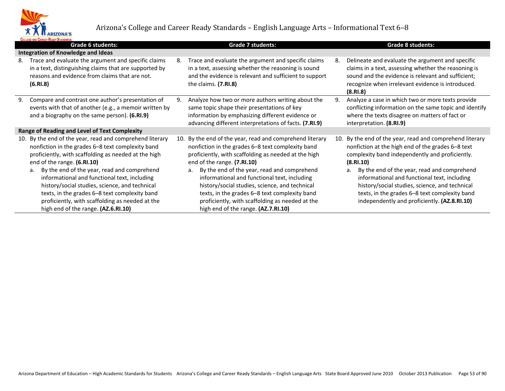

## Arizona's College and Career Ready Standards - English Language Arts - Informational Text 6-8

| <b>UDLLEGE AND UAKEEK INEADT STANDAKD:</b> |                                                                                                                                                                                                                                                                                                                                                                                                                                                                   |    |                                                                                                                                                                                                                                                                                                                                                                                                                                                                                                        |    |                                                                                                                                                                                                                                                                                                                                                                                                                                       |  |
|--------------------------------------------|-------------------------------------------------------------------------------------------------------------------------------------------------------------------------------------------------------------------------------------------------------------------------------------------------------------------------------------------------------------------------------------------------------------------------------------------------------------------|----|--------------------------------------------------------------------------------------------------------------------------------------------------------------------------------------------------------------------------------------------------------------------------------------------------------------------------------------------------------------------------------------------------------------------------------------------------------------------------------------------------------|----|---------------------------------------------------------------------------------------------------------------------------------------------------------------------------------------------------------------------------------------------------------------------------------------------------------------------------------------------------------------------------------------------------------------------------------------|--|
|                                            | <b>Grade 6 students:</b>                                                                                                                                                                                                                                                                                                                                                                                                                                          |    | <b>Grade 7 students:</b>                                                                                                                                                                                                                                                                                                                                                                                                                                                                               |    | <b>Grade 8 students:</b>                                                                                                                                                                                                                                                                                                                                                                                                              |  |
| Integration of Knowledge and Ideas         |                                                                                                                                                                                                                                                                                                                                                                                                                                                                   |    |                                                                                                                                                                                                                                                                                                                                                                                                                                                                                                        |    |                                                                                                                                                                                                                                                                                                                                                                                                                                       |  |
| 8.<br>(6.RI.8)                             | Trace and evaluate the argument and specific claims<br>in a text, distinguishing claims that are supported by<br>reasons and evidence from claims that are not.                                                                                                                                                                                                                                                                                                   | 8. | Trace and evaluate the argument and specific claims<br>in a text, assessing whether the reasoning is sound<br>and the evidence is relevant and sufficient to support<br>the claims. $(7.RI.8)$                                                                                                                                                                                                                                                                                                         | 8. | Delineate and evaluate the argument and specific<br>claims in a text, assessing whether the reasoning is<br>sound and the evidence is relevant and sufficient;<br>recognize when irrelevant evidence is introduced.<br>(8.RI.8)                                                                                                                                                                                                       |  |
| 9.                                         | Compare and contrast one author's presentation of<br>events with that of another (e.g., a memoir written by<br>and a biography on the same person). (6.RI.9)                                                                                                                                                                                                                                                                                                      | 9. | Analyze how two or more authors writing about the<br>same topic shape their presentations of key<br>information by emphasizing different evidence or<br>advancing different interpretations of facts. (7.RI.9)                                                                                                                                                                                                                                                                                         | 9. | Analyze a case in which two or more texts provide<br>conflicting information on the same topic and identify<br>where the texts disagree on matters of fact or<br>interpretation. (8.RI.9)                                                                                                                                                                                                                                             |  |
|                                            | <b>Range of Reading and Level of Text Complexity</b>                                                                                                                                                                                                                                                                                                                                                                                                              |    |                                                                                                                                                                                                                                                                                                                                                                                                                                                                                                        |    |                                                                                                                                                                                                                                                                                                                                                                                                                                       |  |
| end of the range. (6.RI.10)<br>a.          | 10. By the end of the year, read and comprehend literary<br>nonfiction in the grades 6-8 text complexity band<br>proficiently, with scaffolding as needed at the high<br>By the end of the year, read and comprehend<br>informational and functional text, including<br>history/social studies, science, and technical<br>texts, in the grades 6-8 text complexity band<br>proficiently, with scaffolding as needed at the<br>high end of the range. (AZ.6.RI.10) |    | 10. By the end of the year, read and comprehend literary<br>nonfiction in the grades 6-8 text complexity band<br>proficiently, with scaffolding as needed at the high<br>end of the range. (7.RI.10)<br>By the end of the year, read and comprehend<br>а.<br>informational and functional text, including<br>history/social studies, science, and technical<br>texts, in the grades 6-8 text complexity band<br>proficiently, with scaffolding as needed at the<br>high end of the range. (AZ.7.RI.10) |    | 10. By the end of the year, read and comprehend literary<br>nonfiction at the high end of the grades 6-8 text<br>complexity band independently and proficiently.<br>(8.RI.10)<br>By the end of the year, read and comprehend<br>a.<br>informational and functional text, including<br>history/social studies, science, and technical<br>texts, in the grades 6-8 text complexity band<br>independently and proficiently. (AZ.8.RI.10) |  |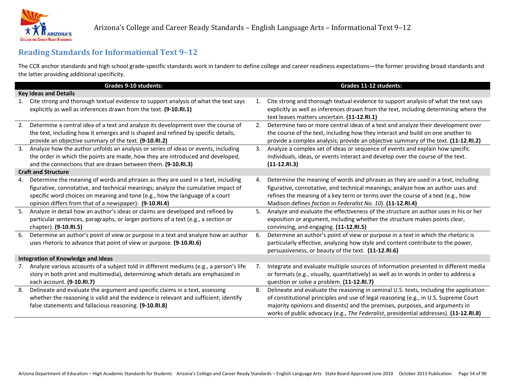

# **Reading Standards for Informational Text 9–12**

The CCR anchor standards and high school grade‐specific standards work in tandem to define college and career readiness expectations—the former providing broad standards and the latter providing additional specificity.

|     | <b>Grades 9-10 students:</b>                                                                                                                                                                                                                                                                                    |    | Grades 11-12 students:                                                                                                                                                                                                                                                                                                                                 |
|-----|-----------------------------------------------------------------------------------------------------------------------------------------------------------------------------------------------------------------------------------------------------------------------------------------------------------------|----|--------------------------------------------------------------------------------------------------------------------------------------------------------------------------------------------------------------------------------------------------------------------------------------------------------------------------------------------------------|
|     | <b>Key Ideas and Details</b>                                                                                                                                                                                                                                                                                    |    |                                                                                                                                                                                                                                                                                                                                                        |
|     | 1. Cite strong and thorough textual evidence to support analysis of what the text says<br>explicitly as well as inferences drawn from the text. (9-10.RI.1)                                                                                                                                                     | 1. | Cite strong and thorough textual evidence to support analysis of what the text says<br>explicitly as well as inferences drawn from the text, including determining where the<br>text leaves matters uncertain. (11-12.RI.1)                                                                                                                            |
| 2.  | Determine a central idea of a text and analyze its development over the course of<br>the text, including how it emerges and is shaped and refined by specific details;<br>provide an objective summary of the text. (9-10.RI.2)                                                                                 | 2. | Determine two or more central ideas of a text and analyze their development over<br>the course of the text, including how they interact and build on one another to<br>provide a complex analysis; provide an objective summary of the text. (11-12.RI.2)                                                                                              |
| 3.  | Analyze how the author unfolds an analysis or series of ideas or events, including<br>the order in which the points are made, how they are introduced and developed,<br>and the connections that are drawn between them. (9-10.RI.3)                                                                            | 3. | Analyze a complex set of ideas or sequence of events and explain how specific<br>individuals, ideas, or events interact and develop over the course of the text.<br>$(11-12.RI.3)$                                                                                                                                                                     |
|     | <b>Craft and Structure</b>                                                                                                                                                                                                                                                                                      |    |                                                                                                                                                                                                                                                                                                                                                        |
| 4.  | Determine the meaning of words and phrases as they are used in a text, including<br>figurative, connotative, and technical meanings; analyze the cumulative impact of<br>specific word choices on meaning and tone (e.g., how the language of a court<br>opinion differs from that of a newspaper). (9-10.RI.4) | 4. | Determine the meaning of words and phrases as they are used in a text, including<br>figurative, connotative, and technical meanings; analyze how an author uses and<br>refines the meaning of a key term or terms over the course of a text (e.g., how<br>Madison defines faction in Federalist No. 10). (11-12.RI.4)                                  |
| 5.  | Analyze in detail how an author's ideas or claims are developed and refined by<br>particular sentences, paragraphs, or larger portions of a text (e.g., a section or<br>chapter). (9-10.RI.5)                                                                                                                   | 5. | Analyze and evaluate the effectiveness of the structure an author uses in his or her<br>exposition or argument, including whether the structure makes points clear,<br>convincing, and engaging. (11-12.RI.5)                                                                                                                                          |
| 6.  | Determine an author's point of view or purpose in a text and analyze how an author<br>uses rhetoric to advance that point of view or purpose. (9-10.RI.6)                                                                                                                                                       | 6. | Determine an author's point of view or purpose in a text in which the rhetoric is<br>particularly effective, analyzing how style and content contribute to the power,<br>persuasiveness, or beauty of the text. (11-12.RI.6)                                                                                                                           |
|     | <b>Integration of Knowledge and Ideas</b>                                                                                                                                                                                                                                                                       |    |                                                                                                                                                                                                                                                                                                                                                        |
|     | 7. Analyze various accounts of a subject told in different mediums (e.g., a person's life<br>story in both print and multimedia), determining which details are emphasized in<br>each account. (9-10.RI.7)                                                                                                      | 7. | Integrate and evaluate multiple sources of information presented in different media<br>or formats (e.g., visually, quantitatively) as well as in words in order to address a<br>question or solve a problem. (11-12.RI.7)                                                                                                                              |
| -8. | Delineate and evaluate the argument and specific claims in a text, assessing<br>whether the reasoning is valid and the evidence is relevant and sufficient; identify<br>false statements and fallacious reasoning. (9-10.RI.8)                                                                                  | 8. | Delineate and evaluate the reasoning in seminal U.S. texts, including the application<br>of constitutional principles and use of legal reasoning (e.g., in U.S. Supreme Court<br>majority opinions and dissents) and the premises, purposes, and arguments in<br>works of public advocacy (e.g., The Federalist, presidential addresses). (11-12.RI.8) |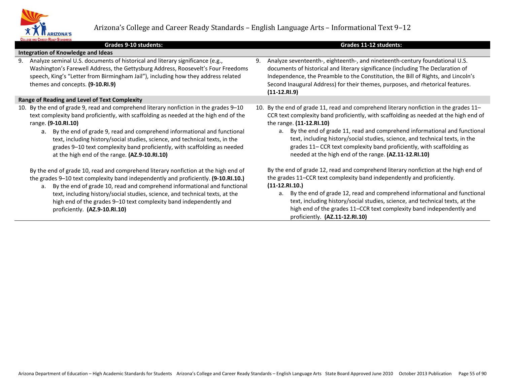

| Grades 9-10 students:                                                                                                                                                                                                                                                                                                                                                                                                                                                                            | Grades 11-12 students:                                                                                                                                                                                                                                                                                                                                                                                                                                                                                     |
|--------------------------------------------------------------------------------------------------------------------------------------------------------------------------------------------------------------------------------------------------------------------------------------------------------------------------------------------------------------------------------------------------------------------------------------------------------------------------------------------------|------------------------------------------------------------------------------------------------------------------------------------------------------------------------------------------------------------------------------------------------------------------------------------------------------------------------------------------------------------------------------------------------------------------------------------------------------------------------------------------------------------|
| Integration of Knowledge and Ideas                                                                                                                                                                                                                                                                                                                                                                                                                                                               |                                                                                                                                                                                                                                                                                                                                                                                                                                                                                                            |
| Analyze seminal U.S. documents of historical and literary significance (e.g.,<br>9.<br>Washington's Farewell Address, the Gettysburg Address, Roosevelt's Four Freedoms<br>speech, King's "Letter from Birmingham Jail"), including how they address related<br>themes and concepts. (9-10.RI.9)                                                                                                                                                                                                 | Analyze seventeenth-, eighteenth-, and nineteenth-century foundational U.S.<br>9.<br>documents of historical and literary significance (including The Declaration of<br>Independence, the Preamble to the Constitution, the Bill of Rights, and Lincoln's<br>Second Inaugural Address) for their themes, purposes, and rhetorical features.<br>$(11-12.RI.9)$                                                                                                                                              |
| Range of Reading and Level of Text Complexity                                                                                                                                                                                                                                                                                                                                                                                                                                                    |                                                                                                                                                                                                                                                                                                                                                                                                                                                                                                            |
| 10. By the end of grade 9, read and comprehend literary nonfiction in the grades 9–10<br>text complexity band proficiently, with scaffolding as needed at the high end of the<br>range. (9-10.RI.10)<br>a. By the end of grade 9, read and comprehend informational and functional<br>text, including history/social studies, science, and technical texts, in the<br>grades 9-10 text complexity band proficiently, with scaffolding as needed<br>at the high end of the range. (AZ.9-10.RI.10) | 10. By the end of grade 11, read and comprehend literary nonfiction in the grades 11-<br>CCR text complexity band proficiently, with scaffolding as needed at the high end of<br>the range. (11-12.RI.10)<br>a. By the end of grade 11, read and comprehend informational and functional<br>text, including history/social studies, science, and technical texts, in the<br>grades 11– CCR text complexity band proficiently, with scaffolding as<br>needed at the high end of the range. (AZ.11-12.RI.10) |
| By the end of grade 10, read and comprehend literary nonfiction at the high end of<br>the grades 9-10 text complexity band independently and proficiently. (9-10.RI.10.)<br>By the end of grade 10, read and comprehend informational and functional<br>a.<br>text, including history/social studies, science, and technical texts, at the<br>high end of the grades 9-10 text complexity band independently and<br>proficiently. (AZ.9-10.RI.10)                                                | By the end of grade 12, read and comprehend literary nonfiction at the high end of<br>the grades 11-CCR text complexity band independently and proficiently.<br>$(11-12.RI.10.)$<br>By the end of grade 12, read and comprehend informational and functional<br>a.<br>text, including history/social studies, science, and technical texts, at the<br>high end of the grades 11-CCR text complexity band independently and<br>proficiently. (AZ.11-12.RI.10)                                               |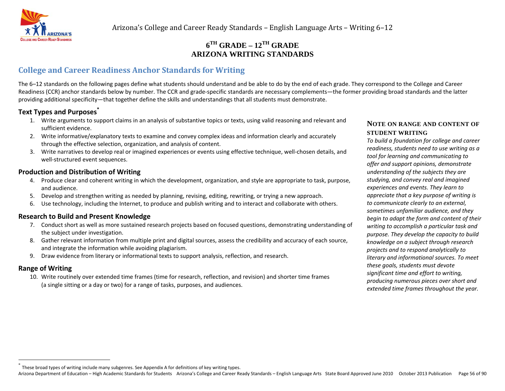

# $6^{TH}$  GRADE –  $12^{TH}$  GRADE **ARIZONA WRITING STANDARDS**

# **College and Career Readiness Anchor Standards for Writing**

The 6–12 standards on the following pages define what students should understand and be able to do by the end of each grade. They correspond to the College and Career Readiness (CCR) anchor standards below by number. The CCR and grade‐specific standards are necessary complements—the former providing broad standards and the latter providing additional specificity—that together define the skills and understandings that all students must demonstrate.

### **Text Types and Purposes\***

- 1. Write arguments to support claims in an analysis of substantive topics or texts, using valid reasoning and relevant and sufficient evidence.
- 2. Write informative/explanatory texts to examine and convey complex ideas and information clearly and accurately through the effective selection, organization, and analysis of content.
- 3. Write narratives to develop real or imagined experiences or events using effective technique, well‐chosen details, and well‐structured event sequences.

#### **Production and Distribution of Writing**

- 4. Produce clear and coherent writing in which the development, organization, and style are appropriate to task, purpose, and audience.
- 5. Develop and strengthen writing as needed by planning, revising, editing, rewriting, or trying <sup>a</sup> new approach.
- 6. Use technology, including the Internet, to produce and publish writing and to interact and collaborate with others.

#### **Research to Build and Present Knowledge**

- 7. Conduct short as well as more sustained research projects based on focused questions, demonstrating understanding of the subject under investigation.
- 8. Gather relevant information from multiple print and digital sources, assess the credibility and accuracy of each source, and integrate the information while avoiding plagiarism.
- 9. Draw evidence from literary or informational texts to support analysis, reflection, and research.

#### **Range of Writing**

10. Write routinely over extended time frames (time for research, reflection, and revision) and shorter time frames (a single sitting or <sup>a</sup> day or two) for <sup>a</sup> range of tasks, purposes, and audiences.

### **NOTE ON RANGE AND CONTENT OF STUDENT WRITING**

*To build <sup>a</sup> foundation for college and career readiness, students need to use writing as <sup>a</sup> tool for learning and communicating to offer and support opinions, demonstrate understanding of the subjects they are studying, and convey real and imagined experiences and events. They learn to appreciate that <sup>a</sup> key purpose of writing is to communicate clearly to an external, sometimes unfamiliar audience, and they begin to adapt the form and content of their writing to accomplish <sup>a</sup> particular task and purpose. They develop the capacity to build knowledge on <sup>a</sup> subject through research projects and to respond analytically to literary and informational sources. To meet these goals, students must devote significant time and effort to writing, producing numerous pieces over short and extended time frames throughout the year.*

<sup>\*</sup>These broad types of writing include many subgenres. See Appendix A for definitions of key writing types.

Arizona Department of Education – High Academic Standards for Students Arizona's College and Career Ready Standards – English Language Arts State Board Approved June 2010 October 2013 Publication Page 56 of 90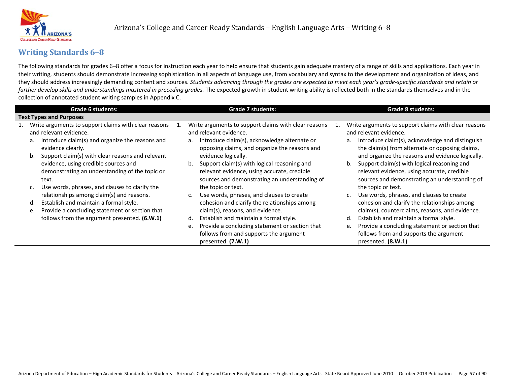

# **Writing Standards 6–8**

The following standards for grades 6–8 offer <sup>a</sup> focus for instruction each year to help ensure that students gain adequate mastery of <sup>a</sup> range of skills and applications. Each year in their writing, students should demonstrate increasing sophistication in all aspects of language use, from vocabulary and syntax to the development and organization of ideas, and they should address increasingly demanding content and sources. Students advancing through the grades are expected to meet each year's grade-specific standards and retain or further develop skills and understandings mastered in preceding grades. The expected growth in student writing ability is reflected both in the standards themselves and in the collection of annotated student writing samples in Appendix C.

| <b>Grade 6 students:</b> |                                                                                                                                                           |  | <b>Grade 7 students:</b>                                                                                                                                                              |  | <b>Grade 8 students:</b>                                                                                                                                                                              |  |  |
|--------------------------|-----------------------------------------------------------------------------------------------------------------------------------------------------------|--|---------------------------------------------------------------------------------------------------------------------------------------------------------------------------------------|--|-------------------------------------------------------------------------------------------------------------------------------------------------------------------------------------------------------|--|--|
|                          | <b>Text Types and Purposes</b>                                                                                                                            |  |                                                                                                                                                                                       |  |                                                                                                                                                                                                       |  |  |
| а.                       | 1. Write arguments to support claims with clear reasons<br>and relevant evidence.<br>Introduce claim(s) and organize the reasons and<br>evidence clearly. |  | Write arguments to support claims with clear reasons<br>and relevant evidence.<br>Introduce claim(s), acknowledge alternate or<br>a.<br>opposing claims, and organize the reasons and |  | Write arguments to support claims with clear reasons<br>and relevant evidence.<br>Introduce claim(s), acknowledge and distinguish<br>а.<br>the claim(s) from alternate or opposing claims,            |  |  |
| b.                       | Support claim(s) with clear reasons and relevant<br>evidence, using credible sources and<br>demonstrating an understanding of the topic or<br>text.       |  | evidence logically.<br>Support claim(s) with logical reasoning and<br>b.<br>relevant evidence, using accurate, credible<br>sources and demonstrating an understanding of              |  | and organize the reasons and evidence logically.<br>Support claim(s) with logical reasoning and<br>b.<br>relevant evidence, using accurate, credible<br>sources and demonstrating an understanding of |  |  |
|                          | Use words, phrases, and clauses to clarify the<br>relationships among claim(s) and reasons.                                                               |  | the topic or text.<br>Use words, phrases, and clauses to create<br>$C_{\bullet}$                                                                                                      |  | the topic or text.<br>Use words, phrases, and clauses to create<br>C.                                                                                                                                 |  |  |
| d.                       | Establish and maintain a formal style.                                                                                                                    |  | cohesion and clarify the relationships among                                                                                                                                          |  | cohesion and clarify the relationships among                                                                                                                                                          |  |  |
| e.                       | Provide a concluding statement or section that                                                                                                            |  | claim(s), reasons, and evidence.                                                                                                                                                      |  | claim(s), counterclaims, reasons, and evidence.                                                                                                                                                       |  |  |
|                          | follows from the argument presented. (6.W.1)                                                                                                              |  | Establish and maintain a formal style.<br>d.<br>Provide a concluding statement or section that<br>e.<br>follows from and supports the argument<br>presented. (7.W.1)                  |  | Establish and maintain a formal style.<br>d.<br>Provide a concluding statement or section that<br>e.<br>follows from and supports the argument<br>presented. (8.W.1)                                  |  |  |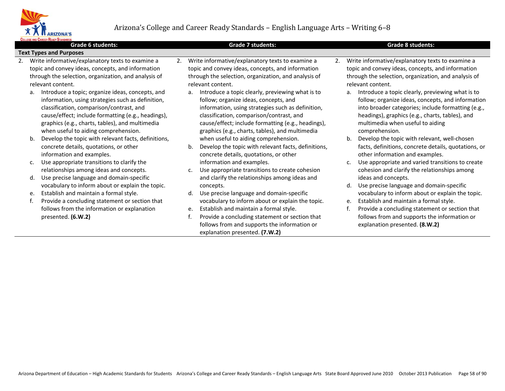

|    | <b>Grade 6 students:</b>                                                                                                                                                                                                                                                                                                                                                                                                                                                                                                                                                                                                                                                                                                                                                                                                                                                                                                                        | <b>Grade 7 students:</b>                                                                                                                                                                                                                                                                                                                                                                                                                                                                                                                                                                                                                                                                                                                                                                                                                                                                                      | <b>Grade 8 students:</b>                                                                                                                                                                                                                                                                                                                                                                                                                                                                                                                                                                                                                                                                                                                                                                                                                                                                                 |
|----|-------------------------------------------------------------------------------------------------------------------------------------------------------------------------------------------------------------------------------------------------------------------------------------------------------------------------------------------------------------------------------------------------------------------------------------------------------------------------------------------------------------------------------------------------------------------------------------------------------------------------------------------------------------------------------------------------------------------------------------------------------------------------------------------------------------------------------------------------------------------------------------------------------------------------------------------------|---------------------------------------------------------------------------------------------------------------------------------------------------------------------------------------------------------------------------------------------------------------------------------------------------------------------------------------------------------------------------------------------------------------------------------------------------------------------------------------------------------------------------------------------------------------------------------------------------------------------------------------------------------------------------------------------------------------------------------------------------------------------------------------------------------------------------------------------------------------------------------------------------------------|----------------------------------------------------------------------------------------------------------------------------------------------------------------------------------------------------------------------------------------------------------------------------------------------------------------------------------------------------------------------------------------------------------------------------------------------------------------------------------------------------------------------------------------------------------------------------------------------------------------------------------------------------------------------------------------------------------------------------------------------------------------------------------------------------------------------------------------------------------------------------------------------------------|
|    | <b>Text Types and Purposes</b>                                                                                                                                                                                                                                                                                                                                                                                                                                                                                                                                                                                                                                                                                                                                                                                                                                                                                                                  |                                                                                                                                                                                                                                                                                                                                                                                                                                                                                                                                                                                                                                                                                                                                                                                                                                                                                                               |                                                                                                                                                                                                                                                                                                                                                                                                                                                                                                                                                                                                                                                                                                                                                                                                                                                                                                          |
| 2. | Write informative/explanatory texts to examine a<br>topic and convey ideas, concepts, and information<br>through the selection, organization, and analysis of<br>relevant content.<br>Introduce a topic; organize ideas, concepts, and<br>a.<br>information, using strategies such as definition,<br>classification, comparison/contrast, and<br>cause/effect; include formatting (e.g., headings),<br>graphics (e.g., charts, tables), and multimedia<br>when useful to aiding comprehension.<br>Develop the topic with relevant facts, definitions,<br>b.<br>concrete details, quotations, or other<br>information and examples.<br>Use appropriate transitions to clarify the<br>c.<br>relationships among ideas and concepts.<br>Use precise language and domain-specific<br>d.<br>vocabulary to inform about or explain the topic.<br>Establish and maintain a formal style.<br>e.<br>f.<br>Provide a concluding statement or section that | Write informative/explanatory texts to examine a<br>2.<br>topic and convey ideas, concepts, and information<br>through the selection, organization, and analysis of<br>relevant content.<br>Introduce a topic clearly, previewing what is to<br>a.<br>follow; organize ideas, concepts, and<br>information, using strategies such as definition,<br>classification, comparison/contrast, and<br>cause/effect; include formatting (e.g., headings),<br>graphics (e.g., charts, tables), and multimedia<br>when useful to aiding comprehension.<br>Develop the topic with relevant facts, definitions,<br>b.<br>concrete details, quotations, or other<br>information and examples.<br>Use appropriate transitions to create cohesion<br>c.<br>and clarify the relationships among ideas and<br>concepts.<br>Use precise language and domain-specific<br>d.<br>vocabulary to inform about or explain the topic. | Write informative/explanatory texts to examine a<br>2.<br>topic and convey ideas, concepts, and information<br>through the selection, organization, and analysis of<br>relevant content.<br>Introduce a topic clearly, previewing what is to<br>а.<br>follow; organize ideas, concepts, and information<br>into broader categories; include formatting (e.g.,<br>headings), graphics (e.g., charts, tables), and<br>multimedia when useful to aiding<br>comprehension.<br>Develop the topic with relevant, well-chosen<br>b.<br>facts, definitions, concrete details, quotations, or<br>other information and examples.<br>Use appropriate and varied transitions to create<br>cohesion and clarify the relationships among<br>ideas and concepts.<br>Use precise language and domain-specific<br>d.<br>vocabulary to inform about or explain the topic.<br>Establish and maintain a formal style.<br>e. |
|    | follows from the information or explanation<br>presented. (6.W.2)                                                                                                                                                                                                                                                                                                                                                                                                                                                                                                                                                                                                                                                                                                                                                                                                                                                                               | Establish and maintain a formal style.<br>e.<br>Provide a concluding statement or section that<br>follows from and supports the information or<br>explanation presented. (7.W.2)                                                                                                                                                                                                                                                                                                                                                                                                                                                                                                                                                                                                                                                                                                                              | Provide a concluding statement or section that<br>follows from and supports the information or<br>explanation presented. (8.W.2)                                                                                                                                                                                                                                                                                                                                                                                                                                                                                                                                                                                                                                                                                                                                                                         |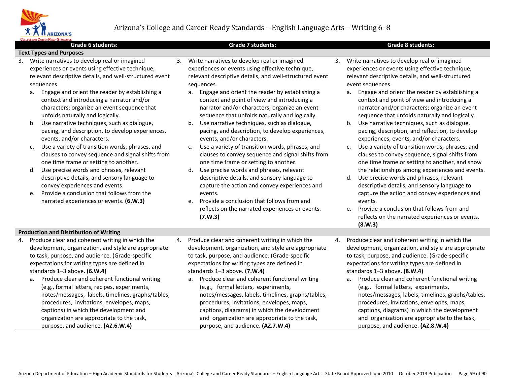

| <b>AND AND AND STATE OF STATE</b><br><b>COLLEGE AND CAREER READY STANDARDS</b>                                                                                                                                                                                                                                                                                                                                                                                                                                                                                                                                                                                                                                                                                                                     |    |                                                                                                                                                                                                                                                                                                                                                                                                                                                                                                                                                                                                                                                                                                                                                                                                                                     |    |                                                                                                                                                                                                                                                                                                                                                                                                                                                                                                                                                                                                                                                                                                                                                                                                                                                         |
|----------------------------------------------------------------------------------------------------------------------------------------------------------------------------------------------------------------------------------------------------------------------------------------------------------------------------------------------------------------------------------------------------------------------------------------------------------------------------------------------------------------------------------------------------------------------------------------------------------------------------------------------------------------------------------------------------------------------------------------------------------------------------------------------------|----|-------------------------------------------------------------------------------------------------------------------------------------------------------------------------------------------------------------------------------------------------------------------------------------------------------------------------------------------------------------------------------------------------------------------------------------------------------------------------------------------------------------------------------------------------------------------------------------------------------------------------------------------------------------------------------------------------------------------------------------------------------------------------------------------------------------------------------------|----|---------------------------------------------------------------------------------------------------------------------------------------------------------------------------------------------------------------------------------------------------------------------------------------------------------------------------------------------------------------------------------------------------------------------------------------------------------------------------------------------------------------------------------------------------------------------------------------------------------------------------------------------------------------------------------------------------------------------------------------------------------------------------------------------------------------------------------------------------------|
| <b>Grade 6 students:</b>                                                                                                                                                                                                                                                                                                                                                                                                                                                                                                                                                                                                                                                                                                                                                                           |    | <b>Grade 7 students:</b>                                                                                                                                                                                                                                                                                                                                                                                                                                                                                                                                                                                                                                                                                                                                                                                                            |    | <b>Grade 8 students:</b>                                                                                                                                                                                                                                                                                                                                                                                                                                                                                                                                                                                                                                                                                                                                                                                                                                |
| <b>Text Types and Purposes</b>                                                                                                                                                                                                                                                                                                                                                                                                                                                                                                                                                                                                                                                                                                                                                                     |    |                                                                                                                                                                                                                                                                                                                                                                                                                                                                                                                                                                                                                                                                                                                                                                                                                                     |    |                                                                                                                                                                                                                                                                                                                                                                                                                                                                                                                                                                                                                                                                                                                                                                                                                                                         |
| Write narratives to develop real or imagined<br>experiences or events using effective technique,<br>relevant descriptive details, and well-structured event<br>sequences.<br>Engage and orient the reader by establishing a<br>а.<br>context and introducing a narrator and/or<br>characters; organize an event sequence that<br>unfolds naturally and logically.<br>Use narrative techniques, such as dialogue,<br>b.<br>pacing, and description, to develop experiences,<br>events, and/or characters.<br>Use a variety of transition words, phrases, and<br>c.<br>clauses to convey sequence and signal shifts from<br>one time frame or setting to another.<br>Use precise words and phrases, relevant<br>d.<br>descriptive details, and sensory language to<br>convey experiences and events. | 3. | Write narratives to develop real or imagined<br>experiences or events using effective technique,<br>relevant descriptive details, and well-structured event<br>sequences.<br>Engage and orient the reader by establishing a<br>а.<br>context and point of view and introducing a<br>narrator and/or characters; organize an event<br>sequence that unfolds naturally and logically.<br>Use narrative techniques, such as dialogue,<br>b.<br>pacing, and description, to develop experiences,<br>events, and/or characters.<br>Use a variety of transition words, phrases, and<br>c.<br>clauses to convey sequence and signal shifts from<br>one time frame or setting to another.<br>Use precise words and phrases, relevant<br>d.<br>descriptive details, and sensory language to<br>capture the action and convey experiences and | 3. | Write narratives to develop real or imagined<br>experiences or events using effective technique,<br>relevant descriptive details, and well-structured<br>event sequences.<br>Engage and orient the reader by establishing a<br>а.<br>context and point of view and introducing a<br>narrator and/or characters; organize an event<br>sequence that unfolds naturally and logically.<br>Use narrative techniques, such as dialogue,<br>b.<br>pacing, description, and reflection, to develop<br>experiences, events, and/or characters.<br>Use a variety of transition words, phrases, and<br>c.<br>clauses to convey sequence, signal shifts from<br>one time frame or setting to another, and show<br>the relationships among experiences and events.<br>Use precise words and phrases, relevant<br>d.<br>descriptive details, and sensory language to |
| Provide a conclusion that follows from the<br>e.<br>narrated experiences or events. (6.W.3)                                                                                                                                                                                                                                                                                                                                                                                                                                                                                                                                                                                                                                                                                                        |    | events.<br>Provide a conclusion that follows from and<br>e.<br>reflects on the narrated experiences or events.<br>(7.W.3)                                                                                                                                                                                                                                                                                                                                                                                                                                                                                                                                                                                                                                                                                                           |    | capture the action and convey experiences and<br>events.<br>Provide a conclusion that follows from and<br>e.<br>reflects on the narrated experiences or events.<br>(8.W.3)                                                                                                                                                                                                                                                                                                                                                                                                                                                                                                                                                                                                                                                                              |
| <b>Production and Distribution of Writing</b>                                                                                                                                                                                                                                                                                                                                                                                                                                                                                                                                                                                                                                                                                                                                                      |    |                                                                                                                                                                                                                                                                                                                                                                                                                                                                                                                                                                                                                                                                                                                                                                                                                                     |    |                                                                                                                                                                                                                                                                                                                                                                                                                                                                                                                                                                                                                                                                                                                                                                                                                                                         |
| 4. Produce clear and coherent writing in which the<br>development, organization, and style are appropriate<br>to task, purpose, and audience. (Grade-specific<br>expectations for writing types are defined in<br>standards $1-3$ above. (6.W.4)<br>Produce clear and coherent functional writing<br>а.<br>(e.g., formal letters, recipes, experiments,                                                                                                                                                                                                                                                                                                                                                                                                                                            | 4. | Produce clear and coherent writing in which the<br>development, organization, and style are appropriate<br>to task, purpose, and audience. (Grade-specific<br>expectations for writing types are defined in<br>standards $1-3$ above. $(7.W.4)$<br>Produce clear and coherent functional writing<br>a.<br>(e.g., formal letters, experiments,                                                                                                                                                                                                                                                                                                                                                                                                                                                                                       | 4. | Produce clear and coherent writing in which the<br>development, organization, and style are appropriate<br>to task, purpose, and audience. (Grade-specific<br>expectations for writing types are defined in<br>standards $1-3$ above. $(8.W.4)$<br>Produce clear and coherent functional writing<br>а.<br>(e.g., formal letters, experiments,                                                                                                                                                                                                                                                                                                                                                                                                                                                                                                           |

- (e.g., formal letters, recipes, experiments, notes/messages, labels, timelines, graphs/tables, procedures, invitations, envelopes, maps, captions) in which the development and organization are appropriate to the task, purpose, and audience. **(AZ.6.W.4)**
- Arizona Department of Education High Academic Standards for Students Arizona's College and Career Ready Standards English Language Arts State Board Approved June 2010 October 2013 Publication Page 59 of 90

purpose, and audience. **(AZ.7.W.4)**

notes/messages, labels, timelines, graphs/tables, procedures, invitations, envelopes, maps, captions, diagrams) in which the development and organization are appropriate to the task,

notes/messages, labels, timelines, graphs/tables, procedures, invitations, envelopes, maps, captions, diagrams) in which the development and organization are appropriate to the task,

purpose, and audience. **(AZ.8.W.4)**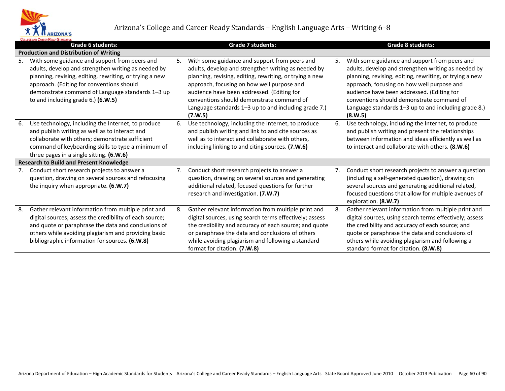

## Arizona's College and Career Ready Standards - English Language Arts - Writing 6-8

|    | <b><i>COLLEGE AND CAREER READY STANDARD</i></b><br><b>Grade 6 students:</b>                                                                                                                                                                                                                               | <b>Grade 7 students:</b> |                                                                                                                                                                                                                                                                                                                                                                             |    | <b>Grade 8 students:</b>                                                                                                                                                                                                                                                                                                                                                    |
|----|-----------------------------------------------------------------------------------------------------------------------------------------------------------------------------------------------------------------------------------------------------------------------------------------------------------|--------------------------|-----------------------------------------------------------------------------------------------------------------------------------------------------------------------------------------------------------------------------------------------------------------------------------------------------------------------------------------------------------------------------|----|-----------------------------------------------------------------------------------------------------------------------------------------------------------------------------------------------------------------------------------------------------------------------------------------------------------------------------------------------------------------------------|
|    | <b>Production and Distribution of Writing</b>                                                                                                                                                                                                                                                             |                          |                                                                                                                                                                                                                                                                                                                                                                             |    |                                                                                                                                                                                                                                                                                                                                                                             |
|    | 5. With some guidance and support from peers and<br>adults, develop and strengthen writing as needed by<br>planning, revising, editing, rewriting, or trying a new<br>approach. (Editing for conventions should<br>demonstrate command of Language standards 1-3 up<br>to and including grade 6.) (6.W.5) | 5.                       | With some guidance and support from peers and<br>adults, develop and strengthen writing as needed by<br>planning, revising, editing, rewriting, or trying a new<br>approach, focusing on how well purpose and<br>audience have been addressed. (Editing for<br>conventions should demonstrate command of<br>Language standards 1-3 up to and including grade 7.)<br>(7.W.5) | 5. | With some guidance and support from peers and<br>adults, develop and strengthen writing as needed by<br>planning, revising, editing, rewriting, or trying a new<br>approach, focusing on how well purpose and<br>audience have been addressed. (Editing for<br>conventions should demonstrate command of<br>Language standards 1-3 up to and including grade 8.)<br>(8.W.5) |
| 6. | Use technology, including the Internet, to produce<br>and publish writing as well as to interact and<br>collaborate with others; demonstrate sufficient<br>command of keyboarding skills to type a minimum of<br>three pages in a single sitting. (6.W.6)                                                 | 6.                       | Use technology, including the Internet, to produce<br>and publish writing and link to and cite sources as<br>well as to interact and collaborate with others,<br>including linking to and citing sources. (7.W.6)                                                                                                                                                           | 6. | Use technology, including the Internet, to produce<br>and publish writing and present the relationships<br>between information and ideas efficiently as well as<br>to interact and collaborate with others. (8.W.6)                                                                                                                                                         |
|    | <b>Research to Build and Present Knowledge</b>                                                                                                                                                                                                                                                            |                          |                                                                                                                                                                                                                                                                                                                                                                             |    |                                                                                                                                                                                                                                                                                                                                                                             |
| 7. | Conduct short research projects to answer a<br>question, drawing on several sources and refocusing<br>the inquiry when appropriate. (6.W.7)                                                                                                                                                               | 7.                       | Conduct short research projects to answer a<br>question, drawing on several sources and generating<br>additional related, focused questions for further<br>research and investigation. (7.W.7)                                                                                                                                                                              | 7. | Conduct short research projects to answer a question<br>(including a self-generated question), drawing on<br>several sources and generating additional related,<br>focused questions that allow for multiple avenues of<br>exploration. (8.W.7)                                                                                                                             |
| 8. | Gather relevant information from multiple print and<br>digital sources; assess the credibility of each source;<br>and quote or paraphrase the data and conclusions of<br>others while avoiding plagiarism and providing basic<br>bibliographic information for sources. (6.W.8)                           | 8.                       | Gather relevant information from multiple print and<br>digital sources, using search terms effectively; assess<br>the credibility and accuracy of each source; and quote<br>or paraphrase the data and conclusions of others<br>while avoiding plagiarism and following a standard<br>format for citation. (7.W.8)                                                          | 8. | Gather relevant information from multiple print and<br>digital sources, using search terms effectively; assess<br>the credibility and accuracy of each source; and<br>quote or paraphrase the data and conclusions of<br>others while avoiding plagiarism and following a<br>standard format for citation. (8.W.8)                                                          |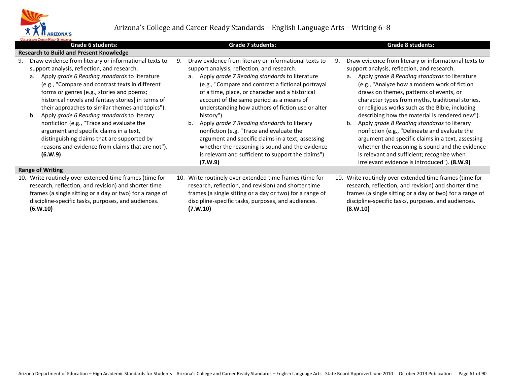

## Arizona's College and Career Ready Standards - English Language Arts - Writing 6-8

| <b>COLLEGE AND CAREER READY STANDARDS</b> |                                                                                                                                                                                                                                                                                                                                                                                                                                                                                                                                                                                                                      |    |                                                                                                                                                                                                                                                                                                                                                                                                                                                                                                                                                                                                                                                                |    |                                                                                                                                                                                                                                                                                                                                                                                                                                                                                                                                                                                                                                                                                                                             |  |  |
|-------------------------------------------|----------------------------------------------------------------------------------------------------------------------------------------------------------------------------------------------------------------------------------------------------------------------------------------------------------------------------------------------------------------------------------------------------------------------------------------------------------------------------------------------------------------------------------------------------------------------------------------------------------------------|----|----------------------------------------------------------------------------------------------------------------------------------------------------------------------------------------------------------------------------------------------------------------------------------------------------------------------------------------------------------------------------------------------------------------------------------------------------------------------------------------------------------------------------------------------------------------------------------------------------------------------------------------------------------------|----|-----------------------------------------------------------------------------------------------------------------------------------------------------------------------------------------------------------------------------------------------------------------------------------------------------------------------------------------------------------------------------------------------------------------------------------------------------------------------------------------------------------------------------------------------------------------------------------------------------------------------------------------------------------------------------------------------------------------------------|--|--|
|                                           | Grade 6 students:                                                                                                                                                                                                                                                                                                                                                                                                                                                                                                                                                                                                    |    | <b>Grade 7 students:</b>                                                                                                                                                                                                                                                                                                                                                                                                                                                                                                                                                                                                                                       |    | <b>Grade 8 students:</b>                                                                                                                                                                                                                                                                                                                                                                                                                                                                                                                                                                                                                                                                                                    |  |  |
|                                           | <b>Research to Build and Present Knowledge</b>                                                                                                                                                                                                                                                                                                                                                                                                                                                                                                                                                                       |    |                                                                                                                                                                                                                                                                                                                                                                                                                                                                                                                                                                                                                                                                |    |                                                                                                                                                                                                                                                                                                                                                                                                                                                                                                                                                                                                                                                                                                                             |  |  |
| 9.<br>а.<br>b.                            | Draw evidence from literary or informational texts to<br>support analysis, reflection, and research.<br>Apply grade 6 Reading standards to literature<br>(e.g., "Compare and contrast texts in different<br>forms or genres [e.g., stories and poems;<br>historical novels and fantasy stories] in terms of<br>their approaches to similar themes and topics").<br>Apply grade 6 Reading standards to literary<br>nonfiction (e.g., "Trace and evaluate the<br>argument and specific claims in a text,<br>distinguishing claims that are supported by<br>reasons and evidence from claims that are not").<br>(6.W.9) | 9. | Draw evidence from literary or informational texts to<br>support analysis, reflection, and research.<br>Apply grade 7 Reading standards to literature<br>a.<br>(e.g., "Compare and contrast a fictional portrayal<br>of a time, place, or character and a historical<br>account of the same period as a means of<br>understanding how authors of fiction use or alter<br>history").<br>Apply grade 7 Reading standards to literary<br>b.<br>nonfiction (e.g. "Trace and evaluate the<br>argument and specific claims in a text, assessing<br>whether the reasoning is sound and the evidence<br>is relevant and sufficient to support the claims").<br>(7.W.9) | 9. | Draw evidence from literary or informational texts to<br>support analysis, reflection, and research.<br>Apply grade 8 Reading standards to literature<br>a.<br>(e.g., "Analyze how a modern work of fiction<br>draws on themes, patterns of events, or<br>character types from myths, traditional stories,<br>or religious works such as the Bible, including<br>describing how the material is rendered new").<br>Apply grade 8 Reading standards to literary<br>b.<br>nonfiction (e.g., "Delineate and evaluate the<br>argument and specific claims in a text, assessing<br>whether the reasoning is sound and the evidence<br>is relevant and sufficient; recognize when<br>irrelevant evidence is introduced"). (8.W.9) |  |  |
| <b>Range of Writing</b>                   |                                                                                                                                                                                                                                                                                                                                                                                                                                                                                                                                                                                                                      |    |                                                                                                                                                                                                                                                                                                                                                                                                                                                                                                                                                                                                                                                                |    |                                                                                                                                                                                                                                                                                                                                                                                                                                                                                                                                                                                                                                                                                                                             |  |  |
|                                           | 10. Write routinely over extended time frames (time for<br>research, reflection, and revision) and shorter time<br>frames (a single sitting or a day or two) for a range of<br>discipline-specific tasks, purposes, and audiences.<br>(6.W.10)                                                                                                                                                                                                                                                                                                                                                                       |    | 10. Write routinely over extended time frames (time for<br>research, reflection, and revision) and shorter time<br>frames (a single sitting or a day or two) for a range of<br>discipline-specific tasks, purposes, and audiences.<br>(7.W.10)                                                                                                                                                                                                                                                                                                                                                                                                                 |    | 10. Write routinely over extended time frames (time for<br>research, reflection, and revision) and shorter time<br>frames (a single sitting or a day or two) for a range of<br>discipline-specific tasks, purposes, and audiences.<br>(8.W.10)                                                                                                                                                                                                                                                                                                                                                                                                                                                                              |  |  |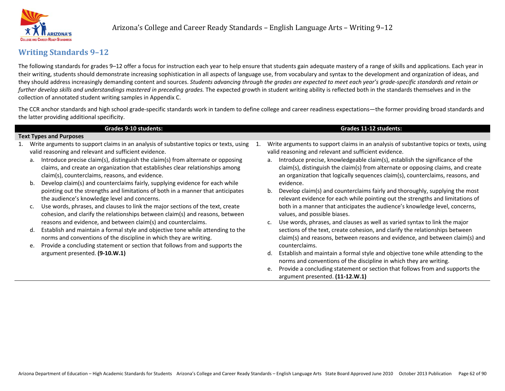

## **Writing Standards 9–12**

The following standards for grades 9–12 offer <sup>a</sup> focus for instruction each year to help ensure that students gain adequate mastery of <sup>a</sup> range of skills and applications. Each year in their writing, students should demonstrate increasing sophistication in all aspects of language use, from vocabulary and syntax to the development and organization of ideas, and they should address increasingly demanding content and sources. Students advancing through the grades are expected to meet each year's grade-specific standards and retain or further develop skills and understandings mastered in preceding grades. The expected growth in student writing ability is reflected both in the standards themselves and in the collection of annotated student writing samples in Appendix C.

The CCR anchor standards and high school grade‐specific standards work in tandem to define college and career readiness expectations—the former providing broad standards and the latter providing additional specificity.

**Text Types and Purposes**

1. Write arguments to support claims in an analysis of substantive topics or texts, using 1.valid reasoning and relevant and sufficient evidence.

**Grades 9‐10**

- a. Introduce precise claim(s), distinguish the claim(s) from alternate or opposing claims, and create an organization that establishes clear relationships among claim(s), counterclaims, reasons, and evidence.
- b. Develop claim(s) and counterclaims fairly, supplying evidence for each while pointing out the strengths and limitations of both in <sup>a</sup> manner that anticipates the audience's knowledge level and concerns.
- c. Use words, phrases, and clauses to link the major sections of the text, create cohesion, and clarify the relationships between claim(s) and reasons, between reasons and evidence, and between claim(s) and counterclaims.
- d. Establish and maintain <sup>a</sup> formal style and objective tone while attending to the norms and conventions of the discipline in which they are writing.
- e. Provide <sup>a</sup> concluding statement or section that follows from and supports the argument presented. **(9‐10.W.1)**
- **students: Grades 11‐12 students:**
- Write arguments to support claims in an analysis of substantive topics or texts, using valid reasoning and relevant and sufficient evidence.
	- a. Introduce precise, knowledgeable claim(s), establish the significance of the claim(s), distinguish the claim(s) from alternate or opposing claims, and create an organization that logically sequences claim(s), counterclaims, reasons, and evidence.
	- b. Develop claim(s) and counterclaims fairly and thoroughly, supplying the most relevant evidence for each while pointing out the strengths and limitations of both in <sup>a</sup> manner that anticipates the audience's knowledge level, concerns, values, and possible biases.
	- c. Use words, phrases, and clauses as well as varied syntax to link the major sections of the text, create cohesion, and clarify the relationships between claim(s) and reasons, between reasons and evidence, and between claim(s) and counterclaims.
	- d. Establish and maintain <sup>a</sup> formal style and objective tone while attending to the norms and conventions of the discipline in which they are writing.
	- e. Provide <sup>a</sup> concluding statement or section that follows from and supports the argument presented. **(11‐12.W.1)**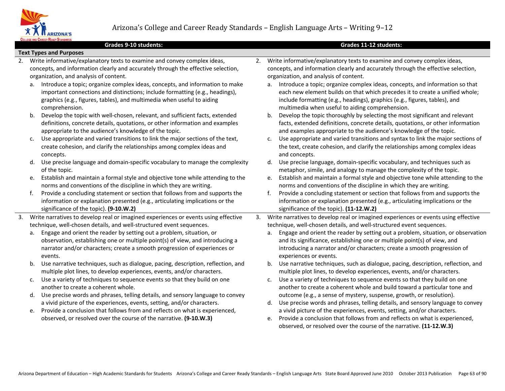

|    | <b>COLLEGE AND CAREER READY STANDARDS</b>                                                                                                                                                                                                                                                                                                                                                                                                                                 |    |                                                                                                                                                                                                                                                                                                                                                                                                                                                                                                             |
|----|---------------------------------------------------------------------------------------------------------------------------------------------------------------------------------------------------------------------------------------------------------------------------------------------------------------------------------------------------------------------------------------------------------------------------------------------------------------------------|----|-------------------------------------------------------------------------------------------------------------------------------------------------------------------------------------------------------------------------------------------------------------------------------------------------------------------------------------------------------------------------------------------------------------------------------------------------------------------------------------------------------------|
|    | <b>Grades 9-10 students:</b>                                                                                                                                                                                                                                                                                                                                                                                                                                              |    | <b>Grades 11-12 students:</b>                                                                                                                                                                                                                                                                                                                                                                                                                                                                               |
|    | <b>Text Types and Purposes</b>                                                                                                                                                                                                                                                                                                                                                                                                                                            |    |                                                                                                                                                                                                                                                                                                                                                                                                                                                                                                             |
| 2. | Write informative/explanatory texts to examine and convey complex ideas,<br>concepts, and information clearly and accurately through the effective selection,<br>organization, and analysis of content.<br>Introduce a topic; organize complex ideas, concepts, and information to make<br>a.<br>important connections and distinctions; include formatting (e.g., headings),<br>graphics (e.g., figures, tables), and multimedia when useful to aiding<br>comprehension. | 2. | Write informative/explanatory texts to examine and convey complex ideas,<br>concepts, and information clearly and accurately through the effective selection,<br>organization, and analysis of content.<br>a. Introduce a topic; organize complex ideas, concepts, and information so that<br>each new element builds on that which precedes it to create a unified whole;<br>include formatting (e.g., headings), graphics (e.g., figures, tables), and<br>multimedia when useful to aiding comprehension. |
|    | Develop the topic with well-chosen, relevant, and sufficient facts, extended<br>b.<br>definitions, concrete details, quotations, or other information and examples<br>appropriate to the audience's knowledge of the topic.<br>Use appropriate and varied transitions to link the major sections of the text,<br>c.<br>create cohesion, and clarify the relationships among complex ideas and<br>concepts.                                                                |    | b.<br>Develop the topic thoroughly by selecting the most significant and relevant<br>facts, extended definitions, concrete details, quotations, or other information<br>and examples appropriate to the audience's knowledge of the topic.<br>Use appropriate and varied transitions and syntax to link the major sections of<br>c.<br>the text, create cohesion, and clarify the relationships among complex ideas<br>and concepts.                                                                        |
|    | Use precise language and domain-specific vocabulary to manage the complexity<br>d.<br>of the topic.                                                                                                                                                                                                                                                                                                                                                                       |    | d. Use precise language, domain-specific vocabulary, and techniques such as<br>metaphor, simile, and analogy to manage the complexity of the topic.                                                                                                                                                                                                                                                                                                                                                         |
|    | Establish and maintain a formal style and objective tone while attending to the<br>e.<br>norms and conventions of the discipline in which they are writing.<br>f.<br>Provide a concluding statement or section that follows from and supports the                                                                                                                                                                                                                         |    | e. Establish and maintain a formal style and objective tone while attending to the<br>norms and conventions of the discipline in which they are writing.<br>Provide a concluding statement or section that follows from and supports the<br>f.                                                                                                                                                                                                                                                              |
|    | information or explanation presented (e.g., articulating implications or the<br>significance of the topic). (9-10.W.2)                                                                                                                                                                                                                                                                                                                                                    |    | information or explanation presented (e.g., articulating implications or the<br>significance of the topic). (11-12.W.2)                                                                                                                                                                                                                                                                                                                                                                                     |
|    | 3. Write narratives to develop real or imagined experiences or events using effective                                                                                                                                                                                                                                                                                                                                                                                     | 3. | Write narratives to develop real or imagined experiences or events using effective                                                                                                                                                                                                                                                                                                                                                                                                                          |
|    | technique, well-chosen details, and well-structured event sequences.<br>Engage and orient the reader by setting out a problem, situation, or<br>a.<br>observation, establishing one or multiple point(s) of view, and introducing a<br>narrator and/or characters; create a smooth progression of experiences or<br>events.                                                                                                                                               |    | technique, well-chosen details, and well-structured event sequences.<br>a. Engage and orient the reader by setting out a problem, situation, or observation<br>and its significance, establishing one or multiple point(s) of view, and<br>introducing a narrator and/or characters; create a smooth progression of<br>experiences or events.                                                                                                                                                               |
|    | Use narrative techniques, such as dialogue, pacing, description, reflection, and<br>b.<br>multiple plot lines, to develop experiences, events, and/or characters.                                                                                                                                                                                                                                                                                                         |    | b. Use narrative techniques, such as dialogue, pacing, description, reflection, and<br>multiple plot lines, to develop experiences, events, and/or characters.                                                                                                                                                                                                                                                                                                                                              |
|    | Use a variety of techniques to sequence events so that they build on one<br>c.<br>another to create a coherent whole.                                                                                                                                                                                                                                                                                                                                                     |    | Use a variety of techniques to sequence events so that they build on one<br>c.<br>another to create a coherent whole and build toward a particular tone and                                                                                                                                                                                                                                                                                                                                                 |
|    | Use precise words and phrases, telling details, and sensory language to convey<br>d.<br>a vivid picture of the experiences, events, setting, and/or characters.                                                                                                                                                                                                                                                                                                           |    | outcome (e.g., a sense of mystery, suspense, growth, or resolution).<br>d. Use precise words and phrases, telling details, and sensory language to convey                                                                                                                                                                                                                                                                                                                                                   |
|    | Provide a conclusion that follows from and reflects on what is experienced,<br>e.<br>observed, or resolved over the course of the narrative. (9-10.W.3)                                                                                                                                                                                                                                                                                                                   |    | a vivid picture of the experiences, events, setting, and/or characters.<br>Provide a conclusion that follows from and reflects on what is experienced,<br>e.<br>observed, or resolved over the course of the narrative. (11-12.W.3)                                                                                                                                                                                                                                                                         |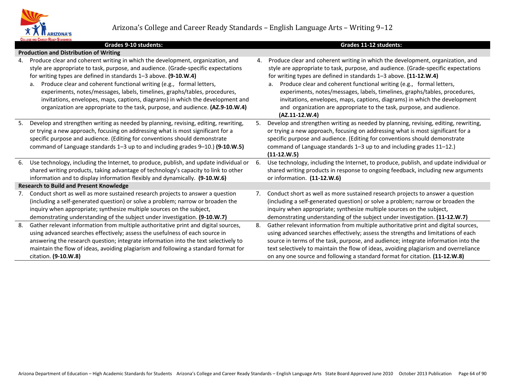

|    | <b>Grades 9-10 students:</b>                                                                                                                                                                                                                                                                                                                                                                                                                                                                                                                                             |     | Grades 11-12 students:                                                                                                                                                                                                                                                                                                                                                                                                                                                                                                                                                          |  |  |  |  |
|----|--------------------------------------------------------------------------------------------------------------------------------------------------------------------------------------------------------------------------------------------------------------------------------------------------------------------------------------------------------------------------------------------------------------------------------------------------------------------------------------------------------------------------------------------------------------------------|-----|---------------------------------------------------------------------------------------------------------------------------------------------------------------------------------------------------------------------------------------------------------------------------------------------------------------------------------------------------------------------------------------------------------------------------------------------------------------------------------------------------------------------------------------------------------------------------------|--|--|--|--|
|    | <b>Production and Distribution of Writing</b>                                                                                                                                                                                                                                                                                                                                                                                                                                                                                                                            |     |                                                                                                                                                                                                                                                                                                                                                                                                                                                                                                                                                                                 |  |  |  |  |
| 4. | Produce clear and coherent writing in which the development, organization, and<br>style are appropriate to task, purpose, and audience. (Grade-specific expectations<br>for writing types are defined in standards 1-3 above. (9-10.W.4)<br>Produce clear and coherent functional writing (e.g., formal letters,<br>а.<br>experiments, notes/messages, labels, timelines, graphs/tables, procedures,<br>invitations, envelopes, maps, captions, diagrams) in which the development and<br>organization are appropriate to the task, purpose, and audience. (AZ.9-10.W.4) | 4.  | Produce clear and coherent writing in which the development, organization, and<br>style are appropriate to task, purpose, and audience. (Grade-specific expectations<br>for writing types are defined in standards 1-3 above. (11-12.W.4)<br>Produce clear and coherent functional writing (e.g., formal letters,<br>а.<br>experiments, notes/messages, labels, timelines, graphs/tables, procedures,<br>invitations, envelopes, maps, captions, diagrams) in which the development<br>and organization are appropriate to the task, purpose, and audience.<br>$(AZ.11-12.W.4)$ |  |  |  |  |
| 5. | Develop and strengthen writing as needed by planning, revising, editing, rewriting,<br>or trying a new approach, focusing on addressing what is most significant for a<br>specific purpose and audience. (Editing for conventions should demonstrate<br>command of Language standards 1-3 up to and including grades 9-10.) (9-10.W.5)                                                                                                                                                                                                                                   | 5.  | Develop and strengthen writing as needed by planning, revising, editing, rewriting,<br>or trying a new approach, focusing on addressing what is most significant for a<br>specific purpose and audience. (Editing for conventions should demonstrate<br>command of Language standards $1-3$ up to and including grades $11-12$ .<br>$(11-12.W.5)$                                                                                                                                                                                                                               |  |  |  |  |
| 6. | Use technology, including the Internet, to produce, publish, and update individual or<br>shared writing products, taking advantage of technology's capacity to link to other<br>information and to display information flexibly and dynamically. (9-10.W.6)                                                                                                                                                                                                                                                                                                              | -6. | Use technology, including the Internet, to produce, publish, and update individual or<br>shared writing products in response to ongoing feedback, including new arguments<br>or information. (11-12.W.6)                                                                                                                                                                                                                                                                                                                                                                        |  |  |  |  |
|    | <b>Research to Build and Present Knowledge</b>                                                                                                                                                                                                                                                                                                                                                                                                                                                                                                                           |     |                                                                                                                                                                                                                                                                                                                                                                                                                                                                                                                                                                                 |  |  |  |  |
|    | 7. Conduct short as well as more sustained research projects to answer a question<br>(including a self-generated question) or solve a problem; narrow or broaden the<br>inquiry when appropriate; synthesize multiple sources on the subject,<br>demonstrating understanding of the subject under investigation. (9-10.W.7)                                                                                                                                                                                                                                              | 7.  | Conduct short as well as more sustained research projects to answer a question<br>(including a self-generated question) or solve a problem; narrow or broaden the<br>inquiry when appropriate; synthesize multiple sources on the subject,<br>demonstrating understanding of the subject under investigation. (11-12.W.7)                                                                                                                                                                                                                                                       |  |  |  |  |
| 8. | Gather relevant information from multiple authoritative print and digital sources,<br>using advanced searches effectively; assess the usefulness of each source in<br>answering the research question; integrate information into the text selectively to<br>maintain the flow of ideas, avoiding plagiarism and following a standard format for<br>citation. (9-10.W.8)                                                                                                                                                                                                 | 8.  | Gather relevant information from multiple authoritative print and digital sources,<br>using advanced searches effectively; assess the strengths and limitations of each<br>source in terms of the task, purpose, and audience; integrate information into the<br>text selectively to maintain the flow of ideas, avoiding plagiarism and overreliance<br>on any one source and following a standard format for citation. (11-12.W.8)                                                                                                                                            |  |  |  |  |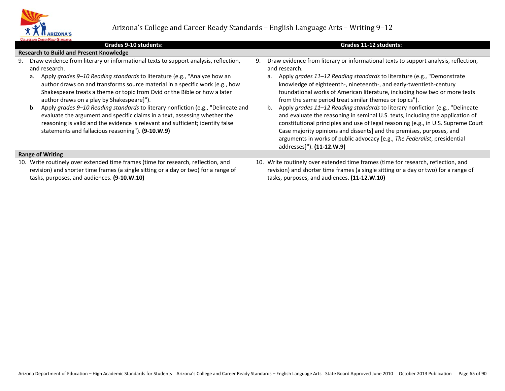

 $\sim$ 

|                         | <b>COLLEGE AND CAREER READY STANDARDS</b>                                                                                                                                                                                                                                                                                                                                                                                                                                                                                                                                                                                                                                                                          |     |                                                                                                                                                                                                                                                                                                                                                                                                                                                                                                                                                                                                                                                                                                                                                                                                                                                    |  |  |  |  |  |  |
|-------------------------|--------------------------------------------------------------------------------------------------------------------------------------------------------------------------------------------------------------------------------------------------------------------------------------------------------------------------------------------------------------------------------------------------------------------------------------------------------------------------------------------------------------------------------------------------------------------------------------------------------------------------------------------------------------------------------------------------------------------|-----|----------------------------------------------------------------------------------------------------------------------------------------------------------------------------------------------------------------------------------------------------------------------------------------------------------------------------------------------------------------------------------------------------------------------------------------------------------------------------------------------------------------------------------------------------------------------------------------------------------------------------------------------------------------------------------------------------------------------------------------------------------------------------------------------------------------------------------------------------|--|--|--|--|--|--|
|                         | Grades 9-10 students:                                                                                                                                                                                                                                                                                                                                                                                                                                                                                                                                                                                                                                                                                              |     | Grades 11-12 students:                                                                                                                                                                                                                                                                                                                                                                                                                                                                                                                                                                                                                                                                                                                                                                                                                             |  |  |  |  |  |  |
|                         | <b>Research to Build and Present Knowledge</b>                                                                                                                                                                                                                                                                                                                                                                                                                                                                                                                                                                                                                                                                     |     |                                                                                                                                                                                                                                                                                                                                                                                                                                                                                                                                                                                                                                                                                                                                                                                                                                                    |  |  |  |  |  |  |
|                         | 9. Draw evidence from literary or informational texts to support analysis, reflection,<br>and research.<br>Apply grades 9-10 Reading standards to literature (e.g., "Analyze how an<br>a.<br>author draws on and transforms source material in a specific work [e.g., how<br>Shakespeare treats a theme or topic from Ovid or the Bible or how a later<br>author draws on a play by Shakespeare]").<br>Apply grades 9–10 Reading standards to literary nonfiction (e.g., "Delineate and<br>b.<br>evaluate the argument and specific claims in a text, assessing whether the<br>reasoning is valid and the evidence is relevant and sufficient; identify false<br>statements and fallacious reasoning"). (9-10.W.9) | 9.  | Draw evidence from literary or informational texts to support analysis, reflection,<br>and research.<br>Apply grades 11-12 Reading standards to literature (e.g., "Demonstrate<br>a.<br>knowledge of eighteenth-, nineteenth-, and early-twentieth-century<br>foundational works of American literature, including how two or more texts<br>from the same period treat similar themes or topics").<br>Apply grades 11-12 Reading standards to literary nonfiction (e.g., "Delineate<br>b.<br>and evaluate the reasoning in seminal U.S. texts, including the application of<br>constitutional principles and use of legal reasoning [e.g., in U.S. Supreme Court<br>Case majority opinions and dissents] and the premises, purposes, and<br>arguments in works of public advocacy [e.g., The Federalist, presidential<br>addresses]"). (11-12.W.9) |  |  |  |  |  |  |
| <b>Range of Writing</b> |                                                                                                                                                                                                                                                                                                                                                                                                                                                                                                                                                                                                                                                                                                                    |     |                                                                                                                                                                                                                                                                                                                                                                                                                                                                                                                                                                                                                                                                                                                                                                                                                                                    |  |  |  |  |  |  |
|                         | 10. Write routinely over extended time frames (time for research, reflection, and<br>revision) and shorter time frames (a single sitting or a day or two) for a range of<br>tasks, purposes, and audiences. (9-10.W.10)                                                                                                                                                                                                                                                                                                                                                                                                                                                                                            | 10. | Write routinely over extended time frames (time for research, reflection, and<br>revision) and shorter time frames (a single sitting or a day or two) for a range of<br>tasks, purposes, and audiences. (11-12.W.10)                                                                                                                                                                                                                                                                                                                                                                                                                                                                                                                                                                                                                               |  |  |  |  |  |  |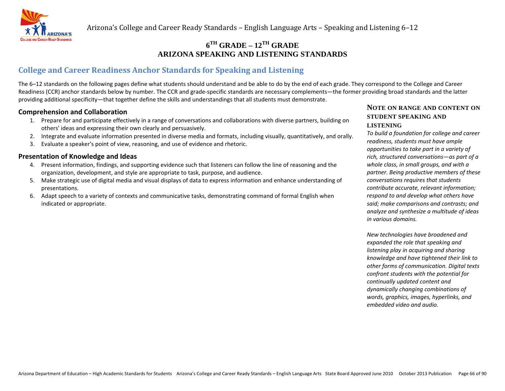

# $6^{TH}$  GRADE –  $12^{TH}$  GRADE **ARIZONA SPEAKING AND LISTENING STANDARDS**

# **College and Career Readiness Anchor Standards for Speaking and Listening**

The 6–12 standards on the following pages define what students should understand and be able to do by the end of each grade. They correspond to the College and Career Readiness (CCR) anchor standards below by number. The CCR and grade‐specific standards are necessary complements—the former providing broad standards and the latter providing additional specificity—that together define the skills and understandings that all students must demonstrate.

### **Comprehension and Collaboration**

- 1. Prepare for and participate effectively in <sup>a</sup> range of conversations and collaborations with diverse partners, building on others' ideas and expressing their own clearly and persuasively.
- 2. Integrate and evaluate information presented in diverse media and formats, including visually, quantitatively, and orally.
- 3. Evaluate <sup>a</sup> speaker's point of view, reasoning, and use of evidence and rhetoric.

### **Presentation of Knowledge and Ideas**

- 4. Present information, findings, and supporting evidence such that listeners can follow the line of reasoning and the organization, development, and style are appropriate to task, purpose, and audience.
- 5. Make strategic use of digital media and visual displays of data to express information and enhance understanding of presentations.
- 6. Adapt speech to <sup>a</sup> variety of contexts and communicative tasks, demonstrating command of formal English when indicated or appropriate.

#### **NOTE ON RANGE AND CONTENT ON STUDENT SPEAKING AND LISTENING**

*To build <sup>a</sup> foundation for college and career readiness, students must have ample opportunities to take part in <sup>a</sup> variety of rich, structured conversations—as part of <sup>a</sup> whole class, in small groups, and with <sup>a</sup> partner. Being productive members of these conversations requires that students contribute accurate, relevant information; respond to and develop what others have said; make comparisons and contrasts; and analyze and synthesize <sup>a</sup> multitude of ideas in various domains.*

*New technologies have broadened and expanded the role that speaking and listening play in acquiring and sharing knowledge and have tightened their link to other forms of communication. Digital texts confront students with the potential for continually updated content and dynamically changing combinations of words, graphics, images, hyperlinks, and embedded video and audio.*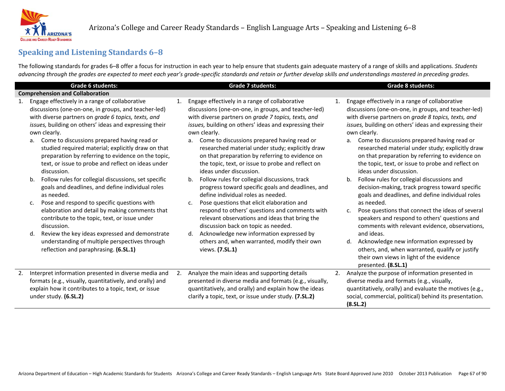

# **Speaking and Listening Standards 6–8**

The following standards for grades 6–8 offer <sup>a</sup> focus for instruction in each year to help ensure that students gain adequate mastery of <sup>a</sup> range of skills and applications. *Students* advancing through the grades are expected to meet each year's grade-specific standards and retain or further develop skills and understandings mastered in preceding grades.

| <b>Grade 6 students:</b>               |                                                                                                                                                                                                                                                                                                                                                                                                                                                                               |    | <b>Grade 7 students:</b>                                                                                                                                                                                                                                                                                                                                                                                                                                                            |    | <b>Grade 8 students:</b>                                                                                                                                                                                                                                                                                                                                                                                                                                                            |  |
|----------------------------------------|-------------------------------------------------------------------------------------------------------------------------------------------------------------------------------------------------------------------------------------------------------------------------------------------------------------------------------------------------------------------------------------------------------------------------------------------------------------------------------|----|-------------------------------------------------------------------------------------------------------------------------------------------------------------------------------------------------------------------------------------------------------------------------------------------------------------------------------------------------------------------------------------------------------------------------------------------------------------------------------------|----|-------------------------------------------------------------------------------------------------------------------------------------------------------------------------------------------------------------------------------------------------------------------------------------------------------------------------------------------------------------------------------------------------------------------------------------------------------------------------------------|--|
| <b>Comprehension and Collaboration</b> |                                                                                                                                                                                                                                                                                                                                                                                                                                                                               |    |                                                                                                                                                                                                                                                                                                                                                                                                                                                                                     |    |                                                                                                                                                                                                                                                                                                                                                                                                                                                                                     |  |
|                                        | 1. Engage effectively in a range of collaborative<br>discussions (one-on-one, in groups, and teacher-led)<br>with diverse partners on grade 6 topics, texts, and<br>issues, building on others' ideas and expressing their<br>own clearly.<br>a. Come to discussions prepared having read or<br>studied required material; explicitly draw on that<br>preparation by referring to evidence on the topic,<br>text, or issue to probe and reflect on ideas under<br>discussion. | 1. | Engage effectively in a range of collaborative<br>discussions (one-on-one, in groups, and teacher-led)<br>with diverse partners on grade 7 topics, texts, and<br>issues, building on others' ideas and expressing their<br>own clearly.<br>Come to discussions prepared having read or<br>a.<br>researched material under study; explicitly draw<br>on that preparation by referring to evidence on<br>the topic, text, or issue to probe and reflect on<br>ideas under discussion. | 1. | Engage effectively in a range of collaborative<br>discussions (one-on-one, in groups, and teacher-led)<br>with diverse partners on grade 8 topics, texts, and<br>issues, building on others' ideas and expressing their<br>own clearly.<br>Come to discussions prepared having read or<br>a.<br>researched material under study; explicitly draw<br>on that preparation by referring to evidence on<br>the topic, text, or issue to probe and reflect on<br>ideas under discussion. |  |
|                                        | Follow rules for collegial discussions, set specific<br>b.<br>goals and deadlines, and define individual roles<br>as needed.<br>Pose and respond to specific questions with<br>c.                                                                                                                                                                                                                                                                                             |    | Follow rules for collegial discussions, track<br>b.<br>progress toward specific goals and deadlines, and<br>define individual roles as needed.<br>Pose questions that elicit elaboration and<br>c.                                                                                                                                                                                                                                                                                  |    | Follow rules for collegial discussions and<br>b.<br>decision-making, track progress toward specific<br>goals and deadlines, and define individual roles<br>as needed.                                                                                                                                                                                                                                                                                                               |  |
|                                        | elaboration and detail by making comments that<br>contribute to the topic, text, or issue under<br>discussion.<br>Review the key ideas expressed and demonstrate<br>d.                                                                                                                                                                                                                                                                                                        |    | respond to others' questions and comments with<br>relevant observations and ideas that bring the<br>discussion back on topic as needed.<br>d.<br>Acknowledge new information expressed by                                                                                                                                                                                                                                                                                           |    | Pose questions that connect the ideas of several<br>c.<br>speakers and respond to others' questions and<br>comments with relevant evidence, observations,<br>and ideas.                                                                                                                                                                                                                                                                                                             |  |
|                                        | understanding of multiple perspectives through<br>reflection and paraphrasing. (6.SL.1)                                                                                                                                                                                                                                                                                                                                                                                       |    | others and, when warranted, modify their own<br>views. (7.SL.1)                                                                                                                                                                                                                                                                                                                                                                                                                     |    | d. Acknowledge new information expressed by<br>others, and, when warranted, qualify or justify<br>their own views in light of the evidence<br>presented. (8.SL.1)                                                                                                                                                                                                                                                                                                                   |  |
| 2.                                     | Interpret information presented in diverse media and<br>formats (e.g., visually, quantitatively, and orally) and<br>explain how it contributes to a topic, text, or issue<br>under study. (6.SL.2)                                                                                                                                                                                                                                                                            | 2. | Analyze the main ideas and supporting details<br>presented in diverse media and formats (e.g., visually,<br>quantitatively, and orally) and explain how the ideas<br>clarify a topic, text, or issue under study. (7.SL.2)                                                                                                                                                                                                                                                          | 2. | Analyze the purpose of information presented in<br>diverse media and formats (e.g., visually,<br>quantitatively, orally) and evaluate the motives (e.g.,<br>social, commercial, political) behind its presentation.<br>(8.5L.2)                                                                                                                                                                                                                                                     |  |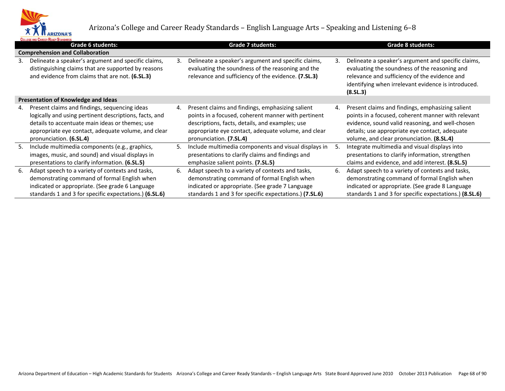

## Arizona's College and Career Ready Standards - English Language Arts - Speaking and Listening 6-8

|                          | <b>UOLLEGE AND UAREER READY STANDARD!</b>                                                                                                                                                                                                    |                          |                                                                                                                                                                                                                                              |    |                                                                                                                                                                                                                                                           |  |  |  |
|--------------------------|----------------------------------------------------------------------------------------------------------------------------------------------------------------------------------------------------------------------------------------------|--------------------------|----------------------------------------------------------------------------------------------------------------------------------------------------------------------------------------------------------------------------------------------|----|-----------------------------------------------------------------------------------------------------------------------------------------------------------------------------------------------------------------------------------------------------------|--|--|--|
| <b>Grade 6 students:</b> |                                                                                                                                                                                                                                              | <b>Grade 7 students:</b> |                                                                                                                                                                                                                                              |    | <b>Grade 8 students:</b>                                                                                                                                                                                                                                  |  |  |  |
|                          | <b>Comprehension and Collaboration</b>                                                                                                                                                                                                       |                          |                                                                                                                                                                                                                                              |    |                                                                                                                                                                                                                                                           |  |  |  |
|                          | 3. Delineate a speaker's argument and specific claims,<br>distinguishing claims that are supported by reasons<br>and evidence from claims that are not. (6.SL.3)                                                                             | 3.                       | Delineate a speaker's argument and specific claims,<br>evaluating the soundness of the reasoning and the<br>relevance and sufficiency of the evidence. (7.SL.3)                                                                              | 3. | Delineate a speaker's argument and specific claims,<br>evaluating the soundness of the reasoning and<br>relevance and sufficiency of the evidence and<br>identifying when irrelevant evidence is introduced.<br>(8.5L.3)                                  |  |  |  |
|                          | Presentation of Knowledge and Ideas                                                                                                                                                                                                          |                          |                                                                                                                                                                                                                                              |    |                                                                                                                                                                                                                                                           |  |  |  |
| 4.                       | Present claims and findings, sequencing ideas<br>logically and using pertinent descriptions, facts, and<br>details to accentuate main ideas or themes; use<br>appropriate eye contact, adequate volume, and clear<br>pronunciation. (6.SL.4) | 4.                       | Present claims and findings, emphasizing salient<br>points in a focused, coherent manner with pertinent<br>descriptions, facts, details, and examples; use<br>appropriate eye contact, adequate volume, and clear<br>pronunciation. (7.SL.4) | 4. | Present claims and findings, emphasizing salient<br>points in a focused, coherent manner with relevant<br>evidence, sound valid reasoning, and well-chosen<br>details; use appropriate eye contact, adequate<br>volume, and clear pronunciation. (8.SL.4) |  |  |  |
| 5.                       | Include multimedia components (e.g., graphics,<br>images, music, and sound) and visual displays in<br>presentations to clarify information. (6.SL.5)                                                                                         | 5.                       | Include multimedia components and visual displays in<br>presentations to clarify claims and findings and<br>emphasize salient points. (7.SL.5)                                                                                               | 5. | Integrate multimedia and visual displays into<br>presentations to clarify information, strengthen<br>claims and evidence, and add interest. (8.SL.5)                                                                                                      |  |  |  |
|                          | 6. Adapt speech to a variety of contexts and tasks,<br>demonstrating command of formal English when<br>indicated or appropriate. (See grade 6 Language<br>standards 1 and 3 for specific expectations.) (6.SL.6)                             | 6.                       | Adapt speech to a variety of contexts and tasks,<br>demonstrating command of formal English when<br>indicated or appropriate. (See grade 7 Language<br>standards 1 and 3 for specific expectations.) (7.SL.6)                                | 6. | Adapt speech to a variety of contexts and tasks,<br>demonstrating command of formal English when<br>indicated or appropriate. (See grade 8 Language<br>standards 1 and 3 for specific expectations.) (8.SL.6)                                             |  |  |  |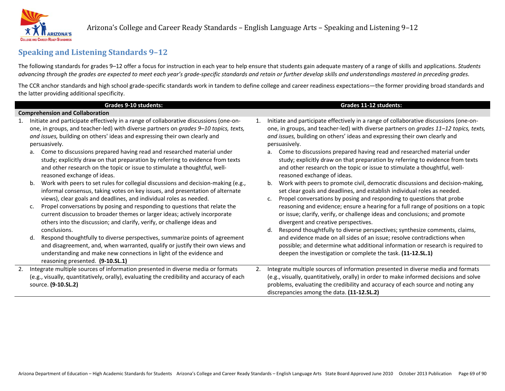

# **Speaking and Listening Standards 9–12**

The following standards for grades 9–12 offer <sup>a</sup> focus for instruction in each year to help ensure that students gain adequate mastery of <sup>a</sup> range of skills and applications. *Students* advancing through the grades are expected to meet each year's grade-specific standards and retain or further develop skills and understandings mastered in preceding grades.

The CCR anchor standards and high school grade‐specific standards work in tandem to define college and career readiness expectations—the former providing broad standards and the latter providing additional specificity.

|    | <b>Grades 9-10 students:</b>                                                                                                                                                                                                                                                                                                                                                                                                                                                                                                                               |    | <b>Grades 11-12 students:</b>                                                                                                                                                                                                                                                                                                                                                                                                                                                                                                                               |
|----|------------------------------------------------------------------------------------------------------------------------------------------------------------------------------------------------------------------------------------------------------------------------------------------------------------------------------------------------------------------------------------------------------------------------------------------------------------------------------------------------------------------------------------------------------------|----|-------------------------------------------------------------------------------------------------------------------------------------------------------------------------------------------------------------------------------------------------------------------------------------------------------------------------------------------------------------------------------------------------------------------------------------------------------------------------------------------------------------------------------------------------------------|
|    | <b>Comprehension and Collaboration</b>                                                                                                                                                                                                                                                                                                                                                                                                                                                                                                                     |    |                                                                                                                                                                                                                                                                                                                                                                                                                                                                                                                                                             |
| 1. | Initiate and participate effectively in a range of collaborative discussions (one-on-<br>one, in groups, and teacher-led) with diverse partners on grades 9-10 topics, texts,<br>and issues, building on others' ideas and expressing their own clearly and<br>persuasively.<br>Come to discussions prepared having read and researched material under<br>а.<br>study; explicitly draw on that preparation by referring to evidence from texts<br>and other research on the topic or issue to stimulate a thoughtful, well-<br>reasoned exchange of ideas. | 1. | Initiate and participate effectively in a range of collaborative discussions (one-on-<br>one, in groups, and teacher-led) with diverse partners on grades 11-12 topics, texts,<br>and issues, building on others' ideas and expressing their own clearly and<br>persuasively.<br>Come to discussions prepared having read and researched material under<br>a.<br>study; explicitly draw on that preparation by referring to evidence from texts<br>and other research on the topic or issue to stimulate a thoughtful, well-<br>reasoned exchange of ideas. |
|    | Work with peers to set rules for collegial discussions and decision-making (e.g.,<br>b.<br>informal consensus, taking votes on key issues, and presentation of alternate<br>views), clear goals and deadlines, and individual roles as needed.                                                                                                                                                                                                                                                                                                             |    | Work with peers to promote civil, democratic discussions and decision-making,<br>b.<br>set clear goals and deadlines, and establish individual roles as needed.<br>Propel conversations by posing and responding to questions that probe<br>c.                                                                                                                                                                                                                                                                                                              |
|    | Propel conversations by posing and responding to questions that relate the<br>c.<br>current discussion to broader themes or larger ideas; actively incorporate<br>others into the discussion; and clarify, verify, or challenge ideas and                                                                                                                                                                                                                                                                                                                  |    | reasoning and evidence; ensure a hearing for a full range of positions on a topic<br>or issue; clarify, verify, or challenge ideas and conclusions; and promote<br>divergent and creative perspectives.                                                                                                                                                                                                                                                                                                                                                     |
|    | conclusions.<br>Respond thoughtfully to diverse perspectives, summarize points of agreement<br>d.<br>and disagreement, and, when warranted, qualify or justify their own views and<br>understanding and make new connections in light of the evidence and<br>reasoning presented. (9-10.SL.1)                                                                                                                                                                                                                                                              |    | Respond thoughtfully to diverse perspectives; synthesize comments, claims,<br>d.<br>and evidence made on all sides of an issue; resolve contradictions when<br>possible; and determine what additional information or research is required to<br>deepen the investigation or complete the task. (11-12.SL.1)                                                                                                                                                                                                                                                |
| 2. | Integrate multiple sources of information presented in diverse media or formats<br>(e.g., visually, quantitatively, orally), evaluating the credibility and accuracy of each<br>source. (9-10.SL.2)                                                                                                                                                                                                                                                                                                                                                        | 2. | Integrate multiple sources of information presented in diverse media and formats<br>(e.g., visually, quantitatively, orally) in order to make informed decisions and solve<br>problems, evaluating the credibility and accuracy of each source and noting any<br>discrepancies among the data. (11-12.SL.2)                                                                                                                                                                                                                                                 |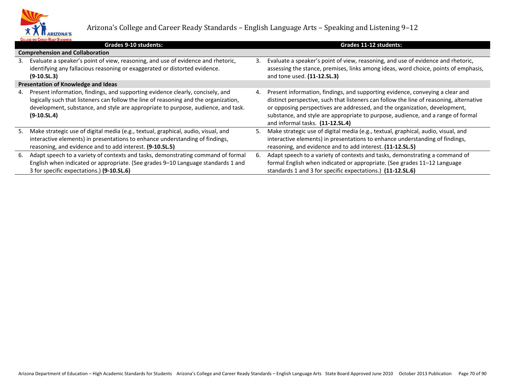

|    | <b><i><u>COLLEGE AND CAREER NEADT CHANDARDS</u></i></b><br><b>Grades 9-10 students:</b>                                                                                                                                                                                      | Grades 11-12 students: |                                                                                                                                                                                                                                                                                                                                                                                |  |  |
|----|------------------------------------------------------------------------------------------------------------------------------------------------------------------------------------------------------------------------------------------------------------------------------|------------------------|--------------------------------------------------------------------------------------------------------------------------------------------------------------------------------------------------------------------------------------------------------------------------------------------------------------------------------------------------------------------------------|--|--|
|    | <b>Comprehension and Collaboration</b>                                                                                                                                                                                                                                       |                        |                                                                                                                                                                                                                                                                                                                                                                                |  |  |
| 3. | Evaluate a speaker's point of view, reasoning, and use of evidence and rhetoric,<br>identifying any fallacious reasoning or exaggerated or distorted evidence.<br>$(9-10.5L.3)$                                                                                              | 3.                     | Evaluate a speaker's point of view, reasoning, and use of evidence and rhetoric,<br>assessing the stance, premises, links among ideas, word choice, points of emphasis,<br>and tone used. (11-12.SL.3)                                                                                                                                                                         |  |  |
|    | <b>Presentation of Knowledge and Ideas</b>                                                                                                                                                                                                                                   |                        |                                                                                                                                                                                                                                                                                                                                                                                |  |  |
| 4. | Present information, findings, and supporting evidence clearly, concisely, and<br>logically such that listeners can follow the line of reasoning and the organization,<br>development, substance, and style are appropriate to purpose, audience, and task.<br>$(9-10.5L.4)$ | 4.                     | Present information, findings, and supporting evidence, conveying a clear and<br>distinct perspective, such that listeners can follow the line of reasoning, alternative<br>or opposing perspectives are addressed, and the organization, development,<br>substance, and style are appropriate to purpose, audience, and a range of formal<br>and informal tasks. (11-12.SL.4) |  |  |
| 5. | Make strategic use of digital media (e.g., textual, graphical, audio, visual, and<br>interactive elements) in presentations to enhance understanding of findings,<br>reasoning, and evidence and to add interest. (9-10.SL.5)                                                | 5.                     | Make strategic use of digital media (e.g., textual, graphical, audio, visual, and<br>interactive elements) in presentations to enhance understanding of findings,<br>reasoning, and evidence and to add interest. (11-12.SL.5)                                                                                                                                                 |  |  |
| 6. | Adapt speech to a variety of contexts and tasks, demonstrating command of formal<br>English when indicated or appropriate. (See grades 9-10 Language standards 1 and<br>3 for specific expectations.) (9-10.SL.6)                                                            | 6.                     | Adapt speech to a variety of contexts and tasks, demonstrating a command of<br>formal English when indicated or appropriate. (See grades 11-12 Language<br>standards 1 and 3 for specific expectations.) (11-12.SL.6)                                                                                                                                                          |  |  |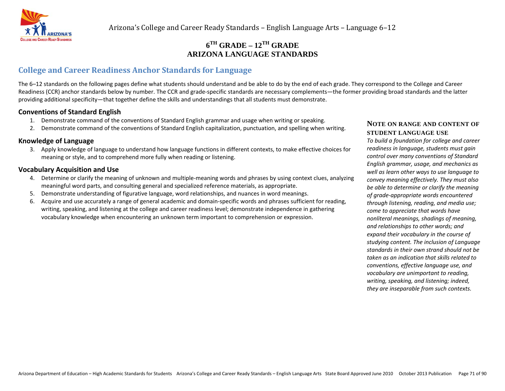

# $6^{TH}$  GRADE –  $12^{TH}$  GRADE **ARIZONA LANGUAGE STANDARDS**

## **College and Career Readiness Anchor Standards for Language**

The 6–12 standards on the following pages define what students should understand and be able to do by the end of each grade. They correspond to the College and Career Readiness (CCR) anchor standards below by number. The CCR and grade‐specific standards are necessary complements—the former providing broad standards and the latter providing additional specificity—that together define the skills and understandings that all students must demonstrate.

### **Conventions of Standard English**

- 1. Demonstrate command of the conventions of Standard English grammar and usage when writing or speaking.
- 2. Demonstrate command of the conventions of Standard English capitalization, punctuation, and spelling when writing.

### **Knowledge of Language**

3. Apply knowledge of language to understand how language functions in different contexts, to make effective choices for meaning or style, and to comprehend more fully when reading or listening.

#### **Vocabulary Acquisition and Use**

- 4. Determine or clarify the meaning of unknown and multiple‐meaning words and phrases by using context clues, analyzing meaningful word parts, and consulting general and specialized reference materials, as appropriate.
- 5. Demonstrate understanding of figurative language, word relationships, and nuances in word meanings.
- 6. Acquire and use accurately <sup>a</sup> range of general academic and domain‐specific words and phrases sufficient for reading, writing, speaking, and listening at the college and career readiness level; demonstrate independence in gathering vocabulary knowledge when encountering an unknown term important to comprehension or expression.

### **NOTE ON RANGE AND CONTENT OF STUDENT LANGUAGE USE**

*To build <sup>a</sup> foundation for college and career readiness in language, students must gain control over many conventions of Standard English grammar, usage, and mechanics as well as learn other ways to use language to convey meaning effectively. They must also be able to determine or clarify the meaning of grade‐appropriate words encountered through listening, reading, and media use; come to appreciate that words have nonliteral meanings, shadings of meaning, and relationships to other words; and expand their vocabulary in the course of studying content. The inclusion of Language standards in their own strand should not be taken as an indication that skills related to conventions, effective language use, and vocabulary are unimportant to reading, writing, speaking, and listening; indeed, they are inseparable from such contexts.*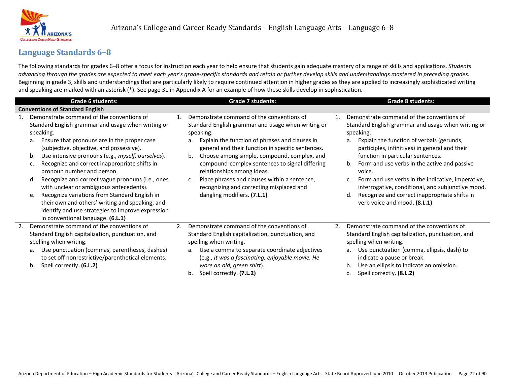

### **Language Standards 6–8**

The following standards for grades 6–8 offer <sup>a</sup> focus for instruction each year to help ensure that students gain adequate mastery of <sup>a</sup> range of skills and applications. *Students* advancing through the grades are expected to meet each year's grade-specific standards and retain or further develop skills and understandings mastered in preceding grades. Beginning in grade 3, skills and understandings that are particularly likely to require continued attention in higher grades as they are applied to increasingly sophisticated writing and speaking are marked with an asterisk (\*). See page 31 in Appendix A for an example of how these skills develop in sophistication.

| <b>Grade 6 students:</b>                                       |                                                                                                                                                                                                                                                                                                                                                                                                                                                                                                                                                                                                                             | <b>Grade 7 students:</b> |                                                                                                                                                                                                                                                                                                                                                                                                                                                                                                 |    | <b>Grade 8 students:</b>                                                                                                                                                                                                                                                                                                                                                                                                                                                                                                      |  |  |
|----------------------------------------------------------------|-----------------------------------------------------------------------------------------------------------------------------------------------------------------------------------------------------------------------------------------------------------------------------------------------------------------------------------------------------------------------------------------------------------------------------------------------------------------------------------------------------------------------------------------------------------------------------------------------------------------------------|--------------------------|-------------------------------------------------------------------------------------------------------------------------------------------------------------------------------------------------------------------------------------------------------------------------------------------------------------------------------------------------------------------------------------------------------------------------------------------------------------------------------------------------|----|-------------------------------------------------------------------------------------------------------------------------------------------------------------------------------------------------------------------------------------------------------------------------------------------------------------------------------------------------------------------------------------------------------------------------------------------------------------------------------------------------------------------------------|--|--|
| <b>Conventions of Standard English</b>                         |                                                                                                                                                                                                                                                                                                                                                                                                                                                                                                                                                                                                                             |                          |                                                                                                                                                                                                                                                                                                                                                                                                                                                                                                 |    |                                                                                                                                                                                                                                                                                                                                                                                                                                                                                                                               |  |  |
| speaking.<br>a.<br>b.<br>c.<br>d.<br>e.                        | Demonstrate command of the conventions of<br>Standard English grammar and usage when writing or<br>Ensure that pronouns are in the proper case<br>(subjective, objective, and possessive).<br>Use intensive pronouns (e.g., myself, ourselves).<br>Recognize and correct inappropriate shifts in<br>pronoun number and person.<br>Recognize and correct vague pronouns (i.e., ones<br>with unclear or ambiguous antecedents).<br>Recognize variations from Standard English in<br>their own and others' writing and speaking, and<br>identify and use strategies to improve expression<br>in conventional language. (6.L.1) |                          | Demonstrate command of the conventions of<br>Standard English grammar and usage when writing or<br>speaking.<br>Explain the function of phrases and clauses in<br>a.<br>general and their function in specific sentences.<br>Choose among simple, compound, complex, and<br>b.<br>compound-complex sentences to signal differing<br>relationships among ideas.<br>Place phrases and clauses within a sentence,<br>C.<br>recognizing and correcting misplaced and<br>dangling modifiers. (7.L.1) | 1. | Demonstrate command of the conventions of<br>Standard English grammar and usage when writing or<br>speaking.<br>Explain the function of verbals (gerunds,<br>a.<br>participles, infinitives) in general and their<br>function in particular sentences.<br>Form and use verbs in the active and passive<br>b.<br>voice.<br>Form and use verbs in the indicative, imperative,<br>c.<br>interrogative, conditional, and subjunctive mood.<br>Recognize and correct inappropriate shifts in<br>d.<br>verb voice and mood. (8.L.1) |  |  |
| spelling when writing.<br>а.<br>Spell correctly. (6.L.2)<br>b. | Demonstrate command of the conventions of<br>Standard English capitalization, punctuation, and<br>Use punctuation (commas, parentheses, dashes)<br>to set off nonrestrictive/parenthetical elements.                                                                                                                                                                                                                                                                                                                                                                                                                        |                          | Demonstrate command of the conventions of<br>Standard English capitalization, punctuation, and<br>spelling when writing.<br>Use a comma to separate coordinate adjectives<br>a.<br>(e.g., It was a fascinating, enjoyable movie. He<br>wore an old, green shirt).<br>Spell correctly. (7.L.2)<br>b.                                                                                                                                                                                             | 2. | Demonstrate command of the conventions of<br>Standard English capitalization, punctuation, and<br>spelling when writing.<br>Use punctuation (comma, ellipsis, dash) to<br>а.<br>indicate a pause or break.<br>Use an ellipsis to indicate an omission.<br>b.<br>Spell correctly. (8.L.2)                                                                                                                                                                                                                                      |  |  |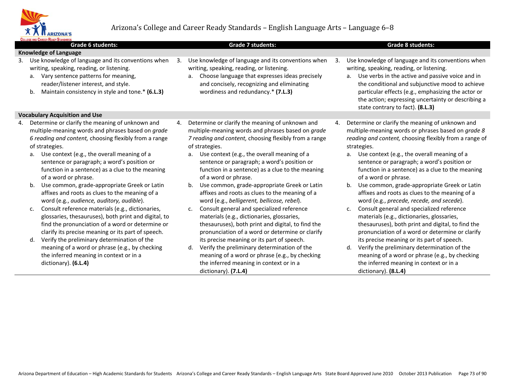

## Arizona's College and Career Ready Standards - English Language Arts - Language 6-8

| <b>COLLEGE AND CAREER READY STANDARDS</b>                                                                                                                                                                                                                                                                                                                                                                                                                                                                                                                                                                                                                                                                                                                                                                                                                                                                                        |                                                                                                                                                                                                                                                                                                                                                                                                                                                                                                                                                                                                                                                                                                                                                                                                                                                                                                                                       |                                                                                                                                                                                                                                                                                                                                                                                                                                                                                                                                                                                                                                                                                                                                                                                                                                                                                                                                 |
|----------------------------------------------------------------------------------------------------------------------------------------------------------------------------------------------------------------------------------------------------------------------------------------------------------------------------------------------------------------------------------------------------------------------------------------------------------------------------------------------------------------------------------------------------------------------------------------------------------------------------------------------------------------------------------------------------------------------------------------------------------------------------------------------------------------------------------------------------------------------------------------------------------------------------------|---------------------------------------------------------------------------------------------------------------------------------------------------------------------------------------------------------------------------------------------------------------------------------------------------------------------------------------------------------------------------------------------------------------------------------------------------------------------------------------------------------------------------------------------------------------------------------------------------------------------------------------------------------------------------------------------------------------------------------------------------------------------------------------------------------------------------------------------------------------------------------------------------------------------------------------|---------------------------------------------------------------------------------------------------------------------------------------------------------------------------------------------------------------------------------------------------------------------------------------------------------------------------------------------------------------------------------------------------------------------------------------------------------------------------------------------------------------------------------------------------------------------------------------------------------------------------------------------------------------------------------------------------------------------------------------------------------------------------------------------------------------------------------------------------------------------------------------------------------------------------------|
| <b>Grade 6 students:</b>                                                                                                                                                                                                                                                                                                                                                                                                                                                                                                                                                                                                                                                                                                                                                                                                                                                                                                         | <b>Grade 7 students:</b>                                                                                                                                                                                                                                                                                                                                                                                                                                                                                                                                                                                                                                                                                                                                                                                                                                                                                                              | <b>Grade 8 students:</b>                                                                                                                                                                                                                                                                                                                                                                                                                                                                                                                                                                                                                                                                                                                                                                                                                                                                                                        |
| <b>Knowledge of Language</b>                                                                                                                                                                                                                                                                                                                                                                                                                                                                                                                                                                                                                                                                                                                                                                                                                                                                                                     |                                                                                                                                                                                                                                                                                                                                                                                                                                                                                                                                                                                                                                                                                                                                                                                                                                                                                                                                       |                                                                                                                                                                                                                                                                                                                                                                                                                                                                                                                                                                                                                                                                                                                                                                                                                                                                                                                                 |
| Use knowledge of language and its conventions when<br>3.<br>writing, speaking, reading, or listening.<br>Vary sentence patterns for meaning,<br>а.<br>reader/listener interest, and style.<br>Maintain consistency in style and tone.* (6.L.3)<br>b.                                                                                                                                                                                                                                                                                                                                                                                                                                                                                                                                                                                                                                                                             | Use knowledge of language and its conventions when<br>3.<br>writing, speaking, reading, or listening.<br>Choose language that expresses ideas precisely<br>a.<br>and concisely, recognizing and eliminating<br>wordiness and redundancy.* (7.L.3)                                                                                                                                                                                                                                                                                                                                                                                                                                                                                                                                                                                                                                                                                     | Use knowledge of language and its conventions when<br>3.<br>writing, speaking, reading, or listening.<br>a. Use verbs in the active and passive voice and in<br>the conditional and subjunctive mood to achieve<br>particular effects (e.g., emphasizing the actor or<br>the action; expressing uncertainty or describing a<br>state contrary to fact). (8.L.3)                                                                                                                                                                                                                                                                                                                                                                                                                                                                                                                                                                 |
| <b>Vocabulary Acquisition and Use</b>                                                                                                                                                                                                                                                                                                                                                                                                                                                                                                                                                                                                                                                                                                                                                                                                                                                                                            |                                                                                                                                                                                                                                                                                                                                                                                                                                                                                                                                                                                                                                                                                                                                                                                                                                                                                                                                       |                                                                                                                                                                                                                                                                                                                                                                                                                                                                                                                                                                                                                                                                                                                                                                                                                                                                                                                                 |
| Determine or clarify the meaning of unknown and<br>4.<br>multiple-meaning words and phrases based on grade<br>6 reading and content, choosing flexibly from a range<br>of strategies.<br>Use context (e.g., the overall meaning of a<br>а.<br>sentence or paragraph; a word's position or<br>function in a sentence) as a clue to the meaning<br>of a word or phrase.<br>Use common, grade-appropriate Greek or Latin<br>b.<br>affixes and roots as clues to the meaning of a<br>word (e.g., audience, auditory, audible).<br>Consult reference materials (e.g., dictionaries,<br>c.<br>glossaries, thesauruses), both print and digital, to<br>find the pronunciation of a word or determine or<br>clarify its precise meaning or its part of speech.<br>Verify the preliminary determination of the<br>d.<br>meaning of a word or phrase (e.g., by checking<br>the inferred meaning in context or in a<br>dictionary). (6.L.4) | Determine or clarify the meaning of unknown and<br>4.<br>multiple-meaning words and phrases based on grade<br>7 reading and content, choosing flexibly from a range<br>of strategies.<br>Use context (e.g., the overall meaning of a<br>а.<br>sentence or paragraph; a word's position or<br>function in a sentence) as a clue to the meaning<br>of a word or phrase.<br>b.<br>Use common, grade-appropriate Greek or Latin<br>affixes and roots as clues to the meaning of a<br>word (e.g., belligerent, bellicose, rebel).<br>Consult general and specialized reference<br>c.<br>materials (e.g., dictionaries, glossaries,<br>thesauruses), both print and digital, to find the<br>pronunciation of a word or determine or clarify<br>its precise meaning or its part of speech.<br>Verify the preliminary determination of the<br>d.<br>meaning of a word or phrase (e.g., by checking<br>the inferred meaning in context or in a | Determine or clarify the meaning of unknown and<br>4.<br>multiple-meaning words or phrases based on grade 8<br>reading and content, choosing flexibly from a range of<br>strategies.<br>a. Use context (e.g., the overall meaning of a<br>sentence or paragraph; a word's position or<br>function in a sentence) as a clue to the meaning<br>of a word or phrase.<br>Use common, grade-appropriate Greek or Latin<br>b.<br>affixes and roots as clues to the meaning of a<br>word (e.g., precede, recede, and secede).<br>Consult general and specialized reference<br>c.<br>materials (e.g., dictionaries, glossaries,<br>thesauruses), both print and digital, to find the<br>pronunciation of a word or determine or clarify<br>its precise meaning or its part of speech.<br>Verify the preliminary determination of the<br>d.<br>meaning of a word or phrase (e.g., by checking<br>the inferred meaning in context or in a |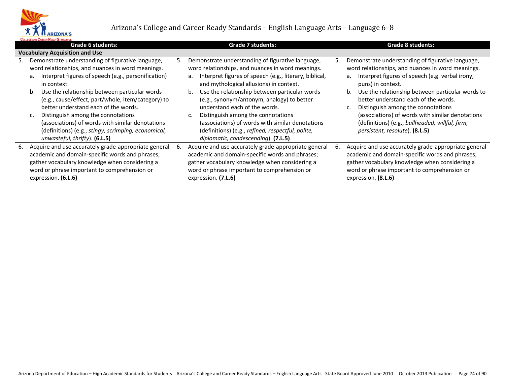

## Arizona's College and Career Ready Standards - English Language Arts - Language 6-8

| <b>COLLEGE AND CAREER READY STANDARDS</b>                                                                                                                                                                                                                                                                                                                                                                                                                                                                                          |    |                                                                                                                                                                                                                                                                                                                                                                                                                                                                                                                                               |    |                                                                                                                                                                                                                                                                                                                                                                                                                                                                             |
|------------------------------------------------------------------------------------------------------------------------------------------------------------------------------------------------------------------------------------------------------------------------------------------------------------------------------------------------------------------------------------------------------------------------------------------------------------------------------------------------------------------------------------|----|-----------------------------------------------------------------------------------------------------------------------------------------------------------------------------------------------------------------------------------------------------------------------------------------------------------------------------------------------------------------------------------------------------------------------------------------------------------------------------------------------------------------------------------------------|----|-----------------------------------------------------------------------------------------------------------------------------------------------------------------------------------------------------------------------------------------------------------------------------------------------------------------------------------------------------------------------------------------------------------------------------------------------------------------------------|
| Grade 6 students:                                                                                                                                                                                                                                                                                                                                                                                                                                                                                                                  |    | <b>Grade 7 students:</b>                                                                                                                                                                                                                                                                                                                                                                                                                                                                                                                      |    | Grade 8 students:                                                                                                                                                                                                                                                                                                                                                                                                                                                           |
| <b>Vocabulary Acquisition and Use</b>                                                                                                                                                                                                                                                                                                                                                                                                                                                                                              |    |                                                                                                                                                                                                                                                                                                                                                                                                                                                                                                                                               |    |                                                                                                                                                                                                                                                                                                                                                                                                                                                                             |
| 5. Demonstrate understanding of figurative language,<br>word relationships, and nuances in word meanings.<br>Interpret figures of speech (e.g., personification)<br>а.<br>in context.<br>Use the relationship between particular words<br>b.<br>(e.g., cause/effect, part/whole, item/category) to<br>better understand each of the words.<br>Distinguish among the connotations<br>c.<br>(associations) of words with similar denotations<br>(definitions) (e.g., stingy, scrimping, economical,<br>unwasteful, thrifty). (6.L.5) | 5. | Demonstrate understanding of figurative language,<br>word relationships, and nuances in word meanings.<br>Interpret figures of speech (e.g., literary, biblical,<br>a.<br>and mythological allusions) in context.<br>Use the relationship between particular words<br>b.<br>(e.g., synonym/antonym, analogy) to better<br>understand each of the words.<br>Distinguish among the connotations<br>(associations) of words with similar denotations<br>(definitions) (e.g., refined, respectful, polite,<br>diplomatic, condescending). (7.L.5) | 5. | Demonstrate understanding of figurative language,<br>word relationships, and nuances in word meanings.<br>Interpret figures of speech (e.g. verbal irony,<br>a.<br>puns) in context.<br>Use the relationship between particular words to<br>b.<br>better understand each of the words.<br>Distinguish among the connotations<br>c.<br>(associations) of words with similar denotations<br>(definitions) (e.g., bullheaded, willful, firm,<br>persistent, resolute). (8.L.5) |
| 6. Acquire and use accurately grade-appropriate general<br>academic and domain-specific words and phrases;<br>gather vocabulary knowledge when considering a<br>word or phrase important to comprehension or<br>expression. (6.L.6)                                                                                                                                                                                                                                                                                                |    | Acquire and use accurately grade-appropriate general<br>academic and domain-specific words and phrases;<br>gather vocabulary knowledge when considering a<br>word or phrase important to comprehension or<br>expression. (7.L.6)                                                                                                                                                                                                                                                                                                              | 6. | Acquire and use accurately grade-appropriate general<br>academic and domain-specific words and phrases;<br>gather vocabulary knowledge when considering a<br>word or phrase important to comprehension or<br>expression. (8.L.6)                                                                                                                                                                                                                                            |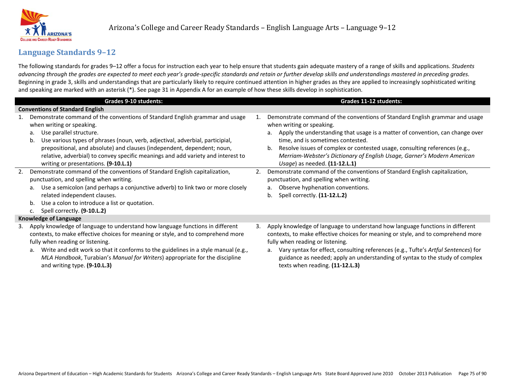

### **Language Standards 9–12**

The following standards for grades 9–12 offer <sup>a</sup> focus for instruction each year to help ensure that students gain adequate mastery of <sup>a</sup> range of skills and applications. *Students* advancing through the grades are expected to meet each year's grade-specific standards and retain or further develop skills and understandings mastered in preceding grades. Beginning in grade 3, skills and understandings that are particularly likely to require continued attention in higher grades as they are applied to increasingly sophisticated writing and speaking are marked with an asterisk (\*). See page 31 in Appendix A for an example of how these skills develop in sophistication.

|    | Grades 9-10 students:                                                                                                                                                                                                                                                                                                                                                                                                                    | Grades 11-12 students: |                                                                                                                                                                                                                                                                                                                                                                                                                                           |  |  |  |
|----|------------------------------------------------------------------------------------------------------------------------------------------------------------------------------------------------------------------------------------------------------------------------------------------------------------------------------------------------------------------------------------------------------------------------------------------|------------------------|-------------------------------------------------------------------------------------------------------------------------------------------------------------------------------------------------------------------------------------------------------------------------------------------------------------------------------------------------------------------------------------------------------------------------------------------|--|--|--|
|    | <b>Conventions of Standard English</b>                                                                                                                                                                                                                                                                                                                                                                                                   |                        |                                                                                                                                                                                                                                                                                                                                                                                                                                           |  |  |  |
|    | Demonstrate command of the conventions of Standard English grammar and usage<br>when writing or speaking.<br>Use parallel structure.<br>а.<br>Use various types of phrases (noun, verb, adjectival, adverbial, participial,<br>b.<br>prepositional, and absolute) and clauses (independent, dependent; noun,<br>relative, adverbial) to convey specific meanings and add variety and interest to<br>writing or presentations. (9-10.L.1) | 1.                     | Demonstrate command of the conventions of Standard English grammar and usage<br>when writing or speaking.<br>Apply the understanding that usage is a matter of convention, can change over<br>а.<br>time, and is sometimes contested.<br>Resolve issues of complex or contested usage, consulting references (e.g.,<br>b.<br>Merriam-Webster's Dictionary of English Usage, Garner's Modern American<br>$Usage)$ as needed. $(11-12.1.1)$ |  |  |  |
| 2. | Demonstrate command of the conventions of Standard English capitalization,<br>punctuation, and spelling when writing.<br>Use a semicolon (and perhaps a conjunctive adverb) to link two or more closely<br>a.<br>related independent clauses.<br>Use a colon to introduce a list or quotation.<br>b.<br>Spell correctly. (9-10.L.2)<br>c.                                                                                                |                        | Demonstrate command of the conventions of Standard English capitalization,<br>punctuation, and spelling when writing.<br>Observe hyphenation conventions.<br>а.<br>Spell correctly. (11-12.L.2)<br>b.                                                                                                                                                                                                                                     |  |  |  |
|    | <b>Knowledge of Language</b>                                                                                                                                                                                                                                                                                                                                                                                                             |                        |                                                                                                                                                                                                                                                                                                                                                                                                                                           |  |  |  |
|    | 3. Apply knowledge of language to understand how language functions in different<br>contexts, to make effective choices for meaning or style, and to comprehend more<br>fully when reading or listening.<br>Write and edit work so that it conforms to the guidelines in a style manual (e.g.,<br>а.<br>MLA Handbook, Turabian's Manual for Writers) appropriate for the discipline<br>and writing type. (9-10.L.3)                      | 3.                     | Apply knowledge of language to understand how language functions in different<br>contexts, to make effective choices for meaning or style, and to comprehend more<br>fully when reading or listening.<br>Vary syntax for effect, consulting references (e.g., Tufte's Artful Sentences) for<br>а.<br>guidance as needed; apply an understanding of syntax to the study of complex<br>texts when reading. (11-12.L.3)                      |  |  |  |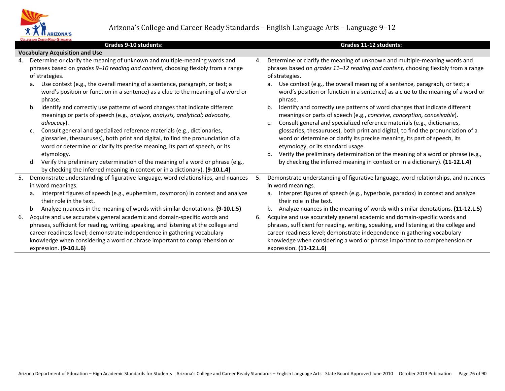

|    | <b>Grades 9-10 students:</b>                                                                                                                                                                                                                                                                                                                                                                                                                                                                                                                                                                                                                                                                                                                                                                                                                                                                                                                                                                | Grades 11-12 students: |                                                                                                                                                                                                                                                                                                                                                                                                                                                                                                                                                                                                                                                                                                                                                                                                                                                                                                                                                                                                                  |  |  |  |  |
|----|---------------------------------------------------------------------------------------------------------------------------------------------------------------------------------------------------------------------------------------------------------------------------------------------------------------------------------------------------------------------------------------------------------------------------------------------------------------------------------------------------------------------------------------------------------------------------------------------------------------------------------------------------------------------------------------------------------------------------------------------------------------------------------------------------------------------------------------------------------------------------------------------------------------------------------------------------------------------------------------------|------------------------|------------------------------------------------------------------------------------------------------------------------------------------------------------------------------------------------------------------------------------------------------------------------------------------------------------------------------------------------------------------------------------------------------------------------------------------------------------------------------------------------------------------------------------------------------------------------------------------------------------------------------------------------------------------------------------------------------------------------------------------------------------------------------------------------------------------------------------------------------------------------------------------------------------------------------------------------------------------------------------------------------------------|--|--|--|--|
|    | <b>Vocabulary Acquisition and Use</b>                                                                                                                                                                                                                                                                                                                                                                                                                                                                                                                                                                                                                                                                                                                                                                                                                                                                                                                                                       |                        |                                                                                                                                                                                                                                                                                                                                                                                                                                                                                                                                                                                                                                                                                                                                                                                                                                                                                                                                                                                                                  |  |  |  |  |
| 4. | Determine or clarify the meaning of unknown and multiple-meaning words and<br>phrases based on grades 9-10 reading and content, choosing flexibly from a range<br>of strategies.<br>Use context (e.g., the overall meaning of a sentence, paragraph, or text; a<br>а.<br>word's position or function in a sentence) as a clue to the meaning of a word or<br>phrase.<br>Identify and correctly use patterns of word changes that indicate different<br>b.<br>meanings or parts of speech (e.g., analyze, analysis, analytical; advocate,<br>advocacy).<br>Consult general and specialized reference materials (e.g., dictionaries,<br>c.<br>glossaries, thesauruses), both print and digital, to find the pronunciation of a<br>word or determine or clarify its precise meaning, its part of speech, or its<br>etymology.<br>Verify the preliminary determination of the meaning of a word or phrase (e.g.,<br>by checking the inferred meaning in context or in a dictionary). (9-10.L.4) | 4.                     | Determine or clarify the meaning of unknown and multiple-meaning words and<br>phrases based on grades 11-12 reading and content, choosing flexibly from a range<br>of strategies.<br>Use context (e.g., the overall meaning of a sentence, paragraph, or text; a<br>а.<br>word's position or function in a sentence) as a clue to the meaning of a word or<br>phrase.<br>Identify and correctly use patterns of word changes that indicate different<br>b.<br>meanings or parts of speech (e.g., conceive, conception, conceivable).<br>Consult general and specialized reference materials (e.g., dictionaries,<br>$\mathsf{C}$ .<br>glossaries, thesauruses), both print and digital, to find the pronunciation of a<br>word or determine or clarify its precise meaning, its part of speech, its<br>etymology, or its standard usage.<br>Verify the preliminary determination of the meaning of a word or phrase (e.g.,<br>d.<br>by checking the inferred meaning in context or in a dictionary). (11-12.L.4) |  |  |  |  |
| 5. | Demonstrate understanding of figurative language, word relationships, and nuances<br>in word meanings.                                                                                                                                                                                                                                                                                                                                                                                                                                                                                                                                                                                                                                                                                                                                                                                                                                                                                      | 5.                     | Demonstrate understanding of figurative language, word relationships, and nuances<br>in word meanings.                                                                                                                                                                                                                                                                                                                                                                                                                                                                                                                                                                                                                                                                                                                                                                                                                                                                                                           |  |  |  |  |
|    | Interpret figures of speech (e.g., euphemism, oxymoron) in context and analyze<br>а.<br>their role in the text.<br>b. Analyze nuances in the meaning of words with similar denotations. (9-10.L.5)                                                                                                                                                                                                                                                                                                                                                                                                                                                                                                                                                                                                                                                                                                                                                                                          |                        | Interpret figures of speech (e.g., hyperbole, paradox) in context and analyze<br>а.<br>their role in the text.<br>Analyze nuances in the meaning of words with similar denotations. (11-12.L.5)<br>b.                                                                                                                                                                                                                                                                                                                                                                                                                                                                                                                                                                                                                                                                                                                                                                                                            |  |  |  |  |
| 6. | Acquire and use accurately general academic and domain-specific words and<br>phrases, sufficient for reading, writing, speaking, and listening at the college and<br>career readiness level; demonstrate independence in gathering vocabulary<br>knowledge when considering a word or phrase important to comprehension or<br>expression. (9-10.L.6)                                                                                                                                                                                                                                                                                                                                                                                                                                                                                                                                                                                                                                        | 6.                     | Acquire and use accurately general academic and domain-specific words and<br>phrases, sufficient for reading, writing, speaking, and listening at the college and<br>career readiness level; demonstrate independence in gathering vocabulary<br>knowledge when considering a word or phrase important to comprehension or<br>expression. (11-12.L.6)                                                                                                                                                                                                                                                                                                                                                                                                                                                                                                                                                                                                                                                            |  |  |  |  |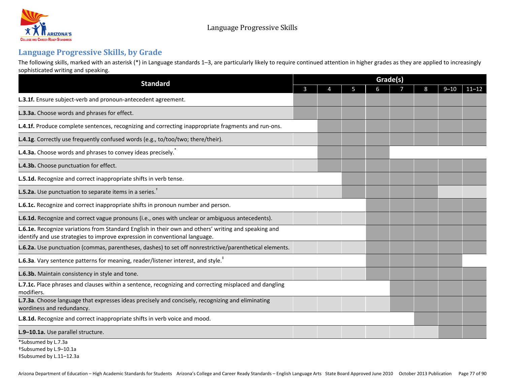

### **Language Progressive Skills, by Grade**

The following skills, marked with an asterisk (\*) in Language standards 1–3, are particularly likely to require continued attention in higher grades as they are applied to increasingly sophisticated writing and speaking.

| <b>Standard</b>                                                                                                                                                                     |    |    |   | Grade(s) |   |          |           |
|-------------------------------------------------------------------------------------------------------------------------------------------------------------------------------------|----|----|---|----------|---|----------|-----------|
|                                                                                                                                                                                     | 3. | 5. | 6 | 7        | 8 | $9 - 10$ | $11 - 12$ |
| L.3.1f. Ensure subject-verb and pronoun-antecedent agreement.                                                                                                                       |    |    |   |          |   |          |           |
| L.3.3a. Choose words and phrases for effect.                                                                                                                                        |    |    |   |          |   |          |           |
| L.4.1f. Produce complete sentences, recognizing and correcting inappropriate fragments and run-ons.                                                                                 |    |    |   |          |   |          |           |
| L.4.1g. Correctly use frequently confused words (e.g., to/too/two; there/their).                                                                                                    |    |    |   |          |   |          |           |
| L.4.3a. Choose words and phrases to convey ideas precisely.                                                                                                                         |    |    |   |          |   |          |           |
| L.4.3b. Choose punctuation for effect.                                                                                                                                              |    |    |   |          |   |          |           |
| L.5.1d. Recognize and correct inappropriate shifts in verb tense.                                                                                                                   |    |    |   |          |   |          |           |
| <b>L.5.2a.</b> Use punctuation to separate items in a series. <sup>†</sup>                                                                                                          |    |    |   |          |   |          |           |
| L.6.1c. Recognize and correct inappropriate shifts in pronoun number and person.                                                                                                    |    |    |   |          |   |          |           |
| L.6.1d. Recognize and correct vague pronouns (i.e., ones with unclear or ambiguous antecedents).                                                                                    |    |    |   |          |   |          |           |
| L.6.1e. Recognize variations from Standard English in their own and others' writing and speaking and<br>identify and use strategies to improve expression in conventional language. |    |    |   |          |   |          |           |
| L.6.2a. Use punctuation (commas, parentheses, dashes) to set off nonrestrictive/parenthetical elements.                                                                             |    |    |   |          |   |          |           |
| L.6.3a. Vary sentence patterns for meaning, reader/listener interest, and style. <sup>†</sup>                                                                                       |    |    |   |          |   |          |           |
| L.6.3b. Maintain consistency in style and tone.                                                                                                                                     |    |    |   |          |   |          |           |
| L.7.1c. Place phrases and clauses within a sentence, recognizing and correcting misplaced and dangling<br>modifiers.                                                                |    |    |   |          |   |          |           |
| L.7.3a. Choose language that expresses ideas precisely and concisely, recognizing and eliminating<br>wordiness and redundancy.                                                      |    |    |   |          |   |          |           |
| L.8.1d. Recognize and correct inappropriate shifts in verb voice and mood.                                                                                                          |    |    |   |          |   |          |           |
| L.9-10.1a. Use parallel structure.                                                                                                                                                  |    |    |   |          |   |          |           |
| $*$ Subsumed by $\overline{1}$ 7.32                                                                                                                                                 |    |    |   |          |   |          |           |

\*Subsumed by L.7.3a †Subsumed by L.9–10.1a ‡Subsumed by L.11–12.3a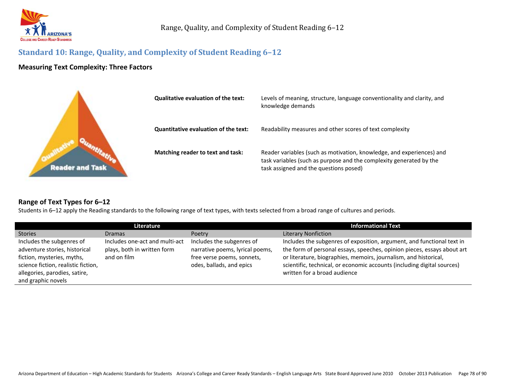

### **Standard 10: Range, Quality, and Complexity of Student Reading 6–12**

### **Measuring Text Complexity: Three Factors**



### **Range of Text Types for 6–12**

Students in 6–12 apply the Reading standards to the following range of text types, with texts selected from <sup>a</sup> broad range of cultures and periods.

|                                     | Literature                     |                                 | <b>Informational Text</b>                                               |
|-------------------------------------|--------------------------------|---------------------------------|-------------------------------------------------------------------------|
| <b>Stories</b>                      | <b>Dramas</b>                  | Poetry                          | <b>Literary Nonfiction</b>                                              |
| Includes the subgenres of           | Includes one-act and multi-act | Includes the subgenres of       | Includes the subgenres of exposition, argument, and functional text in  |
| adventure stories, historical       | plays, both in written form    | narrative poems, lyrical poems, | the form of personal essays, speeches, opinion pieces, essays about art |
| fiction, mysteries, myths,          | and on film                    | free verse poems, sonnets,      | or literature, biographies, memoirs, journalism, and historical,        |
| science fiction, realistic fiction, |                                | odes, ballads, and epics        | scientific, technical, or economic accounts (including digital sources) |
| allegories, parodies, satire,       |                                |                                 | written for a broad audience                                            |
| and graphic novels                  |                                |                                 |                                                                         |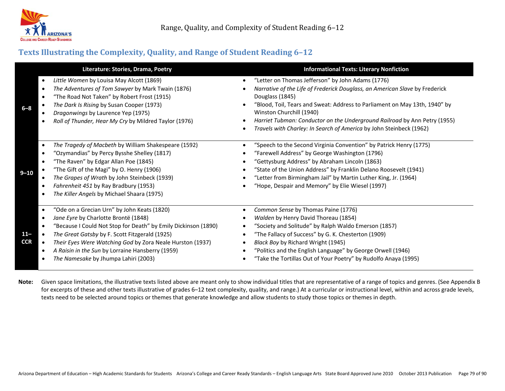

## **Texts Illustrating the Complexity, Quality, and Range of Student Reading 6–12**

|                                                                                      | Literature: Stories, Drama, Poetry                                                                                                                                                                                                                                                                                                                                                                                                                                                                                                                                             |                 | <b>Informational Texts: Literary Nonfiction</b>                                                                                                                                                                                                                                                                                                                                                                                                                                                                                                                                                                                                                                                                                                                     |
|--------------------------------------------------------------------------------------|--------------------------------------------------------------------------------------------------------------------------------------------------------------------------------------------------------------------------------------------------------------------------------------------------------------------------------------------------------------------------------------------------------------------------------------------------------------------------------------------------------------------------------------------------------------------------------|-----------------|---------------------------------------------------------------------------------------------------------------------------------------------------------------------------------------------------------------------------------------------------------------------------------------------------------------------------------------------------------------------------------------------------------------------------------------------------------------------------------------------------------------------------------------------------------------------------------------------------------------------------------------------------------------------------------------------------------------------------------------------------------------------|
| $\bullet$<br>$\bullet$<br>$\bullet$<br>$6 - 8$<br>$\bullet$<br>$\bullet$<br>$9 - 10$ | Little Women by Louisa May Alcott (1869)<br>The Adventures of Tom Sawyer by Mark Twain (1876)<br>"The Road Not Taken" by Robert Frost (1915)<br>The Dark Is Rising by Susan Cooper (1973)<br>Dragonwings by Laurence Yep (1975)<br>Roll of Thunder, Hear My Cry by Mildred Taylor (1976)<br>The Tragedy of Macbeth by William Shakespeare (1592)<br>"Ozymandias" by Percy Bysshe Shelley (1817)<br>"The Raven" by Edgar Allan Poe (1845)<br>"The Gift of the Magi" by O. Henry (1906)<br>The Grapes of Wrath by John Steinbeck (1939)<br>Fahrenheit 451 by Ray Bradbury (1953) | Douglass (1845) | "Letter on Thomas Jefferson" by John Adams (1776)<br>Narrative of the Life of Frederick Douglass, an American Slave by Frederick<br>"Blood, Toil, Tears and Sweat: Address to Parliament on May 13th, 1940" by<br>Winston Churchill (1940)<br>Harriet Tubman: Conductor on the Underground Railroad by Ann Petry (1955)<br>Travels with Charley: In Search of America by John Steinbeck (1962)<br>"Speech to the Second Virginia Convention" by Patrick Henry (1775)<br>"Farewell Address" by George Washington (1796)<br>"Gettysburg Address" by Abraham Lincoln (1863)<br>"State of the Union Address" by Franklin Delano Roosevelt (1941)<br>"Letter from Birmingham Jail" by Martin Luther King, Jr. (1964)<br>"Hope, Despair and Memory" by Elie Wiesel (1997) |
| $\bullet$<br>$\bullet$<br>$11 -$<br><b>CCR</b>                                       | The Killer Angels by Michael Shaara (1975)<br>"Ode on a Grecian Urn" by John Keats (1820)<br>Jane Eyre by Charlotte Brontë (1848)<br>"Because I Could Not Stop for Death" by Emily Dickinson (1890)<br>The Great Gatsby by F. Scott Fitzgerald (1925)<br>Their Eyes Were Watching God by Zora Neale Hurston (1937)<br>A Raisin in the Sun by Lorraine Hansberry (1959)<br>The Namesake by Jhumpa Lahiri (2003)                                                                                                                                                                 |                 | Common Sense by Thomas Paine (1776)<br>Walden by Henry David Thoreau (1854)<br>"Society and Solitude" by Ralph Waldo Emerson (1857)<br>"The Fallacy of Success" by G. K. Chesterton (1909)<br>Black Boy by Richard Wright (1945)<br>"Politics and the English Language" by George Orwell (1946)<br>"Take the Tortillas Out of Your Poetry" by Rudolfo Anaya (1995)                                                                                                                                                                                                                                                                                                                                                                                                  |

**Note:**: Given space limitations, the illustrative texts listed above are meant only to show individual titles that are representative of a range of topics and genres. (See Appendix B for excerpts of these and other texts illustrative of grades 6–12 text complexity, quality, and range.) At <sup>a</sup> curricular or instructional level, within and across grade levels, texts need to be selected around topics or themes that generate knowledge and allow students to study those topics or themes in depth.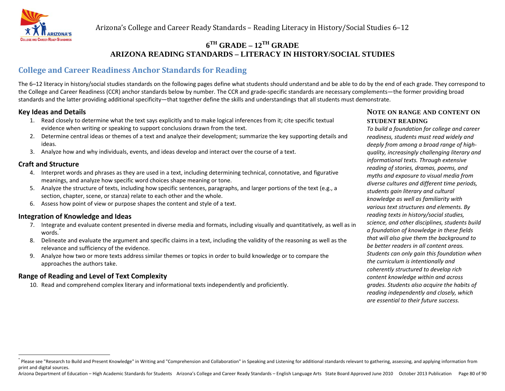

## $6^{TH}$  GRADE –  $12^{TH}$  GRADE **ARIZONA READING STANDARDS – LITERACY IN HISTORY/SOCIAL STUDIES**

## **College and Career Readiness Anchor Standards for Reading**

The 6–12 literacy in history/social studies standards on the following pages define what students should understand and be able to do by the end of each grade. They correspond to the College and Career Readiness (CCR) anchor standards below by number. The CCR and grade‐specific standards are necessary complements—the former providing broad standards and the latter providing additional specificity—that together define the skills and understandings that all students must demonstrate.

#### **Key Ideas and Details**

- 1. Read closely to determine what the text says explicitly and to make logical inferences from it; cite specific textual evidence when writing or speaking to support conclusions drawn from the text.
- 2. Determine central ideas or themes of <sup>a</sup> text and analyze their development; summarize the key supporting details and ideas.
- 3. Analyze how and why individuals, events, and ideas develop and interact over the course of <sup>a</sup> text.

#### **Craft and Structure**

- 4. Interpret words and phrases as they are used in <sup>a</sup> text, including determining technical, connotative, and figurative meanings, and analyze how specific word choices shape meaning or tone.
- 5. Analyze the structure of texts, including how specific sentences, paragraphs, and larger portions of the text (e.g., <sup>a</sup> section, chapter, scene, or stanza) relate to each other and the whole.
- 6. Assess how point of view or purpose shapes the content and style of <sup>a</sup> text.

#### **Integration of Knowledge and Ideas**

- 7. Integrate and evaluate content presented in diverse media and formats, including visually and quantitatively, as well as in words.\*
- 8. Delineate and evaluate the argument and specific claims in <sup>a</sup> text, including the validity of the reasoning as well as the relevance and sufficiency of the evidence.
- 9. Analyze how two or more texts address similar themes or topics in order to build knowledge or to compare the approaches the authors take.

### **Range of Reading and Level of Text Complexity**

10. Read and comprehend complex literary and informational texts independently and proficiently.

#### **NOTE ON RANGE AND CONTENT ON STUDENT READING**

*To build <sup>a</sup> foundation for college and career readiness, students must read widely and deeply from among <sup>a</sup> broad range of high‐ quality, increasingly challenging literary and informational texts. Through extensive reading of stories, dramas, poems, and myths and exposure to visual media from diverse cultures and different time periods, students gain literary and cultural knowledge as well as familiarity with various text structures and elements. By reading texts in history/social studies, science, and other disciplines, students build a foundation of knowledge in these fields that will also give them the background to be better readers in all content areas. Students can only gain this foundation when the curriculum is intentionally and coherently structured to develop rich content knowledge within and across grades. Students also acquire the habits of reading independently and closely, which are essential to their future success.*

<sup>\*</sup> Please see "Research to Build and Present Knowledge" in Writing and "Comprehension and Collaboration" in Speaking and Listening for additional standards relevant to gathering, assessing, and applying information from print and digital sources.

Arizona Department of Education – High Academic Standards for Students Arizona's College and Career Ready Standards – English Language Arts State Board Approved June 2010 October 2013 Publication Page 80 of 90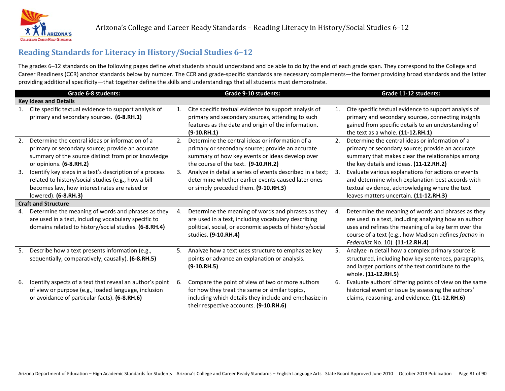

## **Reading Standards for Literacy in History/Social Studies 6–12**

The grades 6–12 standards on the following pages define what students should understand and be able to do by the end of each grade span. They correspond to the College and Career Readiness (CCR) anchor standards below by number. The CCR and grade‐specific standards are necessary complements—the former providing broad standards and the latter providing additional specificity—that together define the skills and understandings that all students must demonstrate.

| <b>Grade 6-8 students:</b> |                                                                                                                                                                                         |    | Grade 9-10 students:                                                                                                                                                                                  | Grade 11-12 students: |                                                                                                                                                                                                                                                                  |  |  |
|----------------------------|-----------------------------------------------------------------------------------------------------------------------------------------------------------------------------------------|----|-------------------------------------------------------------------------------------------------------------------------------------------------------------------------------------------------------|-----------------------|------------------------------------------------------------------------------------------------------------------------------------------------------------------------------------------------------------------------------------------------------------------|--|--|
|                            | <b>Key Ideas and Details</b>                                                                                                                                                            |    |                                                                                                                                                                                                       |                       |                                                                                                                                                                                                                                                                  |  |  |
| 1.                         | Cite specific textual evidence to support analysis of<br>primary and secondary sources. (6-8.RH.1)                                                                                      | 1. | Cite specific textual evidence to support analysis of<br>primary and secondary sources, attending to such<br>features as the date and origin of the information.<br>$(9-10.RH.1)$                     | 1.                    | Cite specific textual evidence to support analysis of<br>primary and secondary sources, connecting insights<br>gained from specific details to an understanding of<br>the text as a whole. $(11-12.RH.1)$                                                        |  |  |
| 2.                         | Determine the central ideas or information of a<br>primary or secondary source; provide an accurate<br>summary of the source distinct from prior knowledge<br>or opinions. (6-8.RH.2)   | 2. | Determine the central ideas or information of a<br>primary or secondary source; provide an accurate<br>summary of how key events or ideas develop over<br>the course of the text. (9-10.RH.2)         | 2.                    | Determine the central ideas or information of a<br>primary or secondary source; provide an accurate<br>summary that makes clear the relationships among<br>the key details and ideas. (11-12.RH.2)                                                               |  |  |
|                            | Identify key steps in a text's description of a process<br>related to history/social studies (e.g., how a bill<br>becomes law, how interest rates are raised or<br>lowered). (6-8.RH.3) | 3. | Analyze in detail a series of events described in a text;<br>determine whether earlier events caused later ones<br>or simply preceded them. (9-10.RH.3)                                               |                       | Evaluate various explanations for actions or events<br>and determine which explanation best accords with<br>textual evidence, acknowledging where the text<br>leaves matters uncertain. (11-12.RH.3)                                                             |  |  |
|                            | <b>Craft and Structure</b>                                                                                                                                                              |    |                                                                                                                                                                                                       |                       |                                                                                                                                                                                                                                                                  |  |  |
| 4.                         | Determine the meaning of words and phrases as they<br>are used in a text, including vocabulary specific to<br>domains related to history/social studies. (6-8.RH.4)                     | 4. | Determine the meaning of words and phrases as they<br>are used in a text, including vocabulary describing<br>political, social, or economic aspects of history/social<br>studies. (9-10.RH.4)         | 4.                    | Determine the meaning of words and phrases as they<br>are used in a text, including analyzing how an author<br>uses and refines the meaning of a key term over the<br>course of a text (e.g., how Madison defines faction in<br>Federalist No. 10). (11-12.RH.4) |  |  |
| 5.                         | Describe how a text presents information (e.g.,<br>sequentially, comparatively, causally). (6-8.RH.5)                                                                                   | 5. | Analyze how a text uses structure to emphasize key<br>points or advance an explanation or analysis.<br>$(9-10.RH.5)$                                                                                  | 5.                    | Analyze in detail how a complex primary source is<br>structured, including how key sentences, paragraphs,<br>and larger portions of the text contribute to the<br>whole. (11-12.RH.5)                                                                            |  |  |
| 6.                         | Identify aspects of a text that reveal an author's point<br>of view or purpose (e.g., loaded language, inclusion<br>or avoidance of particular facts). (6-8.RH.6)                       | 6. | Compare the point of view of two or more authors<br>for how they treat the same or similar topics,<br>including which details they include and emphasize in<br>their respective accounts. (9-10.RH.6) | 6.                    | Evaluate authors' differing points of view on the same<br>historical event or issue by assessing the authors'<br>claims, reasoning, and evidence. (11-12.RH.6)                                                                                                   |  |  |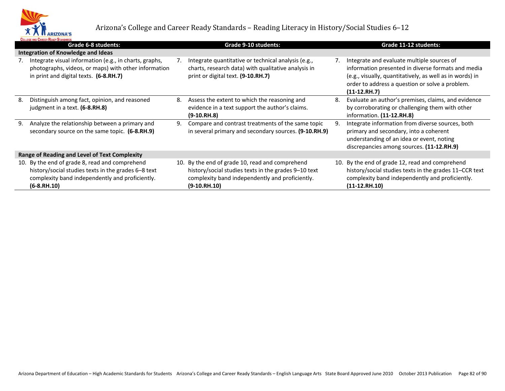

# Arizona's College and Career Ready Standards - Reading Literacy in History/Social Studies 6-12

|    | <b><i>GULLEGE AND GAREER INEADT STANDARD</i></b><br>Grade 6-8 students:                                                                                                   |    | Grade 9-10 students:                                                                                                                                                         |    | Grade 11-12 students:                                                                                                                                                                                                             |
|----|---------------------------------------------------------------------------------------------------------------------------------------------------------------------------|----|------------------------------------------------------------------------------------------------------------------------------------------------------------------------------|----|-----------------------------------------------------------------------------------------------------------------------------------------------------------------------------------------------------------------------------------|
|    | Integration of Knowledge and Ideas                                                                                                                                        |    |                                                                                                                                                                              |    |                                                                                                                                                                                                                                   |
|    | 7. Integrate visual information (e.g., in charts, graphs,<br>photographs, videos, or maps) with other information<br>in print and digital texts. (6-8.RH.7)               |    | Integrate quantitative or technical analysis (e.g.,<br>charts, research data) with qualitative analysis in<br>print or digital text. (9-10.RH.7)                             |    | Integrate and evaluate multiple sources of<br>information presented in diverse formats and media<br>(e.g., visually, quantitatively, as well as in words) in<br>order to address a question or solve a problem.<br>$(11-12.RH.7)$ |
| 8. | Distinguish among fact, opinion, and reasoned<br>judgment in a text. (6-8.RH.8)                                                                                           | 8. | Assess the extent to which the reasoning and<br>evidence in a text support the author's claims.<br>$(9-10.RH.8)$                                                             | 8. | Evaluate an author's premises, claims, and evidence<br>by corroborating or challenging them with other<br>information. (11-12.RH.8)                                                                                               |
| 9. | Analyze the relationship between a primary and<br>secondary source on the same topic. (6-8.RH.9)                                                                          | 9. | Compare and contrast treatments of the same topic<br>in several primary and secondary sources. (9-10.RH.9)                                                                   | 9  | Integrate information from diverse sources, both<br>primary and secondary, into a coherent<br>understanding of an idea or event, noting<br>discrepancies among sources. (11-12.RH.9)                                              |
|    | <b>Range of Reading and Level of Text Complexity</b>                                                                                                                      |    |                                                                                                                                                                              |    |                                                                                                                                                                                                                                   |
|    | 10. By the end of grade 8, read and comprehend<br>history/social studies texts in the grades 6-8 text<br>complexity band independently and proficiently.<br>$(6-8.RH.10)$ |    | 10. By the end of grade 10, read and comprehend<br>history/social studies texts in the grades 9-10 text<br>complexity band independently and proficiently.<br>$(9-10.RH.10)$ |    | 10. By the end of grade 12, read and comprehend<br>history/social studies texts in the grades 11-CCR text<br>complexity band independently and proficiently.<br>$(11-12.RH.10)$                                                   |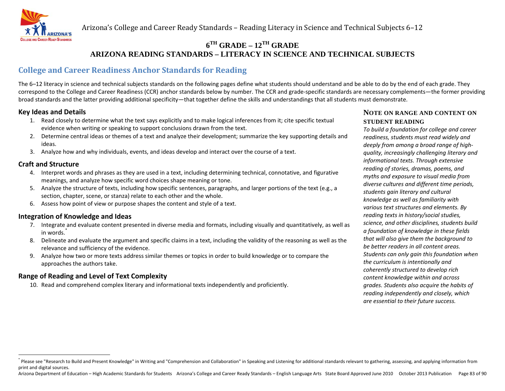

## $6^{TH}$  GRADE –  $12^{TH}$  GRADE **ARIZONA READING STANDARDS – LITERACY IN SCIENCE AND TECHNICAL SUBJECTS**

### **College and Career Readiness Anchor Standards for Reading**

The 6–12 literacy in science and technical subjects standards on the following pages define what students should understand and be able to do by the end of each grade. They correspond to the College and Career Readiness (CCR) anchor standards below by number. The CCR and grade-specific standards are necessary complements—the former providing broad standards and the latter providing additional specificity—that together define the skills and understandings that all students must demonstrate.

#### **Key Ideas and Details**

- 1. Read closely to determine what the text says explicitly and to make logical inferences from it; cite specific textual evidence when writing or speaking to support conclusions drawn from the text.
- 2. Determine central ideas or themes of <sup>a</sup> text and analyze their development; summarize the key supporting details and ideas.
- 3. Analyze how and why individuals, events, and ideas develop and interact over the course of <sup>a</sup> text.

#### **Craft and Structure**

- 4. Interpret words and phrases as they are used in <sup>a</sup> text, including determining technical, connotative, and figurative meanings, and analyze how specific word choices shape meaning or tone.
- 5. Analyze the structure of texts, including how specific sentences, paragraphs, and larger portions of the text (e.g., <sup>a</sup> section, chapter, scene, or stanza) relate to each other and the whole.
- 6. Assess how point of view or purpose shapes the content and style of <sup>a</sup> text.

#### **Integration of Knowledge and Ideas**

- 7. Integrate and evaluate content presented in diverse media and formats, including visually and quantitatively, as well as in words. \*
- 8. Delineate and evaluate the argument and specific claims in <sup>a</sup> text, including the validity of the reasoning as well as the relevance and sufficiency of the evidence.
- 9. Analyze how two or more texts address similar themes or topics in order to build knowledge or to compare the approaches the authors take.

### **Range of Reading and Level of Text Complexity**

10. Read and comprehend complex literary and informational texts independently and proficiently.

#### **NOTE ON RANGE AND CONTENT ON STUDENT READING**

*To build <sup>a</sup> foundation for college and career readiness, students must read widely and deeply from among <sup>a</sup> broad range of high‐ quality, increasingly challenging literary and informational texts. Through extensive reading of stories, dramas, poems, and myths and exposure to visual media from diverse cultures and different time periods, students gain literary and cultural knowledge as well as familiarity with various text structures and elements. By reading texts in history/social studies, science, and other disciplines, students build a foundation of knowledge in these fields that will also give them the background to be better readers in all content areas. Students can only gain this foundation when the curriculum is intentionally and coherently structured to develop rich content knowledge within and across grades. Students also acquire the habits of reading independently and closely, which are essential to their future success.*

<sup>\*</sup> Please see "Research to Build and Present Knowledge" in Writing and "Comprehension and Collaboration" in Speaking and Listening for additional standards relevant to gathering, assessing, and applying information from print and digital sources.

Arizona Department of Education – High Academic Standards for Students Arizona's College and Career Ready Standards – English Language Arts State Board Approved June 2010 October 2013 Publication Page 83 of 90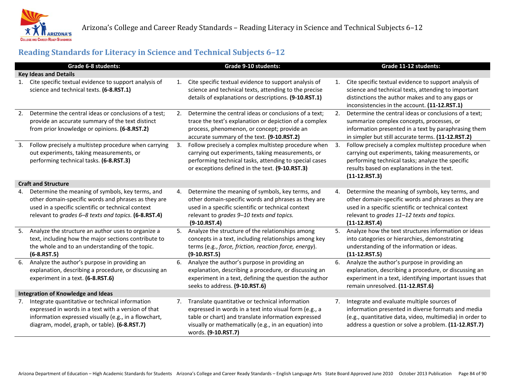

## **Reading Standards for Literacy in Science and Technical Subjects 6–12**

|    | <b>Grade 6-8 students:</b>                                                                                                                                                                                            |    | <b>Grade 9-10 students:</b>                                                                                                                                                                                                                          | Grade 11-12 students:     |                                                                                                                                                                                                                                |  |
|----|-----------------------------------------------------------------------------------------------------------------------------------------------------------------------------------------------------------------------|----|------------------------------------------------------------------------------------------------------------------------------------------------------------------------------------------------------------------------------------------------------|---------------------------|--------------------------------------------------------------------------------------------------------------------------------------------------------------------------------------------------------------------------------|--|
|    | <b>Key Ideas and Details</b>                                                                                                                                                                                          |    |                                                                                                                                                                                                                                                      |                           |                                                                                                                                                                                                                                |  |
|    | 1. Cite specific textual evidence to support analysis of<br>science and technical texts. (6-8.RST.1)                                                                                                                  | 1. | Cite specific textual evidence to support analysis of<br>science and technical texts, attending to the precise<br>details of explanations or descriptions. (9-10.RST.1)                                                                              | 1.                        | Cite specific textual evidence to support analysis of<br>science and technical texts, attending to important<br>distinctions the author makes and to any gaps or<br>inconsistencies in the account. (11-12.RST.1)              |  |
| 2. | Determine the central ideas or conclusions of a test;<br>provide an accurate summary of the text distinct<br>from prior knowledge or opinions. (6-8.RST.2)                                                            |    | 2. Determine the central ideas or conclusions of a text;<br>trace the text's explanation or depiction of a complex<br>process, phenomenon, or concept; provide an<br>accurate summary of the text. (9-10.RST.2)                                      | 2.                        | Determine the central ideas or conclusions of a text;<br>summarize complex concepts, processes, or<br>information presented in a text by paraphrasing them<br>in simpler but still accurate terms. (11-12.RST.2)               |  |
| 3. | Follow precisely a multistep procedure when carrying<br>out experiments, taking measurements, or<br>performing technical tasks. (6-8.RST.3)                                                                           | 3. | Follow precisely a complex multistep procedure when<br>carrying out experiments, taking measurements, or<br>performing technical tasks, attending to special cases<br>or exceptions defined in the text. (9-10.RST.3)                                | $\overline{\mathbf{3}}$ . | Follow precisely a complex multistep procedure when<br>carrying out experiments, taking measurements, or<br>performing technical tasks; analyze the specific<br>results based on explanations in the text.<br>$(11-12.RST.3)$  |  |
|    | <b>Craft and Structure</b>                                                                                                                                                                                            |    |                                                                                                                                                                                                                                                      |                           |                                                                                                                                                                                                                                |  |
| 4. | Determine the meaning of symbols, key terms, and<br>other domain-specific words and phrases as they are<br>used in a specific scientific or technical context<br>relevant to grades 6-8 texts and topics. (6-8.RST.4) | 4. | Determine the meaning of symbols, key terms, and<br>other domain-specific words and phrases as they are<br>used in a specific scientific or technical context<br>relevant to grades 9-10 texts and topics.<br>$(9-10. RST.4)$                        | 4.                        | Determine the meaning of symbols, key terms, and<br>other domain-specific words and phrases as they are<br>used in a specific scientific or technical context<br>relevant to grades 11-12 texts and topics.<br>$(11-12.RST.4)$ |  |
|    | 5. Analyze the structure an author uses to organize a<br>text, including how the major sections contribute to<br>the whole and to an understanding of the topic.<br>$(6-8. RST.5)$                                    |    | 5. Analyze the structure of the relationships among<br>concepts in a text, including relationships among key<br>terms (e.g., force, friction, reaction force, energy).<br>$(9-10. RST.5)$                                                            |                           | 5. Analyze how the text structures information or ideas<br>into categories or hierarchies, demonstrating<br>understanding of the information or ideas.<br>$(11-12. RST.5)$                                                     |  |
|    | 6. Analyze the author's purpose in providing an<br>explanation, describing a procedure, or discussing an<br>experiment in a text. (6-8.RST.6)                                                                         |    | 6. Analyze the author's purpose in providing an<br>explanation, describing a procedure, or discussing an<br>experiment in a text, defining the question the author<br>seeks to address. (9-10.RST.6)                                                 | 6.                        | Analyze the author's purpose in providing an<br>explanation, describing a procedure, or discussing an<br>experiment in a text, identifying important issues that<br>remain unresolved. (11-12.RST.6)                           |  |
|    | <b>Integration of Knowledge and Ideas</b>                                                                                                                                                                             |    |                                                                                                                                                                                                                                                      |                           |                                                                                                                                                                                                                                |  |
|    | 7. Integrate quantitative or technical information<br>expressed in words in a text with a version of that<br>information expressed visually (e.g., in a flowchart,<br>diagram, model, graph, or table). (6-8.RST.7)   |    | 7. Translate quantitative or technical information<br>expressed in words in a text into visual form (e.g., a<br>table or chart) and translate information expressed<br>visually or mathematically (e.g., in an equation) into<br>words. (9-10.RST.7) | 7.                        | Integrate and evaluate multiple sources of<br>information presented in diverse formats and media<br>(e.g., quantitative data, video, multimedia) in order to<br>address a question or solve a problem. (11-12.RST.7)           |  |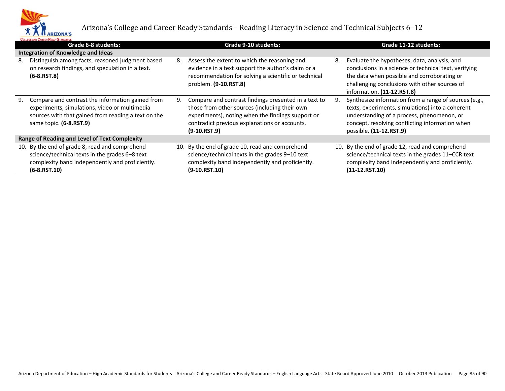

## Arizona's College and Career Ready Standards - Reading Literacy in Science and Technical Subjects 6-12

| <b>UULLEGE AND UAREER FLEADT JIANDARD</b><br>Grade 6-8 students: |                                                                                                                                                                                     |    | Grade 9-10 students:                                                                                                                                                                                                           |    | Grade 11-12 students:                                                                                                                                                                                                                 |
|------------------------------------------------------------------|-------------------------------------------------------------------------------------------------------------------------------------------------------------------------------------|----|--------------------------------------------------------------------------------------------------------------------------------------------------------------------------------------------------------------------------------|----|---------------------------------------------------------------------------------------------------------------------------------------------------------------------------------------------------------------------------------------|
|                                                                  | Integration of Knowledge and Ideas                                                                                                                                                  |    |                                                                                                                                                                                                                                |    |                                                                                                                                                                                                                                       |
| 8.                                                               | Distinguish among facts, reasoned judgment based<br>on research findings, and speculation in a text.<br>$(6-8.RST.8)$                                                               | 8. | Assess the extent to which the reasoning and<br>evidence in a text support the author's claim or a<br>recommendation for solving a scientific or technical<br>problem. (9-10.RST.8)                                            | 8. | Evaluate the hypotheses, data, analysis, and<br>conclusions in a science or technical text, verifying<br>the data when possible and corroborating or<br>challenging conclusions with other sources of<br>information. (11-12.RST.8)   |
| 9.                                                               | Compare and contrast the information gained from<br>experiments, simulations, video or multimedia<br>sources with that gained from reading a text on the<br>same topic. (6-8.RST.9) | 9. | Compare and contrast findings presented in a text to<br>those from other sources (including their own<br>experiments), noting when the findings support or<br>contradict previous explanations or accounts.<br>$(9-10. RST.9)$ | 9. | Synthesize information from a range of sources (e.g.,<br>texts, experiments, simulations) into a coherent<br>understanding of a process, phenomenon, or<br>concept, resolving conflicting information when<br>possible. (11-12.RST.9) |
|                                                                  | <b>Range of Reading and Level of Text Complexity</b>                                                                                                                                |    |                                                                                                                                                                                                                                |    |                                                                                                                                                                                                                                       |
|                                                                  | 10. By the end of grade 8, read and comprehend<br>science/technical texts in the grades 6-8 text<br>complexity band independently and proficiently.<br>$(6-8.RST.10)$               |    | 10. By the end of grade 10, read and comprehend<br>science/technical texts in the grades 9-10 text<br>complexity band independently and proficiently.<br>$(9-10. RST.10)$                                                      |    | 10. By the end of grade 12, read and comprehend<br>science/technical texts in the grades 11–CCR text<br>complexity band independently and proficiently.<br>$(11-12.RST.10)$                                                           |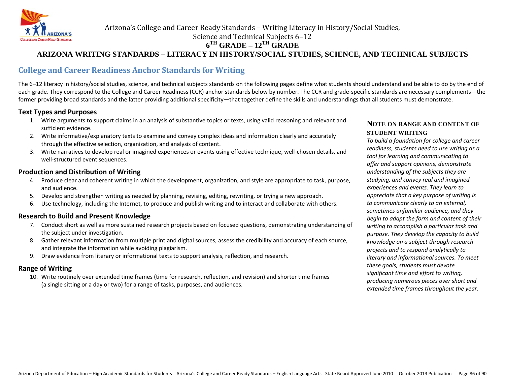

### **ARIZONA WRITING STANDARDS – LITERACY IN HISTORY/SOCIAL STUDIES, SCIENCE, AND TECHNICAL SUBJECTS**

### **College and Career Readiness Anchor Standards for Writing**

The 6–12 literacy in history/social studies, science, and technical subjects standards on the following pages define what students should understand and be able to do by the end of each grade. They correspond to the College and Career Readiness (CCR) anchor standards below by number. The CCR and grade-specific standards are necessary complements—the former providing broad standards and the latter providing additional specificity—that together define the skills and understandings that all students must demonstrate.

#### **Text Types and Purposes**

- 1. Write arguments to support claims in an analysis of substantive topics or texts, using valid reasoning and relevant and sufficient evidence.
- 2. Write informative/explanatory texts to examine and convey complex ideas and information clearly and accurately through the effective selection, organization, and analysis of content.
- 3. Write narratives to develop real or imagined experiences or events using effective technique, well‐chosen details, and well‐structured event sequences.

#### **Production and Distribution of Writing**

- 4. Produce clear and coherent writing in which the development, organization, and style are appropriate to task, purpose, and audience.
- 5. Develop and strengthen writing as needed by planning, revising, editing, rewriting, or trying <sup>a</sup> new approach.
- 6. Use technology, including the Internet, to produce and publish writing and to interact and collaborate with others.

#### **Research to Build and Present Knowledge**

- 7. Conduct short as well as more sustained research projects based on focused questions, demonstrating understanding of the subject under investigation.
- 8. Gather relevant information from multiple print and digital sources, assess the credibility and accuracy of each source, and integrate the information while avoiding plagiarism.
- 9. Draw evidence from literary or informational texts to support analysis, reflection, and research.

#### **Range of Writing**

10. Write routinely over extended time frames (time for research, reflection, and revision) and shorter time frames (a single sitting or <sup>a</sup> day or two) for <sup>a</sup> range of tasks, purposes, and audiences.

### **NOTE ON RANGE AND CONTENT OF STUDENT WRITING**

*To build <sup>a</sup> foundation for college and career readiness, students need to use writing as <sup>a</sup> tool for learning and communicating to offer and support opinions, demonstrate understanding of the subjects they are studying, and convey real and imagined experiences and events. They learn to appreciate that <sup>a</sup> key purpose of writing is to communicate clearly to an external, sometimes unfamiliar audience, and they begin to adapt the form and content of their writing to accomplish <sup>a</sup> particular task and purpose. They develop the capacity to build knowledge on <sup>a</sup> subject through research projects and to respond analytically to literary and informational sources. To meet these goals, students must devote significant time and effort to writing, producing numerous pieces over short and extended time frames throughout the year.*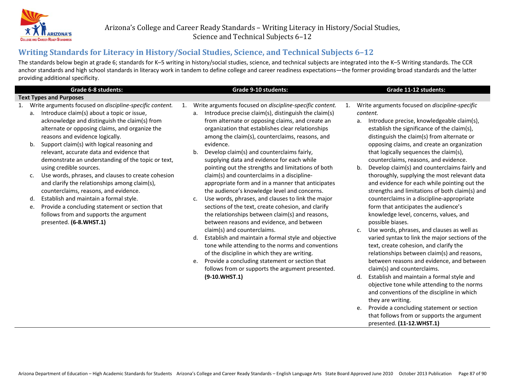

## **Writing Standards for Literacy in History/Social Studies, Science, and Technical Subjects 6–12**

The standards below begin at grade 6; standards for K–5 writing in history/social studies, science, and technical subjects are integrated into the K–5 Writing standards. The CCR anchor standards and high school standards in literacy work in tandem to define college and career readiness expectations—the former providing broad standards and the latter providing additional specificity.

| Grade 6-8 students:                                                                                                                                                                                                                                  |    | Grade 9-10 students:                                                                                                                                                                                                                                                                | Grade 11-12 students:                                                                                                                                                                                              |
|------------------------------------------------------------------------------------------------------------------------------------------------------------------------------------------------------------------------------------------------------|----|-------------------------------------------------------------------------------------------------------------------------------------------------------------------------------------------------------------------------------------------------------------------------------------|--------------------------------------------------------------------------------------------------------------------------------------------------------------------------------------------------------------------|
| <b>Text Types and Purposes</b>                                                                                                                                                                                                                       |    |                                                                                                                                                                                                                                                                                     |                                                                                                                                                                                                                    |
| 1. Write arguments focused on discipline-specific content.<br>Introduce claim(s) about a topic or issue,<br>a.<br>acknowledge and distinguish the claim(s) from<br>alternate or opposing claims, and organize the<br>reasons and evidence logically. | a. | Write arguments focused on <i>discipline-specific content</i> .<br>Introduce precise claim(s), distinguish the claim(s)<br>from alternate or opposing claims, and create an<br>organization that establishes clear relationships<br>among the claim(s), counterclaims, reasons, and | Write arguments focused on <i>discipline-specific</i><br>content.<br>Introduce precise, knowledgeable claim(s),<br>a.<br>establish the significance of the claim(s),<br>distinguish the claim(s) from alternate or |
| Support claim(s) with logical reasoning and<br>b.<br>relevant, accurate data and evidence that<br>demonstrate an understanding of the topic or text,<br>using credible sources.                                                                      | b. | evidence.<br>Develop claim(s) and counterclaims fairly,<br>supplying data and evidence for each while<br>pointing out the strengths and limitations of both                                                                                                                         | opposing claims, and create an organization<br>that logically sequences the claim(s),<br>counterclaims, reasons, and evidence.<br>Develop claim(s) and counterclaims fairly and<br>b.                              |
| Use words, phrases, and clauses to create cohesion<br>c.<br>and clarify the relationships among claim(s),<br>counterclaims, reasons, and evidence.                                                                                                   |    | claim(s) and counterclaims in a discipline-<br>appropriate form and in a manner that anticipates<br>the audience's knowledge level and concerns.                                                                                                                                    | thoroughly, supplying the most relevant data<br>and evidence for each while pointing out the<br>strengths and limitations of both claim(s) and                                                                     |
| Establish and maintain a formal style.<br>d.                                                                                                                                                                                                         | c. | Use words, phrases, and clauses to link the major                                                                                                                                                                                                                                   | counterclaims in a discipline-appropriate                                                                                                                                                                          |
| Provide a concluding statement or section that<br>e.<br>follows from and supports the argument<br>presented. (6-8.WHST.1)                                                                                                                            |    | sections of the text, create cohesion, and clarify<br>the relationships between claim(s) and reasons,<br>between reasons and evidence, and between<br>claim(s) and counterclaims.                                                                                                   | form that anticipates the audience's<br>knowledge level, concerns, values, and<br>possible biases.<br>Use words, phrases, and clauses as well as                                                                   |
|                                                                                                                                                                                                                                                      |    |                                                                                                                                                                                                                                                                                     |                                                                                                                                                                                                                    |

- d. Establish and maintain <sup>a</sup> formal style and objective tone while attending to the norms and conventions of the discipline in which they are writing.
- e. Provide <sup>a</sup> concluding statement or section that follows from or supports the argument presented. **(9‐10.WHST.1)**
- varied syntax to link the major sections of the text, create cohesion, and clarify the relationships between claim(s) and reasons, between reasons and evidence, and between claim(s) and counterclaims.
- d. Establish and maintain <sup>a</sup> formal style and objective tone while attending to the norms and conventions of the discipline in which they are writing.
- e. Provide <sup>a</sup> concluding statement or section that follows from or supports the argument presented. **(11‐12.WHST.1)**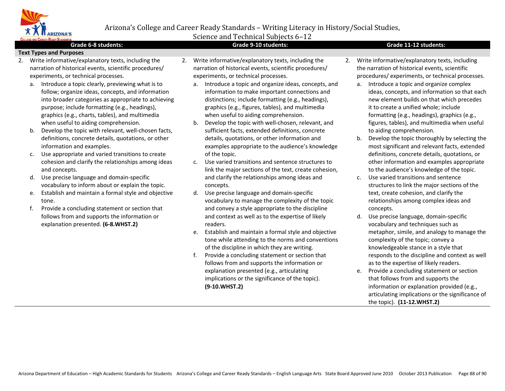

### Arizona's College and Career Ready Standards - Writing Literacy in History/Social Studies, Science and Technical Subjects 6-12

#### **Grade 6‐8**

#### **Text Types and Purposes**

- 2. Write informative/explanatory texts, including the narration of historical events, scientific procedures/ experiments, or technical processes.
	- a. Introduce <sup>a</sup> topic clearly, previewing what is to follow; organize ideas, concepts, and information into broader categories as appropriate to achieving purpose; include formatting (e.g., headings), graphics (e.g., charts, tables), and multimedia when useful to aiding comprehension.
	- b. Develop the topic with relevant, well‐chosen facts, definitions, concrete details, quotations, or other information and examples.
	- c. Use appropriate and varied transitions to create cohesion and clarify the relationships among ideas and concepts.
	- d. Use precise language and domain‐specific vocabulary to inform about or explain the topic.
	- e. Establish and maintain <sup>a</sup> formal style and objective tone.
	- f. Provide <sup>a</sup> concluding statement or section that follows from and supports the information or explanation presented. **(6‐8.WHST.2)**
- 2. Write informative/explanatory texts, including the narration of historical events, scientific procedures/ experiments, or technical processes.
	- a. Introduce <sup>a</sup> topic and organize ideas, concepts, and information to make important connections and distinctions; include formatting (e.g., headings), graphics (e.g., figures, tables), and multimedia when useful to aiding comprehension.
	- b. Develop the topic with well‐chosen, relevant, and sufficient facts, extended definitions, concrete details, quotations, or other information and examples appropriate to the audience's knowledge of the topic.
	- c. Use varied transitions and sentence structures tolink the major sections of the text, create cohesion, and clarify the relationships among ideas and concepts.
	- d. Use precise language and domain‐specific vocabulary to manage the complexity of the topic and convey <sup>a</sup> style appropriate to the discipline and context as well as to the expertise of likely readers.
	- e. Establish and maintain <sup>a</sup> formal style and objective tone while attending to the norms and conventions of the discipline in which they are writing.
	- f. Provide <sup>a</sup> concluding statement or section that follows from and supports the information or explanation presented (e.g., articulating implications or the significance of the topic). **(9‐10.WHST.2)**

#### **students: Grade 9‐10 students: Grade 11‐12 students:**

- 2. Write informative/explanatory texts, including the narration of historical events, scientific procedures/ experiments, or technical processes.
	- a. Introduce <sup>a</sup> topic and organize complex ideas, concepts, and information so that each new element builds on that which precedes it to create <sup>a</sup> unified whole; include formatting (e.g., headings), graphics (e.g., figures, tables), and multimedia when useful to aiding comprehension.
	- b. Develop the topic thoroughly by selecting the most significant and relevant facts, extended definitions, concrete details, quotations, or other information and examples appropriate to the audience's knowledge of the topic.
	- c. Use varied transitions and sentence structures to link the major sections of the text, create cohesion, and clarify the relationships among complex ideas and concepts.
	- d. Use precise language, domain‐specific vocabulary and techniques such as metaphor, simile, and analogy to manage the complexity of the topic; convey <sup>a</sup> knowledgeable stance in <sup>a</sup> style that responds to the discipline and context as well as to the expertise of likely readers.
	- e. Provide <sup>a</sup> concluding statement or section that follows from and supports the information or explanation provided (e.g., articulating implications or the significance of the topic). **(11‐12.WHST.2)**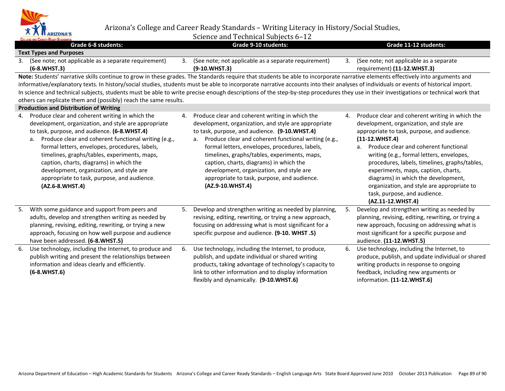

# Arizona's College and Career Ready Standards - Writing Literacy in History/Social Studies,

| <b>ANTI ANTICORAD</b><br><b>COLLEGE AND CAREER READY STANDARDS</b>                                                                                                                                                                                                                                                                                                                                                                                                                                                                                                                                                                                                                   | Science and Technical Subjects 6-12                                                                                                                                                                                                                                                                                                                                                                                                                                                      |                                                                                                                                                                                                                                                                                                                                                                                                                                                                                                    |  |  |  |  |  |
|--------------------------------------------------------------------------------------------------------------------------------------------------------------------------------------------------------------------------------------------------------------------------------------------------------------------------------------------------------------------------------------------------------------------------------------------------------------------------------------------------------------------------------------------------------------------------------------------------------------------------------------------------------------------------------------|------------------------------------------------------------------------------------------------------------------------------------------------------------------------------------------------------------------------------------------------------------------------------------------------------------------------------------------------------------------------------------------------------------------------------------------------------------------------------------------|----------------------------------------------------------------------------------------------------------------------------------------------------------------------------------------------------------------------------------------------------------------------------------------------------------------------------------------------------------------------------------------------------------------------------------------------------------------------------------------------------|--|--|--|--|--|
| <b>Grade 6-8 students:</b>                                                                                                                                                                                                                                                                                                                                                                                                                                                                                                                                                                                                                                                           | <b>Grade 9-10 students:</b>                                                                                                                                                                                                                                                                                                                                                                                                                                                              | Grade 11-12 students:                                                                                                                                                                                                                                                                                                                                                                                                                                                                              |  |  |  |  |  |
| <b>Text Types and Purposes</b>                                                                                                                                                                                                                                                                                                                                                                                                                                                                                                                                                                                                                                                       |                                                                                                                                                                                                                                                                                                                                                                                                                                                                                          |                                                                                                                                                                                                                                                                                                                                                                                                                                                                                                    |  |  |  |  |  |
| 3. (See note; not applicable as a separate requirement)<br>$(6-8.WHST.3)$                                                                                                                                                                                                                                                                                                                                                                                                                                                                                                                                                                                                            | (See note; not applicable as a separate requirement)<br>3.<br>$(9-10.WHST.3)$                                                                                                                                                                                                                                                                                                                                                                                                            | (See note; not applicable as a separate<br>3.<br>requirement) (11-12.WHST.3)                                                                                                                                                                                                                                                                                                                                                                                                                       |  |  |  |  |  |
| Note: Students' narrative skills continue to grow in these grades. The Standards require that students be able to incorporate narrative elements effectively into arguments and<br>informative/explanatory texts. In history/social studies, students must be able to incorporate narrative accounts into their analyses of individuals or events of historical import.<br>In science and technical subjects, students must be able to write precise enough descriptions of the step-by-step procedures they use in their investigations or technical work that<br>others can replicate them and (possibly) reach the same results.<br><b>Production and Distribution of Writing</b> |                                                                                                                                                                                                                                                                                                                                                                                                                                                                                          |                                                                                                                                                                                                                                                                                                                                                                                                                                                                                                    |  |  |  |  |  |
| 4. Produce clear and coherent writing in which the<br>development, organization, and style are appropriate<br>to task, purpose, and audience. (6-8.WHST.4)<br>a. Produce clear and coherent functional writing (e.g.,<br>formal letters, envelopes, procedures, labels,<br>timelines, graphs/tables, experiments, maps,<br>caption, charts, diagrams) in which the<br>development, organization, and style are<br>appropriate to task, purpose, and audience.<br>(AZ.6-8.WHST.4)                                                                                                                                                                                                     | Produce clear and coherent writing in which the<br>4.<br>development, organization, and style are appropriate<br>to task, purpose, and audience. (9-10.WHST.4)<br>Produce clear and coherent functional writing (e.g.,<br>а.<br>formal letters, envelopes, procedures, labels,<br>timelines, graphs/tables, experiments, maps,<br>caption, charts, diagrams) in which the<br>development, organization, and style are<br>appropriate to task, purpose, and audience.<br>(AZ.9-10.WHST.4) | Produce clear and coherent writing in which the<br>4.<br>development, organization, and style are<br>appropriate to task, purpose, and audience.<br>$(11-12.WHST.4)$<br>Produce clear and coherent functional<br>а.<br>writing (e.g., formal letters, envelopes,<br>procedures, labels, timelines, graphs/tables,<br>experiments, maps, caption, charts,<br>diagrams) in which the development,<br>organization, and style are appropriate to<br>task, purpose, and audience.<br>(AZ.11-12.WHST.4) |  |  |  |  |  |
| With some guidance and support from peers and<br>adults, develop and strengthen writing as needed by<br>planning, revising, editing, rewriting, or trying a new<br>approach, focusing on how well purpose and audience<br>have been addressed. (6-8.WHST.5)                                                                                                                                                                                                                                                                                                                                                                                                                          | 5.<br>Develop and strengthen writing as needed by planning,<br>revising, editing, rewriting, or trying a new approach,<br>focusing on addressing what is most significant for a<br>specific purpose and audience. (9-10. WHST .5)                                                                                                                                                                                                                                                        | Develop and strengthen writing as needed by<br>5.<br>planning, revising, editing, rewriting, or trying a<br>new approach, focusing on addressing what is<br>most significant for a specific purpose and<br>audience. (11-12.WHST.5)                                                                                                                                                                                                                                                                |  |  |  |  |  |
| Use technology, including the Internet, to produce and<br>6.<br>publish writing and present the relationships between<br>information and ideas clearly and efficiently.<br>$(6-8.WHST.6)$                                                                                                                                                                                                                                                                                                                                                                                                                                                                                            | 6.<br>Use technology, including the Internet, to produce,<br>publish, and update individual or shared writing<br>products, taking advantage of technology's capacity to<br>link to other information and to display information<br>flexibly and dynamically. (9-10.WHST.6)                                                                                                                                                                                                               | Use technology, including the Internet, to<br>6.<br>produce, publish, and update individual or shared<br>writing products in response to ongoing<br>feedback, including new arguments or<br>information. (11-12.WHST.6)                                                                                                                                                                                                                                                                            |  |  |  |  |  |